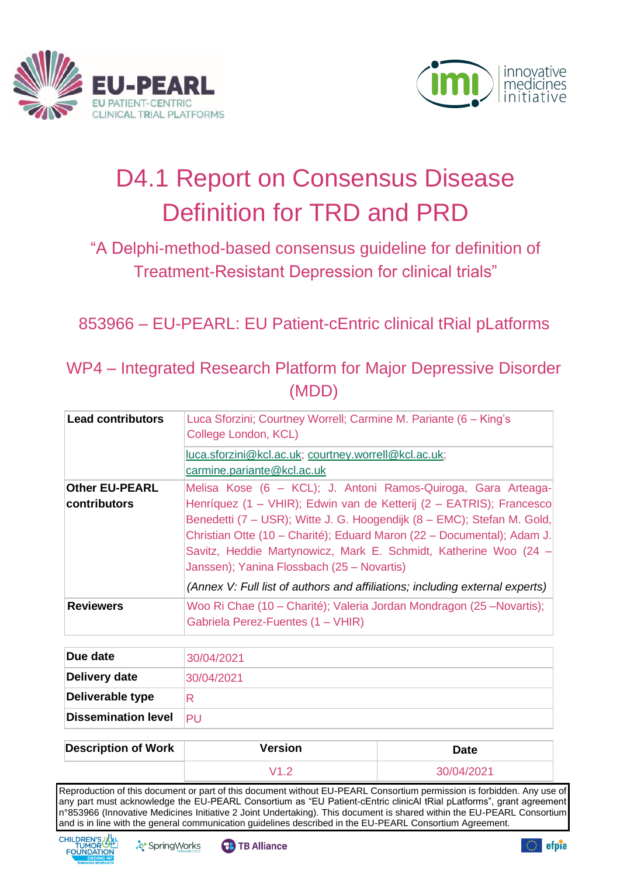



# D4.1 Report on Consensus Disease Definition for TRD and PRD

# "A Delphi-method-based consensus guideline for definition of Treatment-Resistant Depression for clinical trials"

853966 – EU-PEARL: EU Patient-cEntric clinical tRial pLatforms

WP4 – Integrated Research Platform for Major Depressive Disorder (MDD)

| <b>Lead contributors</b> | Luca Sforzini; Courtney Worrell; Carmine M. Pariante (6 - King's<br>College London, KCL)                                                                                                                                                                                                                                                  |
|--------------------------|-------------------------------------------------------------------------------------------------------------------------------------------------------------------------------------------------------------------------------------------------------------------------------------------------------------------------------------------|
|                          | luca.sforzini@kcl.ac.uk; courtney.worrell@kcl.ac.uk;<br>carmine.pariante@kcl.ac.uk                                                                                                                                                                                                                                                        |
| <b>Other EU-PEARL</b>    | Melisa Kose (6 - KCL); J. Antoni Ramos-Quiroga, Gara Arteaga-                                                                                                                                                                                                                                                                             |
| <b>contributors</b>      | Henríquez (1 - VHIR); Edwin van de Ketterij (2 - EATRIS); Francesco<br>Benedetti (7 – USR); Witte J. G. Hoogendijk (8 – EMC); Stefan M. Gold,<br>Christian Otte (10 – Charité); Eduard Maron (22 – Documental); Adam J.<br>Savitz, Heddie Martynowicz, Mark E. Schmidt, Katherine Woo (24 -<br>Janssen); Yanina Flossbach (25 - Novartis) |
|                          | (Annex V: Full list of authors and affiliations; including external experts)                                                                                                                                                                                                                                                              |
| <b>Reviewers</b>         | Woo Ri Chae (10 - Charité); Valeria Jordan Mondragon (25 - Novartis);<br>Gabriela Perez-Fuentes (1 - VHIR)                                                                                                                                                                                                                                |

| Due date                   | 30/04/2021 |
|----------------------------|------------|
| Delivery date              | 30/04/2021 |
| Deliverable type           | R          |
| <b>Dissemination level</b> | PU         |

| <b>Description of Work</b> | <b>Version</b> | Date       |
|----------------------------|----------------|------------|
|                            |                | 30/04/2021 |

Reproduction of this document or part of this document without EU-PEARL Consortium permission is forbidden. Any use of any part must acknowledge the EU-PEARL Consortium as "EU Patient-cEntric clinicAl tRial pLatforms", grant agreement n°853966 (Innovative Medicines Initiative 2 Joint Undertaking). This document is shared within the EU-PEARL Consortium and is in line with the general communication guidelines described in the EU-PEARL Consortium Agreement.





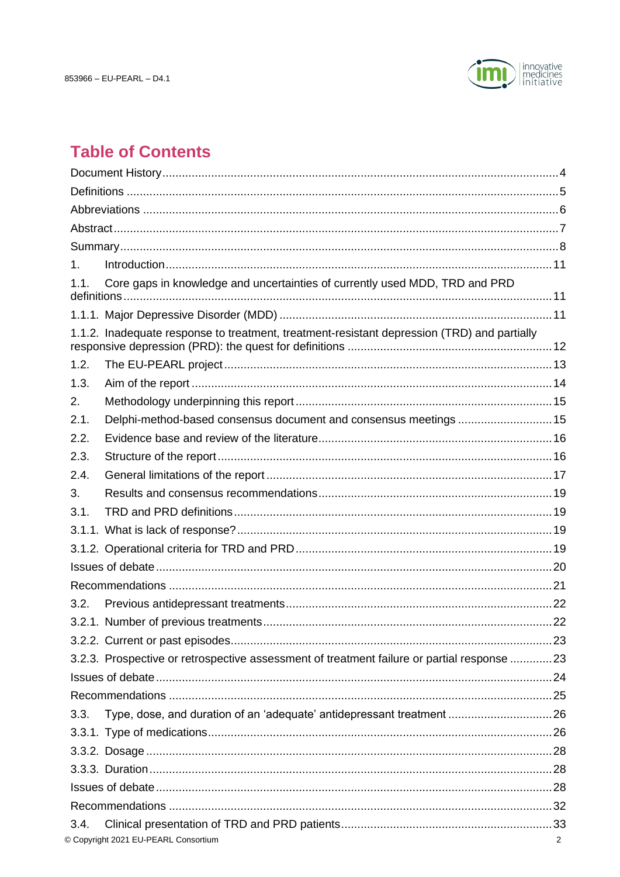

# **Table of Contents**

| $\mathbf{1}$ . |                                                                                             |   |  |
|----------------|---------------------------------------------------------------------------------------------|---|--|
| 1.1.           | Core gaps in knowledge and uncertainties of currently used MDD, TRD and PRD                 |   |  |
|                |                                                                                             |   |  |
|                | 1.1.2. Inadequate response to treatment, treatment-resistant depression (TRD) and partially |   |  |
|                |                                                                                             |   |  |
| 1.2.           |                                                                                             |   |  |
| 1.3.           |                                                                                             |   |  |
| 2.             |                                                                                             |   |  |
| 2.1.           | Delphi-method-based consensus document and consensus meetings 15                            |   |  |
| 2.2.           |                                                                                             |   |  |
| 2.3.           |                                                                                             |   |  |
| 2.4.           |                                                                                             |   |  |
| 3.             |                                                                                             |   |  |
| 3.1.           |                                                                                             |   |  |
|                |                                                                                             |   |  |
|                |                                                                                             |   |  |
|                |                                                                                             |   |  |
|                |                                                                                             |   |  |
| 3.2.           |                                                                                             |   |  |
|                |                                                                                             |   |  |
|                |                                                                                             |   |  |
|                | 3.2.3. Prospective or retrospective assessment of treatment failure or partial response  23 |   |  |
|                |                                                                                             |   |  |
|                |                                                                                             |   |  |
| 3.3.           |                                                                                             |   |  |
|                |                                                                                             |   |  |
|                |                                                                                             |   |  |
|                |                                                                                             |   |  |
|                |                                                                                             |   |  |
|                |                                                                                             |   |  |
| 3.4.           |                                                                                             |   |  |
|                | © Copyright 2021 EU-PEARL Consortium                                                        | 2 |  |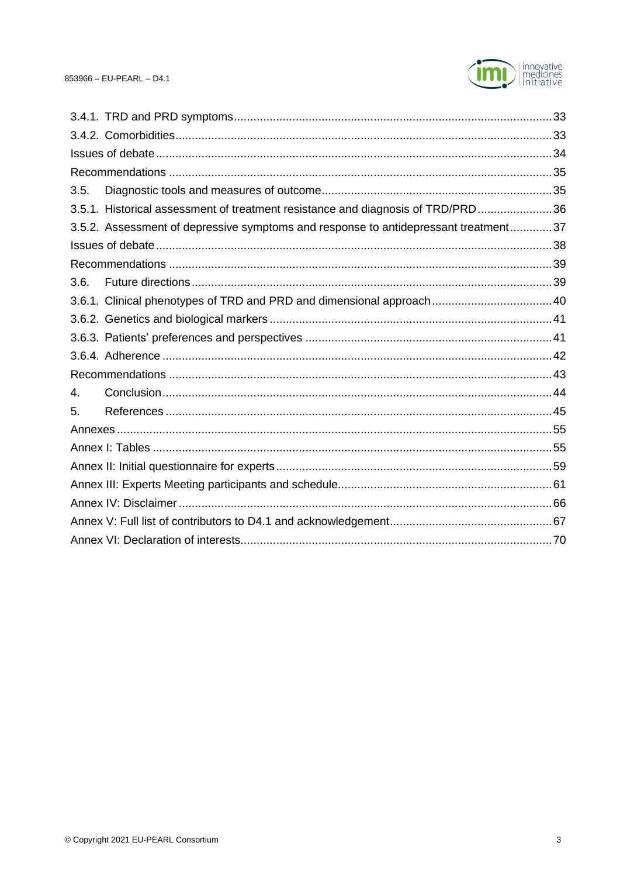

| 3.5. |                                                                                     |  |
|------|-------------------------------------------------------------------------------------|--|
|      | 3.5.1. Historical assessment of treatment resistance and diagnosis of TRD/PRD36     |  |
|      | 3.5.2. Assessment of depressive symptoms and response to antidepressant treatment37 |  |
|      |                                                                                     |  |
|      |                                                                                     |  |
| 3.6. |                                                                                     |  |
|      | 3.6.1. Clinical phenotypes of TRD and PRD and dimensional approach 40               |  |
|      |                                                                                     |  |
|      |                                                                                     |  |
|      |                                                                                     |  |
|      |                                                                                     |  |
| 4.   |                                                                                     |  |
| 5.   |                                                                                     |  |
|      |                                                                                     |  |
|      |                                                                                     |  |
|      |                                                                                     |  |
|      |                                                                                     |  |
|      |                                                                                     |  |
|      |                                                                                     |  |
|      |                                                                                     |  |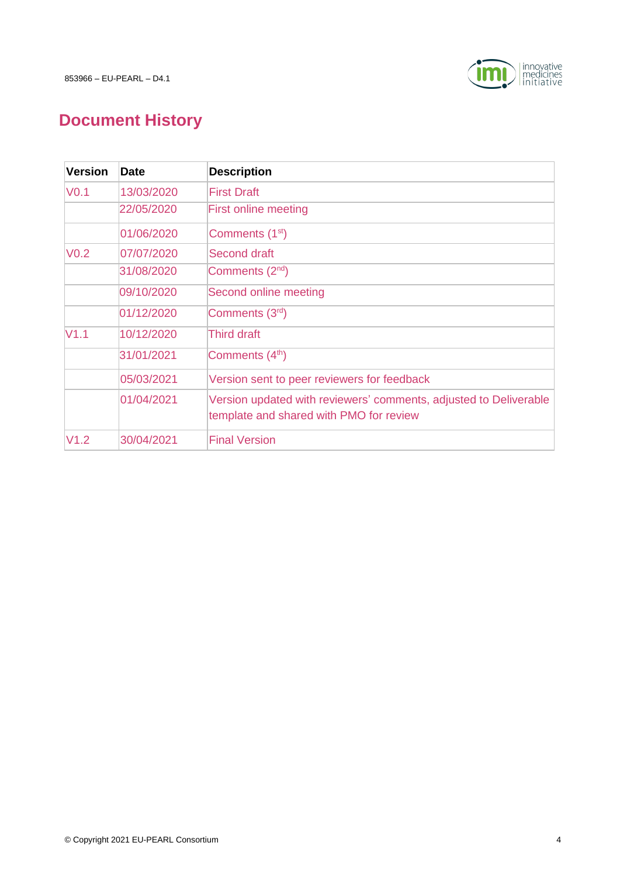

# <span id="page-3-0"></span>**Document History**

| <b>Version</b>   | <b>Date</b> | <b>Description</b>                                                                                           |
|------------------|-------------|--------------------------------------------------------------------------------------------------------------|
| VO.1             | 13/03/2020  | <b>First Draft</b>                                                                                           |
|                  | 22/05/2020  | <b>First online meeting</b>                                                                                  |
|                  | 01/06/2020  | Comments (1 <sup>st</sup> )                                                                                  |
| V <sub>0.2</sub> | 07/07/2020  | Second draft                                                                                                 |
|                  | 31/08/2020  | Comments (2 <sup>nd</sup> )                                                                                  |
|                  | 09/10/2020  | Second online meeting                                                                                        |
|                  | 01/12/2020  | Comments (3rd)                                                                                               |
| V1.1             | 10/12/2020  | Third draft                                                                                                  |
|                  | 31/01/2021  | Comments (4 <sup>th</sup> )                                                                                  |
|                  | 05/03/2021  | Version sent to peer reviewers for feedback                                                                  |
|                  | 01/04/2021  | Version updated with reviewers' comments, adjusted to Deliverable<br>template and shared with PMO for review |
| V <sub>1.2</sub> | 30/04/2021  | <b>Final Version</b>                                                                                         |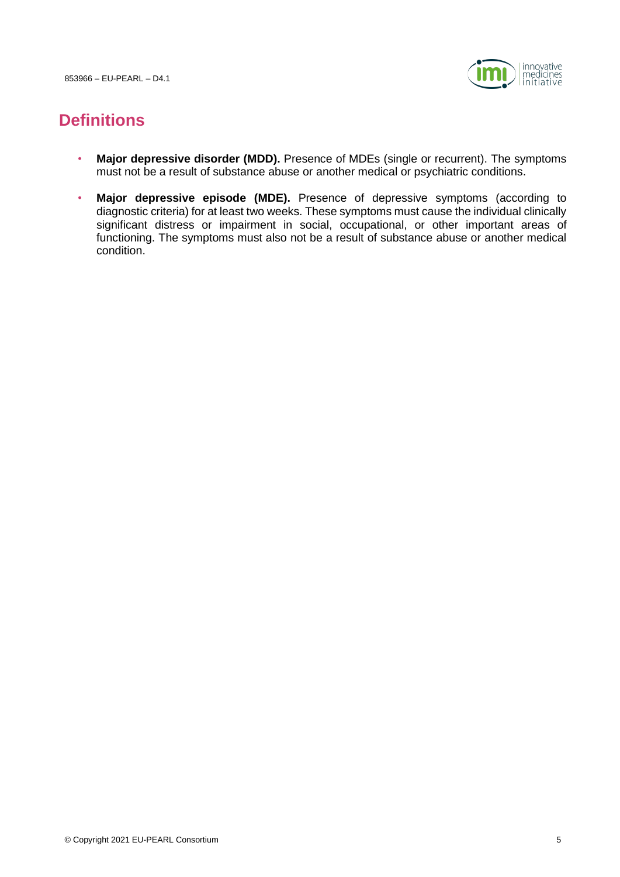853966 – EU-PEARL – D4.1



# <span id="page-4-0"></span>**Definitions**

- **Major depressive disorder (MDD).** Presence of MDEs (single or recurrent). The symptoms must not be a result of substance abuse or another medical or psychiatric conditions.
- **Major depressive episode (MDE).** Presence of depressive symptoms (according to diagnostic criteria) for at least two weeks. These symptoms must cause the individual clinically significant distress or impairment in social, occupational, or other important areas of functioning. The symptoms must also not be a result of substance abuse or another medical condition.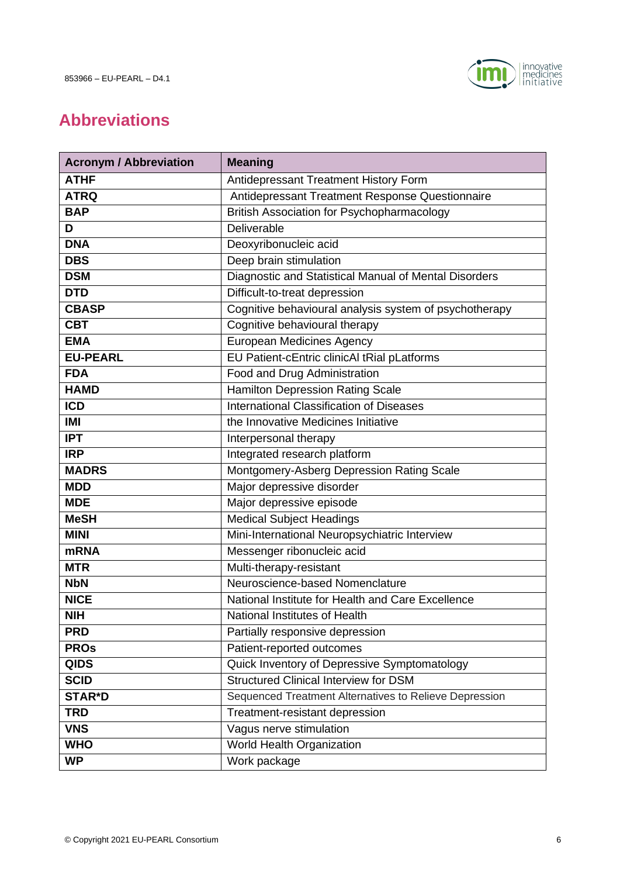

# <span id="page-5-0"></span>**Abbreviations**

| <b>Acronym / Abbreviation</b> | <b>Meaning</b>                                         |
|-------------------------------|--------------------------------------------------------|
| <b>ATHF</b>                   | Antidepressant Treatment History Form                  |
| <b>ATRQ</b>                   | Antidepressant Treatment Response Questionnaire        |
| <b>BAP</b>                    | <b>British Association for Psychopharmacology</b>      |
| D                             | Deliverable                                            |
| <b>DNA</b>                    | Deoxyribonucleic acid                                  |
| <b>DBS</b>                    | Deep brain stimulation                                 |
| <b>DSM</b>                    | Diagnostic and Statistical Manual of Mental Disorders  |
| <b>DTD</b>                    | Difficult-to-treat depression                          |
| <b>CBASP</b>                  | Cognitive behavioural analysis system of psychotherapy |
| <b>CBT</b>                    | Cognitive behavioural therapy                          |
| <b>EMA</b>                    | <b>European Medicines Agency</b>                       |
| <b>EU-PEARL</b>               | EU Patient-cEntric clinicAl tRial pLatforms            |
| <b>FDA</b>                    | Food and Drug Administration                           |
| <b>HAMD</b>                   | <b>Hamilton Depression Rating Scale</b>                |
| <b>ICD</b>                    | International Classification of Diseases               |
| <b>IMI</b>                    | the Innovative Medicines Initiative                    |
| <b>IPT</b>                    | Interpersonal therapy                                  |
| <b>IRP</b>                    | Integrated research platform                           |
| <b>MADRS</b>                  | Montgomery-Asberg Depression Rating Scale              |
| <b>MDD</b>                    | Major depressive disorder                              |
| <b>MDE</b>                    | Major depressive episode                               |
| <b>MeSH</b>                   | <b>Medical Subject Headings</b>                        |
| <b>MINI</b>                   | Mini-International Neuropsychiatric Interview          |
| <b>mRNA</b>                   | Messenger ribonucleic acid                             |
| <b>MTR</b>                    | Multi-therapy-resistant                                |
| <b>NbN</b>                    | Neuroscience-based Nomenclature                        |
| <b>NICE</b>                   | National Institute for Health and Care Excellence      |
| <b>NIH</b>                    | National Institutes of Health                          |
| <b>PRD</b>                    | Partially responsive depression                        |
| <b>PROS</b>                   | Patient-reported outcomes                              |
| <b>QIDS</b>                   | Quick Inventory of Depressive Symptomatology           |
| <b>SCID</b>                   | <b>Structured Clinical Interview for DSM</b>           |
| <b>STAR*D</b>                 | Sequenced Treatment Alternatives to Relieve Depression |
| <b>TRD</b>                    | Treatment-resistant depression                         |
| <b>VNS</b>                    | Vagus nerve stimulation                                |
| <b>WHO</b>                    | World Health Organization                              |
| <b>WP</b>                     | Work package                                           |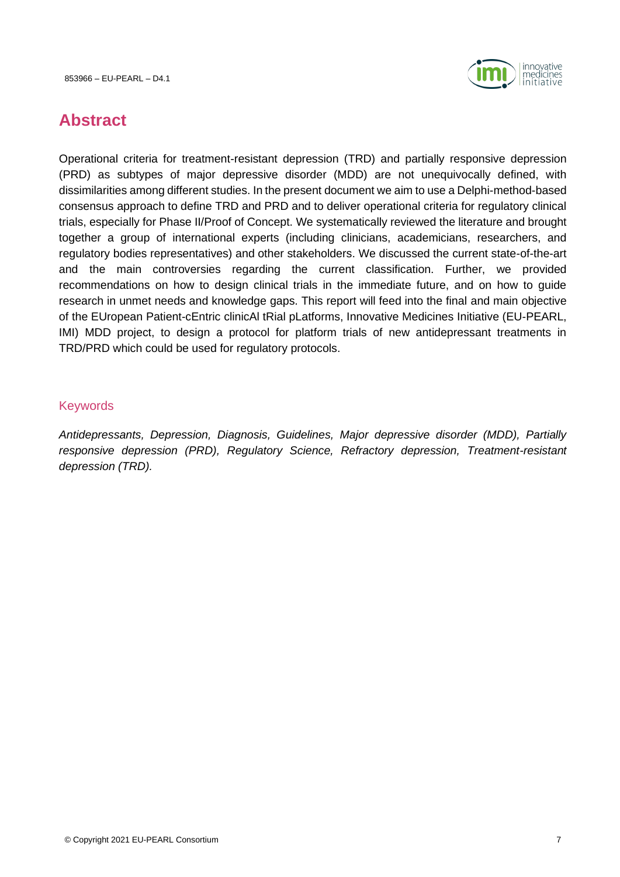

# <span id="page-6-0"></span>**Abstract**

Operational criteria for treatment-resistant depression (TRD) and partially responsive depression (PRD) as subtypes of major depressive disorder (MDD) are not unequivocally defined, with dissimilarities among different studies. In the present document we aim to use a Delphi-method-based consensus approach to define TRD and PRD and to deliver operational criteria for regulatory clinical trials, especially for Phase II/Proof of Concept. We systematically reviewed the literature and brought together a group of international experts (including clinicians, academicians, researchers, and regulatory bodies representatives) and other stakeholders. We discussed the current state-of-the-art and the main controversies regarding the current classification. Further, we provided recommendations on how to design clinical trials in the immediate future, and on how to guide research in unmet needs and knowledge gaps. This report will feed into the final and main objective of the EUropean Patient-cEntric clinicAl tRial pLatforms, Innovative Medicines Initiative (EU-PEARL, IMI) MDD project, to design a protocol for platform trials of new antidepressant treatments in TRD/PRD which could be used for regulatory protocols.

#### Keywords

*Antidepressants, Depression, Diagnosis, Guidelines, Major depressive disorder (MDD), Partially responsive depression (PRD), Regulatory Science, Refractory depression, Treatment-resistant depression (TRD).*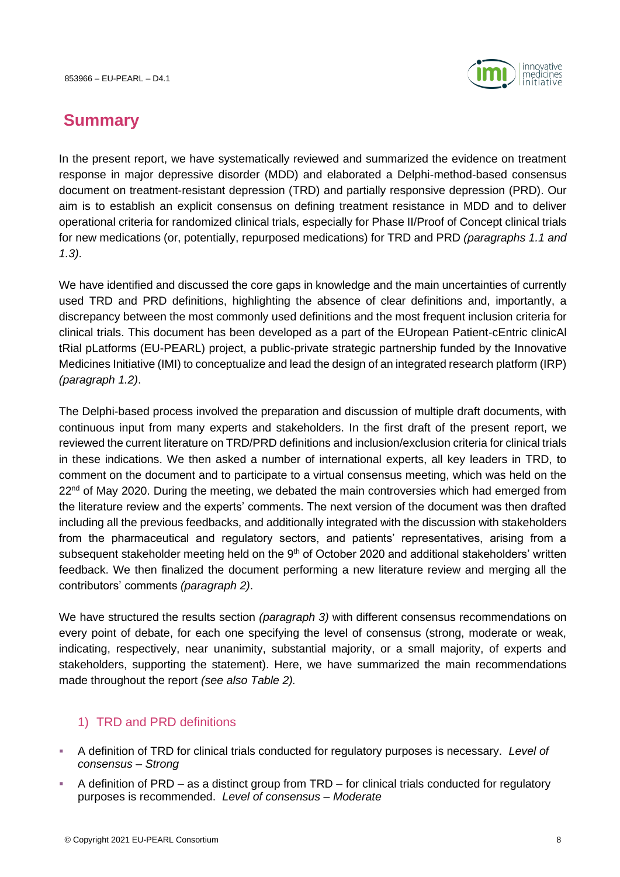

# <span id="page-7-0"></span>**Summary**

In the present report, we have systematically reviewed and summarized the evidence on treatment response in major depressive disorder (MDD) and elaborated a Delphi-method-based consensus document on treatment-resistant depression (TRD) and partially responsive depression (PRD). Our aim is to establish an explicit consensus on defining treatment resistance in MDD and to deliver operational criteria for randomized clinical trials, especially for Phase II/Proof of Concept clinical trials for new medications (or, potentially, repurposed medications) for TRD and PRD *(paragraphs [1.1](#page-10-1) and [1.3\)](#page-13-0)*.

We have identified and discussed the core gaps in knowledge and the main uncertainties of currently used TRD and PRD definitions, highlighting the absence of clear definitions and, importantly, a discrepancy between the most commonly used definitions and the most frequent inclusion criteria for clinical trials. This document has been developed as a part of the EUropean Patient-cEntric clinicAl tRial pLatforms (EU-PEARL) project, a public-private strategic partnership funded by the Innovative Medicines Initiative (IMI) to conceptualize and lead the design of an integrated research platform (IRP) *(paragraph [1.2\)](#page-12-0)*.

The Delphi-based process involved the preparation and discussion of multiple draft documents, with continuous input from many experts and stakeholders. In the first draft of the present report, we reviewed the current literature on TRD/PRD definitions and inclusion/exclusion criteria for clinical trials in these indications. We then asked a number of international experts, all key leaders in TRD, to comment on the document and to participate to a virtual consensus meeting, which was held on the 22<sup>nd</sup> of May 2020. During the meeting, we debated the main controversies which had emerged from the literature review and the experts' comments. The next version of the document was then drafted including all the previous feedbacks, and additionally integrated with the discussion with stakeholders from the pharmaceutical and regulatory sectors, and patients' representatives, arising from a subsequent stakeholder meeting held on the 9<sup>th</sup> of October 2020 and additional stakeholders' written feedback. We then finalized the document performing a new literature review and merging all the contributors' comments *(paragraph [2\)](#page-14-0)*.

We have structured the results section *(paragraph [3\)](#page-18-0)* with different consensus recommendations on every point of debate, for each one specifying the level of consensus (strong, moderate or weak, indicating, respectively, near unanimity, substantial majority, or a small majority, of experts and stakeholders, supporting the statement). Here, we have summarized the main recommendations made throughout the report *(see also Table 2).* 

# 1) TRD and PRD definitions

- A definition of TRD for clinical trials conducted for regulatory purposes is necessary. *Level of consensus – Strong*
- A definition of PRD as a distinct group from TRD for clinical trials conducted for regulatory purposes is recommended. *Level of consensus – Moderate*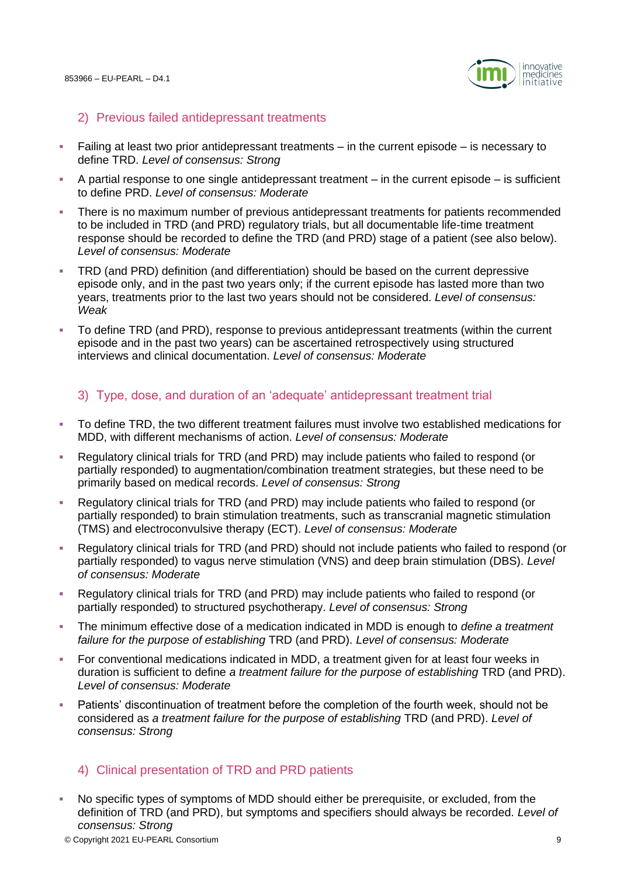

#### 2) Previous failed antidepressant treatments

- Failing at least two prior antidepressant treatments in the current episode is necessary to define TRD. *Level of consensus: Strong*
- $\blacksquare$  A partial response to one single antidepressant treatment in the current episode is sufficient to define PRD. *Level of consensus: Moderate*
- There is no maximum number of previous antidepressant treatments for patients recommended to be included in TRD (and PRD) regulatory trials, but all documentable life-time treatment response should be recorded to define the TRD (and PRD) stage of a patient (see also below). *Level of consensus: Moderate*
- TRD (and PRD) definition (and differentiation) should be based on the current depressive episode only, and in the past two years only; if the current episode has lasted more than two years, treatments prior to the last two years should not be considered. *Level of consensus: Weak*
- To define TRD (and PRD), response to previous antidepressant treatments (within the current episode and in the past two years) can be ascertained retrospectively using structured interviews and clinical documentation. *Level of consensus: Moderate*

# 3) Type, dose, and duration of an 'adequate' antidepressant treatment trial

- To define TRD, the two different treatment failures must involve two established medications for MDD, with different mechanisms of action. *Level of consensus: Moderate*
- Regulatory clinical trials for TRD (and PRD) may include patients who failed to respond (or partially responded) to augmentation/combination treatment strategies, but these need to be primarily based on medical records. *Level of consensus: Strong*
- Regulatory clinical trials for TRD (and PRD) may include patients who failed to respond (or partially responded) to brain stimulation treatments, such as transcranial magnetic stimulation (TMS) and electroconvulsive therapy (ECT). *Level of consensus: Moderate*
- Regulatory clinical trials for TRD (and PRD) should not include patients who failed to respond (or partially responded) to vagus nerve stimulation (VNS) and deep brain stimulation (DBS). *Level of consensus: Moderate*
- Regulatory clinical trials for TRD (and PRD) may include patients who failed to respond (or partially responded) to structured psychotherapy. *Level of consensus: Strong*
- The minimum effective dose of a medication indicated in MDD is enough to *define a treatment failure for the purpose of establishing* TRD (and PRD). *Level of consensus: Moderate*
- For conventional medications indicated in MDD, a treatment given for at least four weeks in duration is sufficient to define *a treatment failure for the purpose of establishing* TRD (and PRD). *Level of consensus: Moderate*
- Patients' discontinuation of treatment before the completion of the fourth week, should not be considered as *a treatment failure for the purpose of establishing* TRD (and PRD). *Level of consensus: Strong*

# 4) Clinical presentation of TRD and PRD patients

© Copyright 2021 EU-PEARL Consortium 9 ▪ No specific types of symptoms of MDD should either be prerequisite, or excluded, from the definition of TRD (and PRD), but symptoms and specifiers should always be recorded. *Level of consensus: Strong*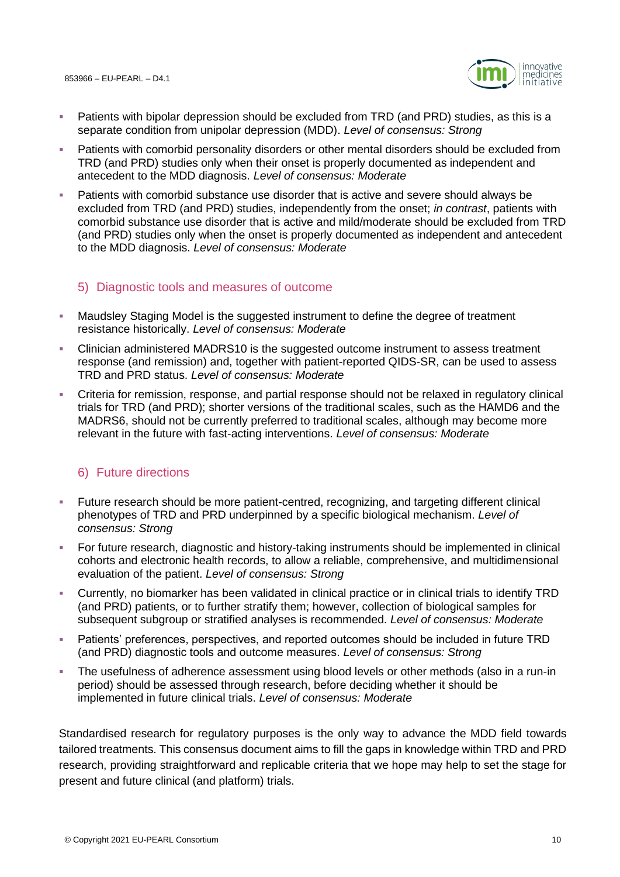

- Patients with bipolar depression should be excluded from TRD (and PRD) studies, as this is a separate condition from unipolar depression (MDD). *Level of consensus: Strong*
- Patients with comorbid personality disorders or other mental disorders should be excluded from TRD (and PRD) studies only when their onset is properly documented as independent and antecedent to the MDD diagnosis. *Level of consensus: Moderate*
- Patients with comorbid substance use disorder that is active and severe should always be excluded from TRD (and PRD) studies, independently from the onset; *in contrast*, patients with comorbid substance use disorder that is active and mild/moderate should be excluded from TRD (and PRD) studies only when the onset is properly documented as independent and antecedent to the MDD diagnosis. *Level of consensus: Moderate*

# 5) Diagnostic tools and measures of outcome

- Maudsley Staging Model is the suggested instrument to define the degree of treatment resistance historically. *Level of consensus: Moderate*
- Clinician administered MADRS10 is the suggested outcome instrument to assess treatment response (and remission) and, together with patient-reported QIDS-SR, can be used to assess TRD and PRD status. *Level of consensus: Moderate*
- Criteria for remission, response, and partial response should not be relaxed in regulatory clinical trials for TRD (and PRD); shorter versions of the traditional scales, such as the HAMD6 and the MADRS6, should not be currently preferred to traditional scales, although may become more relevant in the future with fast-acting interventions. *Level of consensus: Moderate*

# 6) Future directions

- Future research should be more patient-centred, recognizing, and targeting different clinical phenotypes of TRD and PRD underpinned by a specific biological mechanism. *Level of consensus: Strong*
- For future research, diagnostic and history-taking instruments should be implemented in clinical cohorts and electronic health records, to allow a reliable, comprehensive, and multidimensional evaluation of the patient. *Level of consensus: Strong*
- Currently, no biomarker has been validated in clinical practice or in clinical trials to identify TRD (and PRD) patients, or to further stratify them; however, collection of biological samples for subsequent subgroup or stratified analyses is recommended. *Level of consensus: Moderate*
- **EXECT** Patients' preferences, perspectives, and reported outcomes should be included in future TRD (and PRD) diagnostic tools and outcome measures. *Level of consensus: Strong*
- The usefulness of adherence assessment using blood levels or other methods (also in a run-in period) should be assessed through research, before deciding whether it should be implemented in future clinical trials. *Level of consensus: Moderate*

Standardised research for regulatory purposes is the only way to advance the MDD field towards tailored treatments. This consensus document aims to fill the gaps in knowledge within TRD and PRD research, providing straightforward and replicable criteria that we hope may help to set the stage for present and future clinical (and platform) trials.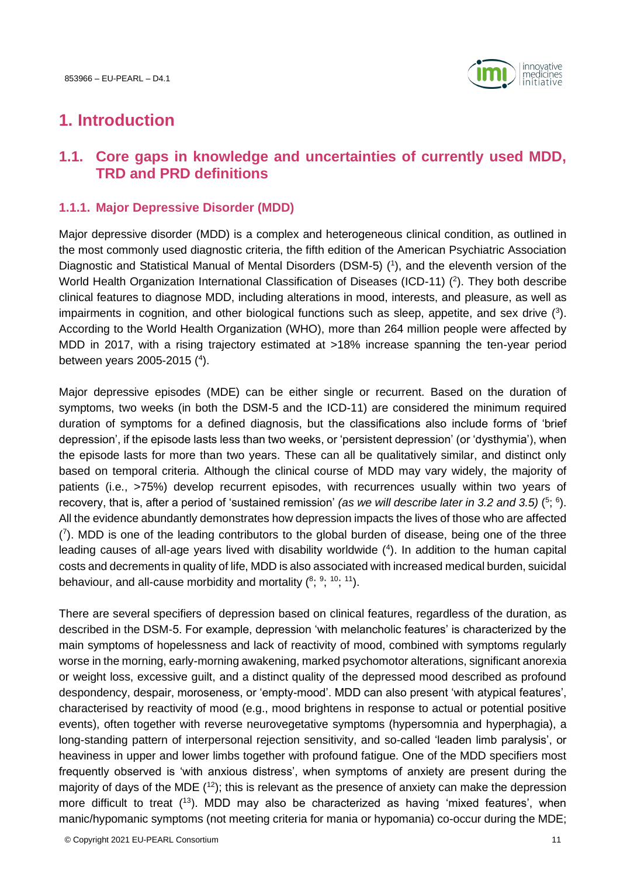

# <span id="page-10-0"></span>**1. Introduction**

# <span id="page-10-1"></span>**1.1. Core gaps in knowledge and uncertainties of currently used MDD, TRD and PRD definitions**

# <span id="page-10-2"></span>**1.1.1. Major Depressive Disorder (MDD)**

Major depressive disorder (MDD) is a complex and heterogeneous clinical condition, as outlined in the most commonly used diagnostic criteria, the fifth edition of the American Psychiatric Association Diagnostic and Statistical Manual of Mental Disorders (DSM-5) (<sup>1</sup>), and the eleventh version of the World Health Organization International Classification of Diseases (ICD-11)  $(2)$ . They both describe clinical features to diagnose MDD, including alterations in mood, interests, and pleasure, as well as impairments in cognition, and other biological functions such as sleep, appetite, and sex drive (3). According to the World Health Organization (WHO), more than 264 million people were affected by MDD in 2017, with a rising trajectory estimated at >18% increase spanning the ten-year period between years 2005-2015 (<sup>4</sup> ).

Major depressive episodes (MDE) can be either single or recurrent. Based on the duration of symptoms, two weeks (in both the DSM-5 and the ICD-11) are considered the minimum required duration of symptoms for a defined diagnosis, but the classifications also include forms of 'brief depression', if the episode lasts less than two weeks, or 'persistent depression' (or 'dysthymia'), when the episode lasts for more than two years. These can all be qualitatively similar, and distinct only based on temporal criteria. Although the clinical course of MDD may vary widely, the majority of patients (i.e., >75%) develop recurrent episodes, with recurrences usually within two years of recovery, that is, after a period of 'sustained remission' *(as we will describe later in 3.2 and 3.5)* (<sup>5</sup>; <sup>6</sup>). All the evidence abundantly demonstrates how depression impacts the lives of those who are affected ( 7 ). MDD is one of the leading contributors to the global burden of disease, being one of the three leading causes of all-age years lived with disability worldwide (4). In addition to the human capital costs and decrements in quality of life, MDD is also associated with increased medical burden, suicidal behaviour, and all-cause morbidity and mortality  $(8; 9; 10; 11)$ .

There are several specifiers of depression based on clinical features, regardless of the duration, as described in the DSM-5. For example, depression 'with melancholic features' is characterized by the main symptoms of hopelessness and lack of reactivity of mood, combined with symptoms regularly worse in the morning, early-morning awakening, marked psychomotor alterations, significant anorexia or weight loss, excessive guilt, and a distinct quality of the depressed mood described as profound despondency, despair, moroseness, or 'empty-mood'. MDD can also present 'with atypical features', characterised by reactivity of mood (e.g., mood brightens in response to actual or potential positive events), often together with reverse neurovegetative symptoms (hypersomnia and hyperphagia), a long-standing pattern of interpersonal rejection sensitivity, and so-called 'leaden limb paralysis', or heaviness in upper and lower limbs together with profound fatigue. One of the MDD specifiers most frequently observed is 'with anxious distress', when symptoms of anxiety are present during the majority of days of the MDE  $(12)$ ; this is relevant as the presence of anxiety can make the depression more difficult to treat (<sup>13</sup>). MDD may also be characterized as having 'mixed features', when manic/hypomanic symptoms (not meeting criteria for mania or hypomania) co-occur during the MDE;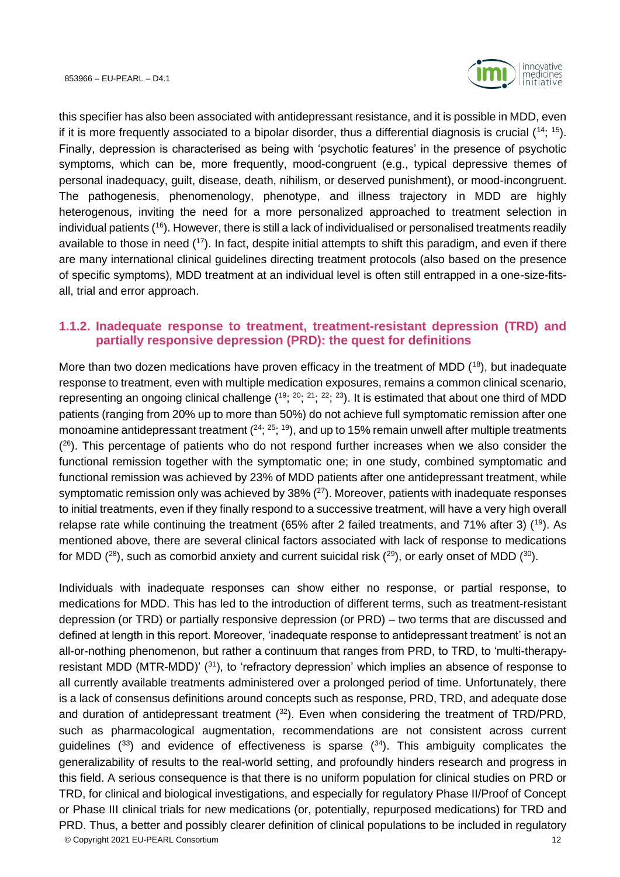

this specifier has also been associated with antidepressant resistance, and it is possible in MDD, even if it is more frequently associated to a bipolar disorder, thus a differential diagnosis is crucial  $(14; 15)$ . Finally, depression is characterised as being with 'psychotic features' in the presence of psychotic symptoms, which can be, more frequently, mood-congruent (e.g., typical depressive themes of personal inadequacy, guilt, disease, death, nihilism, or deserved punishment), or mood-incongruent. The pathogenesis, phenomenology, phenotype, and illness trajectory in MDD are highly heterogenous, inviting the need for a more personalized approached to treatment selection in individual patients (<sup>16</sup>). However, there is still a lack of individualised or personalised treatments readily available to those in need (<sup>17</sup>). In fact, despite initial attempts to shift this paradigm, and even if there are many international clinical guidelines directing treatment protocols (also based on the presence of specific symptoms), MDD treatment at an individual level is often still entrapped in a one-size-fitsall, trial and error approach.

# <span id="page-11-0"></span>**1.1.2. Inadequate response to treatment, treatment-resistant depression (TRD) and partially responsive depression (PRD): the quest for definitions**

More than two dozen medications have proven efficacy in the treatment of MDD (18), but inadequate response to treatment, even with multiple medication exposures, remains a common clinical scenario, representing an ongoing clinical challenge  $(1^9; 2^0; 2^1; 2^2; 2^3)$ . It is estimated that about one third of MDD patients (ranging from 20% up to more than 50%) do not achieve full symptomatic remission after one monoamine antidepressant treatment  $(24; 25; 19)$ , and up to 15% remain unwell after multiple treatments  $(26)$ . This percentage of patients who do not respond further increases when we also consider the functional remission together with the symptomatic one; in one study, combined symptomatic and functional remission was achieved by 23% of MDD patients after one antidepressant treatment, while symptomatic remission only was achieved by  $38\%$  ( $27$ ). Moreover, patients with inadequate responses to initial treatments, even if they finally respond to a successive treatment, will have a very high overall relapse rate while continuing the treatment (65% after 2 failed treatments, and 71% after 3) (<sup>19</sup>). As mentioned above, there are several clinical factors associated with lack of response to medications for MDD  $(^{28})$ , such as comorbid anxiety and current suicidal risk  $(^{29})$ , or early onset of MDD  $(^{30})$ .

© Copyright 2021 EU-PEARL Consortium 12 Individuals with inadequate responses can show either no response, or partial response, to medications for MDD. This has led to the introduction of different terms, such as treatment-resistant depression (or TRD) or partially responsive depression (or PRD) – two terms that are discussed and defined at length in this report. Moreover, 'inadequate response to antidepressant treatment' is not an all-or-nothing phenomenon, but rather a continuum that ranges from PRD, to TRD, to 'multi-therapyresistant MDD (MTR-MDD)'  $(31)$ , to 'refractory depression' which implies an absence of response to all currently available treatments administered over a prolonged period of time. Unfortunately, there is a lack of consensus definitions around concepts such as response, PRD, TRD, and adequate dose and duration of antidepressant treatment  $(32)$ . Even when considering the treatment of TRD/PRD, such as pharmacological augmentation, recommendations are not consistent across current guidelines  $(33)$  and evidence of effectiveness is sparse  $(34)$ . This ambiguity complicates the generalizability of results to the real-world setting, and profoundly hinders research and progress in this field. A serious consequence is that there is no uniform population for clinical studies on PRD or TRD, for clinical and biological investigations, and especially for regulatory Phase II/Proof of Concept or Phase III clinical trials for new medications (or, potentially, repurposed medications) for TRD and PRD. Thus, a better and possibly clearer definition of clinical populations to be included in regulatory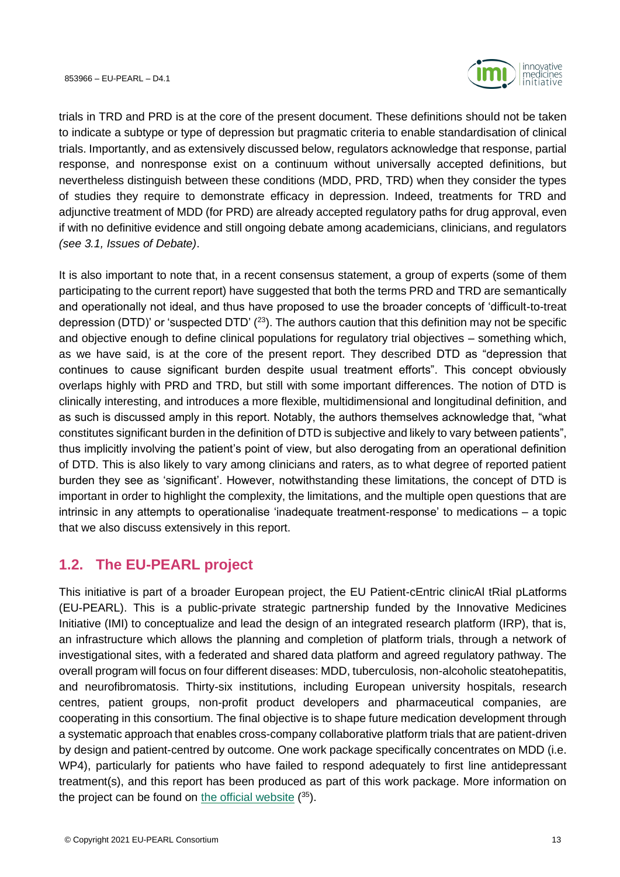

trials in TRD and PRD is at the core of the present document. These definitions should not be taken to indicate a subtype or type of depression but pragmatic criteria to enable standardisation of clinical trials. Importantly, and as extensively discussed below, regulators acknowledge that response, partial response, and nonresponse exist on a continuum without universally accepted definitions, but nevertheless distinguish between these conditions (MDD, PRD, TRD) when they consider the types of studies they require to demonstrate efficacy in depression. Indeed, treatments for TRD and adjunctive treatment of MDD (for PRD) are already accepted regulatory paths for drug approval, even if with no definitive evidence and still ongoing debate among academicians, clinicians, and regulators *(see [3.1,](#page-18-1) Issues of Debate)*.

It is also important to note that, in a recent consensus statement, a group of experts (some of them participating to the current report) have suggested that both the terms PRD and TRD are semantically and operationally not ideal, and thus have proposed to use the broader concepts of 'difficult-to-treat depression (DTD)' or 'suspected DTD'  $(2^3)$ . The authors caution that this definition may not be specific and objective enough to define clinical populations for regulatory trial objectives – something which, as we have said, is at the core of the present report. They described DTD as "depression that continues to cause significant burden despite usual treatment efforts". This concept obviously overlaps highly with PRD and TRD, but still with some important differences. The notion of DTD is clinically interesting, and introduces a more flexible, multidimensional and longitudinal definition, and as such is discussed amply in this report. Notably, the authors themselves acknowledge that, "what constitutes significant burden in the definition of DTD is subjective and likely to vary between patients", thus implicitly involving the patient's point of view, but also derogating from an operational definition of DTD. This is also likely to vary among clinicians and raters, as to what degree of reported patient burden they see as 'significant'. However, notwithstanding these limitations, the concept of DTD is important in order to highlight the complexity, the limitations, and the multiple open questions that are intrinsic in any attempts to operationalise 'inadequate treatment-response' to medications – a topic that we also discuss extensively in this report.

# <span id="page-12-0"></span>**1.2. The EU-PEARL project**

This initiative is part of a broader European project, the EU Patient-cEntric clinicAl tRial pLatforms (EU-PEARL). This is a public-private strategic partnership funded by the Innovative Medicines Initiative (IMI) to conceptualize and lead the design of an integrated research platform (IRP), that is, an infrastructure which allows the planning and completion of platform trials, through a network of investigational sites, with a federated and shared data platform and agreed regulatory pathway. The overall program will focus on four different diseases: MDD, tuberculosis, non-alcoholic steatohepatitis, and neurofibromatosis. Thirty-six institutions, including European university hospitals, research centres, patient groups, non-profit product developers and pharmaceutical companies, are cooperating in this consortium. The final objective is to shape future medication development through a systematic approach that enables cross-company collaborative platform trials that are patient-driven by design and patient-centred by outcome. One work package specifically concentrates on MDD (i.e. WP4), particularly for patients who have failed to respond adequately to first line antidepressant treatment(s), and this report has been produced as part of this work package. More information on the project can be found on [the official website](https://eu-pearl.eu/) (35).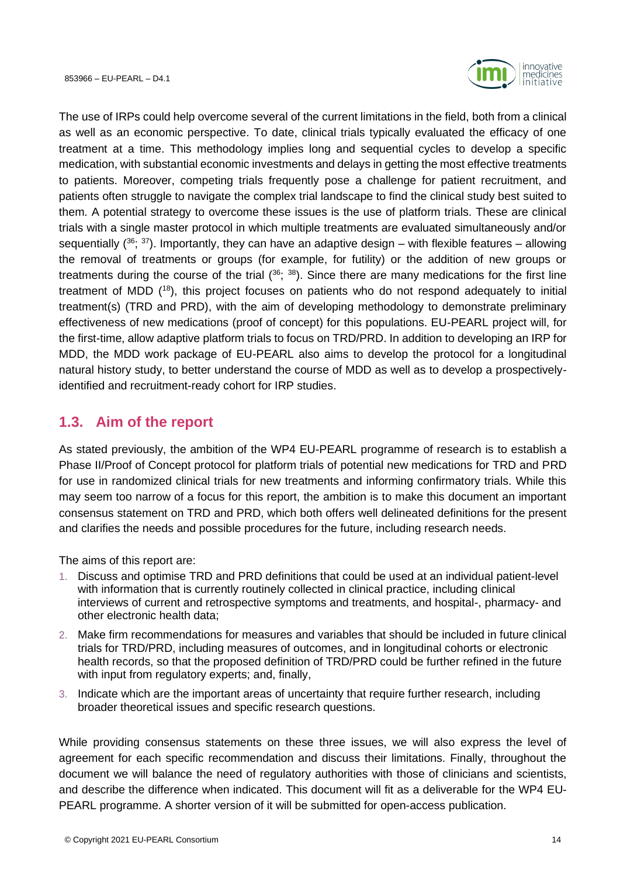

The use of IRPs could help overcome several of the current limitations in the field, both from a clinical as well as an economic perspective. To date, clinical trials typically evaluated the efficacy of one treatment at a time. This methodology implies long and sequential cycles to develop a specific medication, with substantial economic investments and delays in getting the most effective treatments to patients. Moreover, competing trials frequently pose a challenge for patient recruitment, and patients often struggle to navigate the complex trial landscape to find the clinical study best suited to them. A potential strategy to overcome these issues is the use of platform trials. These are clinical trials with a single master protocol in which multiple treatments are evaluated simultaneously and/or sequentially ( $36$ ;  $37$ ). Importantly, they can have an adaptive design – with flexible features – allowing the removal of treatments or groups (for example, for futility) or the addition of new groups or treatments during the course of the trial  $(36; 38)$ . Since there are many medications for the first line treatment of MDD (<sup>18</sup>), this project focuses on patients who do not respond adequately to initial treatment(s) (TRD and PRD), with the aim of developing methodology to demonstrate preliminary effectiveness of new medications (proof of concept) for this populations. EU-PEARL project will, for the first-time, allow adaptive platform trials to focus on TRD/PRD. In addition to developing an IRP for MDD, the MDD work package of EU-PEARL also aims to develop the protocol for a longitudinal natural history study, to better understand the course of MDD as well as to develop a prospectivelyidentified and recruitment-ready cohort for IRP studies.

# <span id="page-13-0"></span>**1.3. Aim of the report**

As stated previously, the ambition of the WP4 EU-PEARL programme of research is to establish a Phase II/Proof of Concept protocol for platform trials of potential new medications for TRD and PRD for use in randomized clinical trials for new treatments and informing confirmatory trials. While this may seem too narrow of a focus for this report, the ambition is to make this document an important consensus statement on TRD and PRD, which both offers well delineated definitions for the present and clarifies the needs and possible procedures for the future, including research needs.

The aims of this report are:

- 1. Discuss and optimise TRD and PRD definitions that could be used at an individual patient-level with information that is currently routinely collected in clinical practice, including clinical interviews of current and retrospective symptoms and treatments, and hospital-, pharmacy- and other electronic health data;
- 2. Make firm recommendations for measures and variables that should be included in future clinical trials for TRD/PRD, including measures of outcomes, and in longitudinal cohorts or electronic health records, so that the proposed definition of TRD/PRD could be further refined in the future with input from regulatory experts; and, finally,
- 3. Indicate which are the important areas of uncertainty that require further research, including broader theoretical issues and specific research questions.

While providing consensus statements on these three issues, we will also express the level of agreement for each specific recommendation and discuss their limitations. Finally, throughout the document we will balance the need of regulatory authorities with those of clinicians and scientists, and describe the difference when indicated. This document will fit as a deliverable for the WP4 EU-PEARL programme. A shorter version of it will be submitted for open-access publication.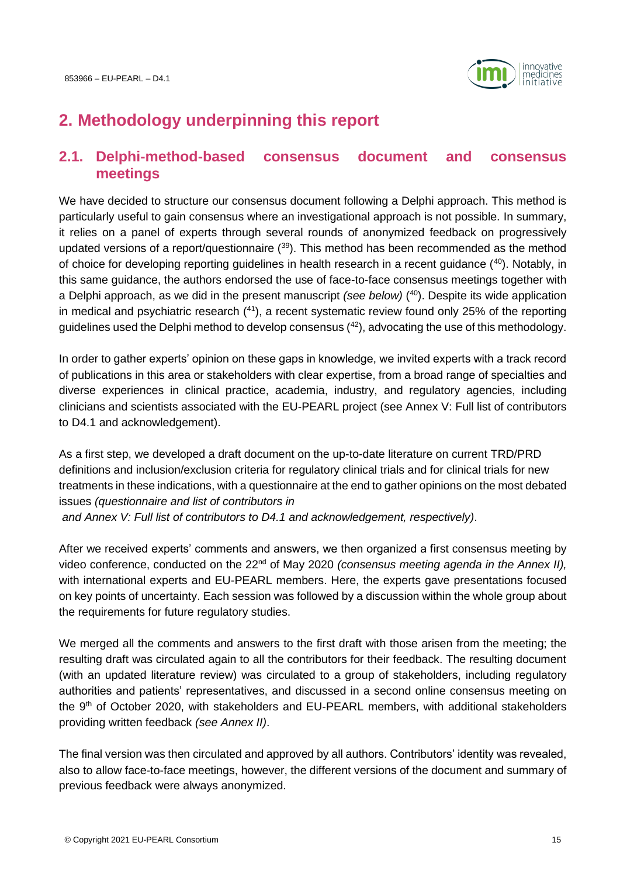

# <span id="page-14-0"></span>**2. Methodology underpinning this report**

# <span id="page-14-1"></span>**2.1. Delphi-method-based consensus document and consensus meetings**

We have decided to structure our consensus document following a Delphi approach. This method is particularly useful to gain consensus where an investigational approach is not possible. In summary, it relies on a panel of experts through several rounds of anonymized feedback on progressively updated versions of a report/questionnaire  $(39)$ . This method has been recommended as the method of choice for developing reporting guidelines in health research in a recent guidance  $(40)$ . Notably, in this same guidance, the authors endorsed the use of face-to-face consensus meetings together with a Delphi approach, as we did in the present manuscript *(see below)* ( <sup>40</sup>). Despite its wide application in medical and psychiatric research (41), a recent systematic review found only 25% of the reporting guidelines used the Delphi method to develop consensus  $(42)$ , advocating the use of this methodology.

In order to gather experts' opinion on these gaps in knowledge, we invited experts with a track record of publications in this area or stakeholders with clear expertise, from a broad range of specialties and diverse experiences in clinical practice, academia, industry, and regulatory agencies, including clinicians and scientists associated with the EU-PEARL project (see [Annex V: Full list of contributors](#page-66-0)  to D4.1 [and acknowledgement\)](#page-66-0).

As a first step, we developed a draft document on the up-to-date literature on current TRD/PRD definitions and inclusion/exclusion criteria for regulatory clinical trials and for clinical trials for new treatments in these indications, with a questionnaire at the end to gather opinions on the most debated issues *(questionnaire and list of contributors in and [Annex V: Full list of contributors to D4.1](#page-66-0) and acknowledgement, respectively)*.

After we received experts' comments and answers, we then organized a first consensus meeting by video conference, conducted on the 22nd of May 2020 *(consensus meeting agenda in the Annex II),* with international experts and EU-PEARL members. Here, the experts gave presentations focused on key points of uncertainty. Each session was followed by a discussion within the whole group about the requirements for future regulatory studies.

We merged all the comments and answers to the first draft with those arisen from the meeting; the resulting draft was circulated again to all the contributors for their feedback. The resulting document (with an updated literature review) was circulated to a group of stakeholders, including regulatory authorities and patients' representatives, and discussed in a second online consensus meeting on the 9<sup>th</sup> of October 2020, with stakeholders and EU-PEARL members, with additional stakeholders providing written feedback *(see Annex II)*.

The final version was then circulated and approved by all authors. Contributors' identity was revealed, also to allow face-to-face meetings, however, the different versions of the document and summary of previous feedback were always anonymized.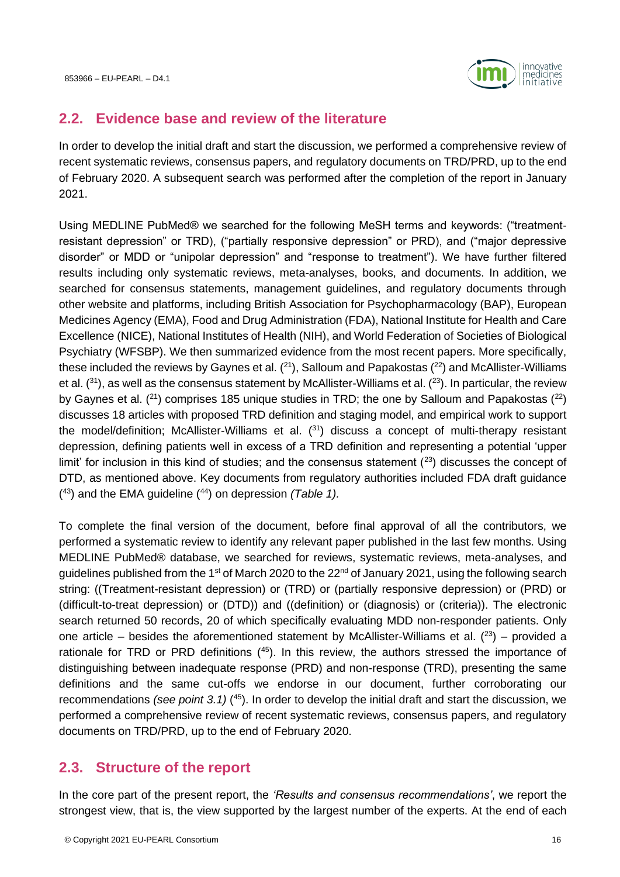

# <span id="page-15-0"></span>**2.2. Evidence base and review of the literature**

In order to develop the initial draft and start the discussion, we performed a comprehensive review of recent systematic reviews, consensus papers, and regulatory documents on TRD/PRD, up to the end of February 2020. A subsequent search was performed after the completion of the report in January 2021.

Using MEDLINE PubMed® we searched for the following MeSH terms and keywords: ("treatmentresistant depression" or TRD), ("partially responsive depression" or PRD), and ("major depressive disorder" or MDD or "unipolar depression" and "response to treatment"). We have further filtered results including only systematic reviews, meta-analyses, books, and documents. In addition, we searched for consensus statements, management guidelines, and regulatory documents through other website and platforms, including British Association for Psychopharmacology (BAP), European Medicines Agency (EMA), Food and Drug Administration (FDA), National Institute for Health and Care Excellence (NICE), National Institutes of Health (NIH), and World Federation of Societies of Biological Psychiatry (WFSBP). We then summarized evidence from the most recent papers. More specifically, these included the reviews by Gaynes et al.  $(2^1)$ , Salloum and Papakostas  $(2^2)$  and McAllister-Williams et al.  $(31)$ , as well as the consensus statement by McAllister-Williams et al.  $(23)$ . In particular, the review by Gaynes et al. ( $^{21}$ ) comprises 185 unique studies in TRD; the one by Salloum and Papakostas ( $^{22}$ ) discusses 18 articles with proposed TRD definition and staging model, and empirical work to support the model/definition; McAllister-Williams et al.  $(31)$  discuss a concept of multi-therapy resistant depression, defining patients well in excess of a TRD definition and representing a potential 'upper limit' for inclusion in this kind of studies; and the consensus statement  $(^{23})$  discusses the concept of DTD, as mentioned above. Key documents from regulatory authorities included FDA draft guidance ( <sup>43</sup>) and the EMA guideline (<sup>44</sup>) on depression *(Table 1).* 

To complete the final version of the document, before final approval of all the contributors, we performed a systematic review to identify any relevant paper published in the last few months. Using MEDLINE PubMed® database, we searched for reviews, systematic reviews, meta-analyses, and guidelines published from the 1<sup>st</sup> of March 2020 to the 22<sup>nd</sup> of January 2021, using the following search string: ((Treatment-resistant depression) or (TRD) or (partially responsive depression) or (PRD) or (difficult-to-treat depression) or (DTD)) and ((definition) or (diagnosis) or (criteria)). The electronic search returned 50 records, 20 of which specifically evaluating MDD non-responder patients. Only one article – besides the aforementioned statement by McAllister-Williams et al.  $(^{23})$  – provided a rationale for TRD or PRD definitions  $(45)$ . In this review, the authors stressed the importance of distinguishing between inadequate response (PRD) and non-response (TRD), presenting the same definitions and the same cut-offs we endorse in our document, further corroborating our recommendations *(see point [3.1\)](#page-18-1)* (<sup>45</sup>). In order to develop the initial draft and start the discussion, we performed a comprehensive review of recent systematic reviews, consensus papers, and regulatory documents on TRD/PRD, up to the end of February 2020.

# <span id="page-15-1"></span>**2.3. Structure of the report**

In the core part of the present report, the *'Results and consensus recommendations'*, we report the strongest view, that is, the view supported by the largest number of the experts. At the end of each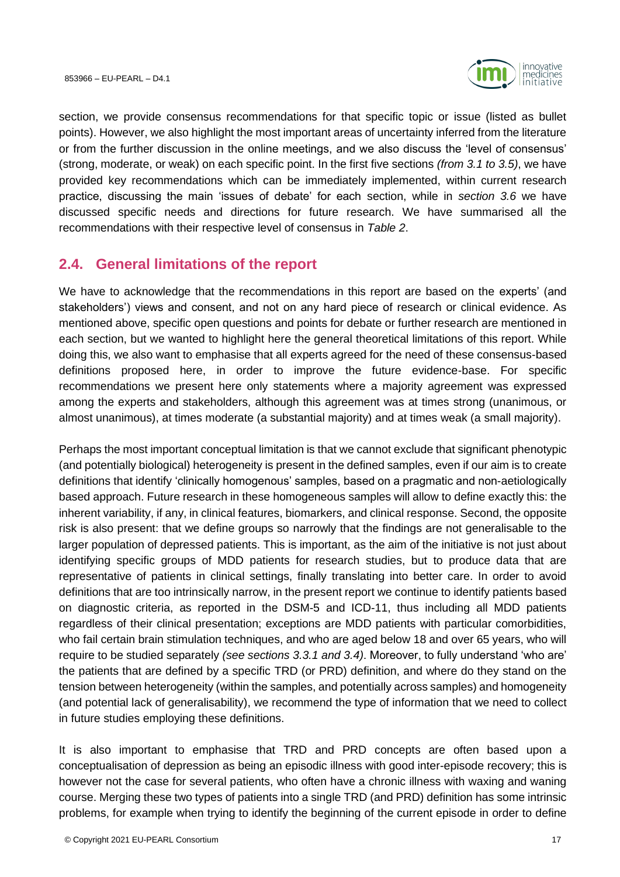

section, we provide consensus recommendations for that specific topic or issue (listed as bullet points). However, we also highlight the most important areas of uncertainty inferred from the literature or from the further discussion in the online meetings, and we also discuss the 'level of consensus' (strong, moderate, or weak) on each specific point. In the first five sections *(from [3.1](#page-18-1) to [3.5\)](#page-34-1)*, we have provided key recommendations which can be immediately implemented, within current research practice, discussing the main 'issues of debate' for each section, while in *section [3.6](#page-38-1)* we have discussed specific needs and directions for future research. We have summarised all the recommendations with their respective level of consensus in *Table 2*.

# <span id="page-16-0"></span>**2.4. General limitations of the report**

We have to acknowledge that the recommendations in this report are based on the experts' (and stakeholders') views and consent, and not on any hard piece of research or clinical evidence. As mentioned above, specific open questions and points for debate or further research are mentioned in each section, but we wanted to highlight here the general theoretical limitations of this report. While doing this, we also want to emphasise that all experts agreed for the need of these consensus-based definitions proposed here, in order to improve the future evidence-base. For specific recommendations we present here only statements where a majority agreement was expressed among the experts and stakeholders, although this agreement was at times strong (unanimous, or almost unanimous), at times moderate (a substantial majority) and at times weak (a small majority).

Perhaps the most important conceptual limitation is that we cannot exclude that significant phenotypic (and potentially biological) heterogeneity is present in the defined samples, even if our aim is to create definitions that identify 'clinically homogenous' samples, based on a pragmatic and non-aetiologically based approach. Future research in these homogeneous samples will allow to define exactly this: the inherent variability, if any, in clinical features, biomarkers, and clinical response. Second, the opposite risk is also present: that we define groups so narrowly that the findings are not generalisable to the larger population of depressed patients. This is important, as the aim of the initiative is not just about identifying specific groups of MDD patients for research studies, but to produce data that are representative of patients in clinical settings, finally translating into better care. In order to avoid definitions that are too intrinsically narrow, in the present report we continue to identify patients based on diagnostic criteria, as reported in the DSM-5 and ICD-11, thus including all MDD patients regardless of their clinical presentation; exceptions are MDD patients with particular comorbidities, who fail certain brain stimulation techniques, and who are aged below 18 and over 65 years, who will require to be studied separately *(see sections [3.3.1](#page-25-1) and [3.4\)](#page-32-0)*. Moreover, to fully understand 'who are' the patients that are defined by a specific TRD (or PRD) definition, and where do they stand on the tension between heterogeneity (within the samples, and potentially across samples) and homogeneity (and potential lack of generalisability), we recommend the type of information that we need to collect in future studies employing these definitions.

It is also important to emphasise that TRD and PRD concepts are often based upon a conceptualisation of depression as being an episodic illness with good inter-episode recovery; this is however not the case for several patients, who often have a chronic illness with waxing and waning course. Merging these two types of patients into a single TRD (and PRD) definition has some intrinsic problems, for example when trying to identify the beginning of the current episode in order to define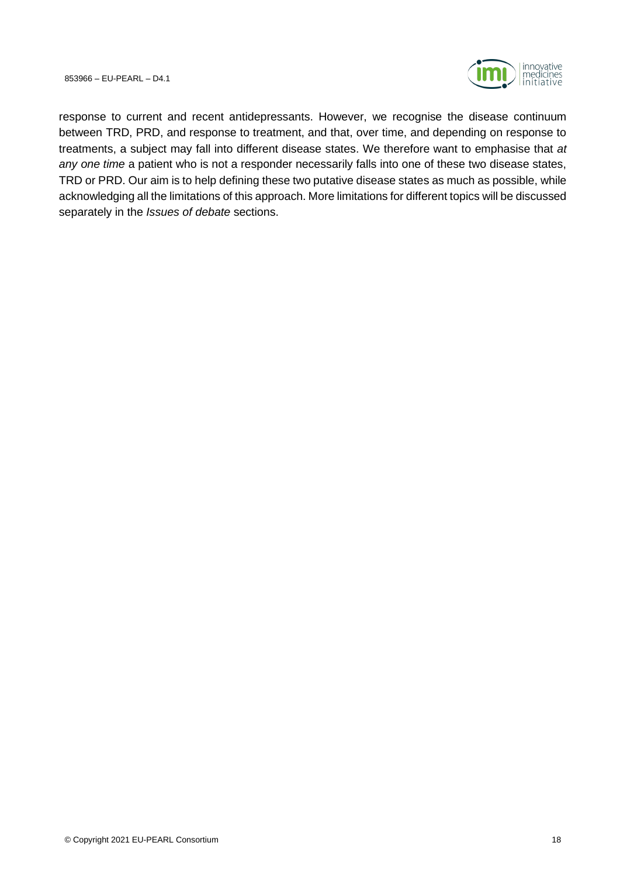

response to current and recent antidepressants. However, we recognise the disease continuum between TRD, PRD, and response to treatment, and that, over time, and depending on response to treatments, a subject may fall into different disease states. We therefore want to emphasise that *at any one time* a patient who is not a responder necessarily falls into one of these two disease states, TRD or PRD. Our aim is to help defining these two putative disease states as much as possible, while acknowledging all the limitations of this approach. More limitations for different topics will be discussed separately in the *Issues of debate* sections.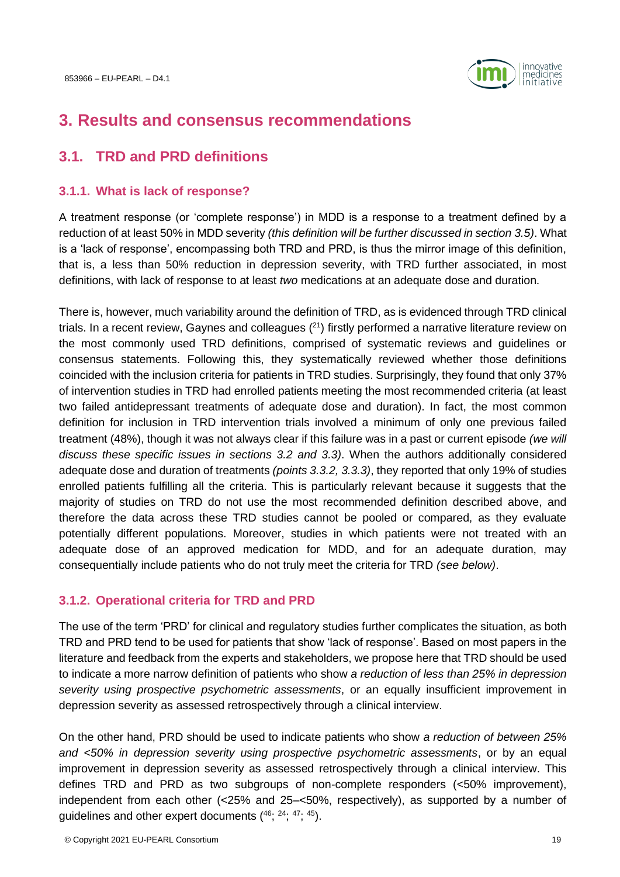

# <span id="page-18-0"></span>**3. Results and consensus recommendations**

# <span id="page-18-1"></span>**3.1. TRD and PRD definitions**

# <span id="page-18-2"></span>**3.1.1. What is lack of response?**

A treatment response (or 'complete response') in MDD is a response to a treatment defined by a reduction of at least 50% in MDD severity *(this definition will be further discussed in section [3.5\)](#page-34-1)*. What is a 'lack of response', encompassing both TRD and PRD, is thus the mirror image of this definition, that is, a less than 50% reduction in depression severity, with TRD further associated, in most definitions, with lack of response to at least *two* medications at an adequate dose and duration.

There is, however, much variability around the definition of TRD, as is evidenced through TRD clinical trials. In a recent review, Gaynes and colleagues  $(21)$  firstly performed a narrative literature review on the most commonly used TRD definitions, comprised of systematic reviews and guidelines or consensus statements. Following this, they systematically reviewed whether those definitions coincided with the inclusion criteria for patients in TRD studies. Surprisingly, they found that only 37% of intervention studies in TRD had enrolled patients meeting the most recommended criteria (at least two failed antidepressant treatments of adequate dose and duration). In fact, the most common definition for inclusion in TRD intervention trials involved a minimum of only one previous failed treatment (48%), though it was not always clear if this failure was in a past or current episode *(we will discuss these specific issues in sections [3.2](#page-21-0) and [3.3\)](#page-25-0)*. When the authors additionally considered adequate dose and duration of treatments *(point[s 3.3.2,](#page-27-0) [3.3.3\)](#page-27-1)*, they reported that only 19% of studies enrolled patients fulfilling all the criteria. This is particularly relevant because it suggests that the majority of studies on TRD do not use the most recommended definition described above, and therefore the data across these TRD studies cannot be pooled or compared, as they evaluate potentially different populations. Moreover, studies in which patients were not treated with an adequate dose of an approved medication for MDD, and for an adequate duration, may consequentially include patients who do not truly meet the criteria for TRD *(see below)*.

# <span id="page-18-3"></span>**3.1.2. Operational criteria for TRD and PRD**

The use of the term 'PRD' for clinical and regulatory studies further complicates the situation, as both TRD and PRD tend to be used for patients that show 'lack of response'. Based on most papers in the literature and feedback from the experts and stakeholders, we propose here that TRD should be used to indicate a more narrow definition of patients who show *a reduction of less than 25% in depression severity using prospective psychometric assessments*, or an equally insufficient improvement in depression severity as assessed retrospectively through a clinical interview.

On the other hand, PRD should be used to indicate patients who show *a reduction of between 25% and <50% in depression severity using prospective psychometric assessments*, or by an equal improvement in depression severity as assessed retrospectively through a clinical interview. This defines TRD and PRD as two subgroups of non-complete responders (<50% improvement), independent from each other (<25% and 25–<50%, respectively), as supported by a number of quidelines and other expert documents  $(46, 24, 47, 45)$ .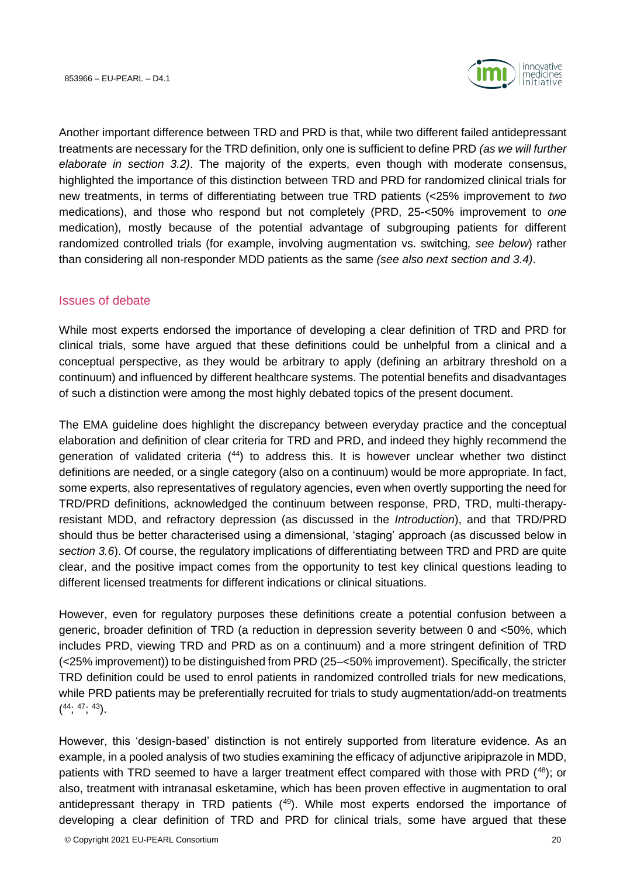

Another important difference between TRD and PRD is that, while two different failed antidepressant treatments are necessary for the TRD definition, only one is sufficient to define PRD *(as we will further elaborate in section [3.2\)](#page-21-0)*. The majority of the experts, even though with moderate consensus, highlighted the importance of this distinction between TRD and PRD for randomized clinical trials for new treatments, in terms of differentiating between true TRD patients (<25% improvement to *two* medications), and those who respond but not completely (PRD, 25-<50% improvement to *one* medication), mostly because of the potential advantage of subgrouping patients for different randomized controlled trials (for example, involving augmentation vs. switching*, see below*) rather than considering all non-responder MDD patients as the same *(see also next section and [3.4\)](#page-32-0)*.

# <span id="page-19-0"></span>Issues of debate

While most experts endorsed the importance of developing a clear definition of TRD and PRD for clinical trials, some have argued that these definitions could be unhelpful from a clinical and a conceptual perspective, as they would be arbitrary to apply (defining an arbitrary threshold on a continuum) and influenced by different healthcare systems. The potential benefits and disadvantages of such a distinction were among the most highly debated topics of the present document.

The EMA guideline does highlight the discrepancy between everyday practice and the conceptual elaboration and definition of clear criteria for TRD and PRD, and indeed they highly recommend the generation of validated criteria  $(44)$  to address this. It is however unclear whether two distinct definitions are needed, or a single category (also on a continuum) would be more appropriate. In fact, some experts, also representatives of regulatory agencies, even when overtly supporting the need for TRD/PRD definitions, acknowledged the continuum between response, PRD, TRD, multi-therapyresistant MDD, and refractory depression (as discussed in the *Introduction*), and that TRD/PRD should thus be better characterised using a dimensional, 'staging' approach (as discussed below in *section [3.6](#page-38-1)*). Of course, the regulatory implications of differentiating between TRD and PRD are quite clear, and the positive impact comes from the opportunity to test key clinical questions leading to different licensed treatments for different indications or clinical situations.

However, even for regulatory purposes these definitions create a potential confusion between a generic, broader definition of TRD (a reduction in depression severity between 0 and <50%, which includes PRD, viewing TRD and PRD as on a continuum) and a more stringent definition of TRD (<25% improvement)) to be distinguished from PRD (25–<50% improvement). Specifically, the stricter TRD definition could be used to enrol patients in randomized controlled trials for new medications, while PRD patients may be preferentially recruited for trials to study augmentation/add-on treatments  $(44; 47; 43)$ .

However, this 'design-based' distinction is not entirely supported from literature evidence. As an example, in a pooled analysis of two studies examining the efficacy of adjunctive aripiprazole in MDD, patients with TRD seemed to have a larger treatment effect compared with those with PRD (48); or also, treatment with intranasal esketamine, which has been proven effective in augmentation to oral antidepressant therapy in TRD patients  $(49)$ . While most experts endorsed the importance of developing a clear definition of TRD and PRD for clinical trials, some have argued that these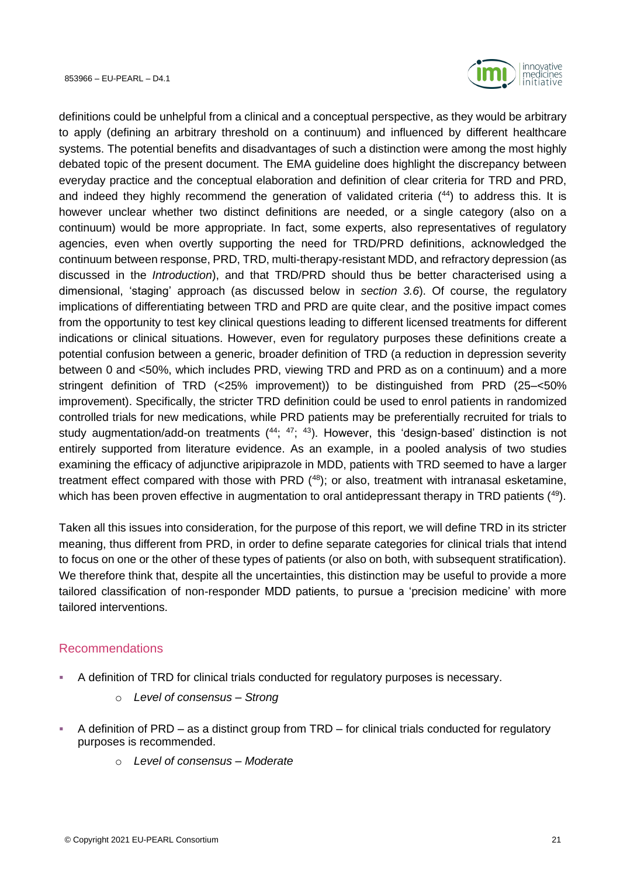

definitions could be unhelpful from a clinical and a conceptual perspective, as they would be arbitrary to apply (defining an arbitrary threshold on a continuum) and influenced by different healthcare systems. The potential benefits and disadvantages of such a distinction were among the most highly debated topic of the present document. The EMA guideline does highlight the discrepancy between everyday practice and the conceptual elaboration and definition of clear criteria for TRD and PRD, and indeed they highly recommend the generation of validated criteria (<sup>44</sup>) to address this. It is however unclear whether two distinct definitions are needed, or a single category (also on a continuum) would be more appropriate. In fact, some experts, also representatives of regulatory agencies, even when overtly supporting the need for TRD/PRD definitions, acknowledged the continuum between response, PRD, TRD, multi-therapy-resistant MDD, and refractory depression (as discussed in the *Introduction*), and that TRD/PRD should thus be better characterised using a dimensional, 'staging' approach (as discussed below in *section [3.6](#page-38-1)*). Of course, the regulatory implications of differentiating between TRD and PRD are quite clear, and the positive impact comes from the opportunity to test key clinical questions leading to different licensed treatments for different indications or clinical situations. However, even for regulatory purposes these definitions create a potential confusion between a generic, broader definition of TRD (a reduction in depression severity between 0 and <50%, which includes PRD, viewing TRD and PRD as on a continuum) and a more stringent definition of TRD (<25% improvement)) to be distinguished from PRD (25–<50% improvement). Specifically, the stricter TRD definition could be used to enrol patients in randomized controlled trials for new medications, while PRD patients may be preferentially recruited for trials to study augmentation/add-on treatments (44; 47; 43). However, this 'design-based' distinction is not entirely supported from literature evidence. As an example, in a pooled analysis of two studies examining the efficacy of adjunctive aripiprazole in MDD, patients with TRD seemed to have a larger treatment effect compared with those with PRD  $(48)$ ; or also, treatment with intranasal esketamine, which has been proven effective in augmentation to oral antidepressant therapy in TRD patients (49).

Taken all this issues into consideration, for the purpose of this report, we will define TRD in its stricter meaning, thus different from PRD, in order to define separate categories for clinical trials that intend to focus on one or the other of these types of patients (or also on both, with subsequent stratification). We therefore think that, despite all the uncertainties, this distinction may be useful to provide a more tailored classification of non-responder MDD patients, to pursue a 'precision medicine' with more tailored interventions.

# <span id="page-20-0"></span>Recommendations

- A definition of TRD for clinical trials conducted for regulatory purposes is necessary.
	- o *Level of consensus – Strong*
- A definition of  $PRD as a$  distinct group from  $TRD for$  clinical trials conducted for regulatory purposes is recommended.
	- o *Level of consensus – Moderate*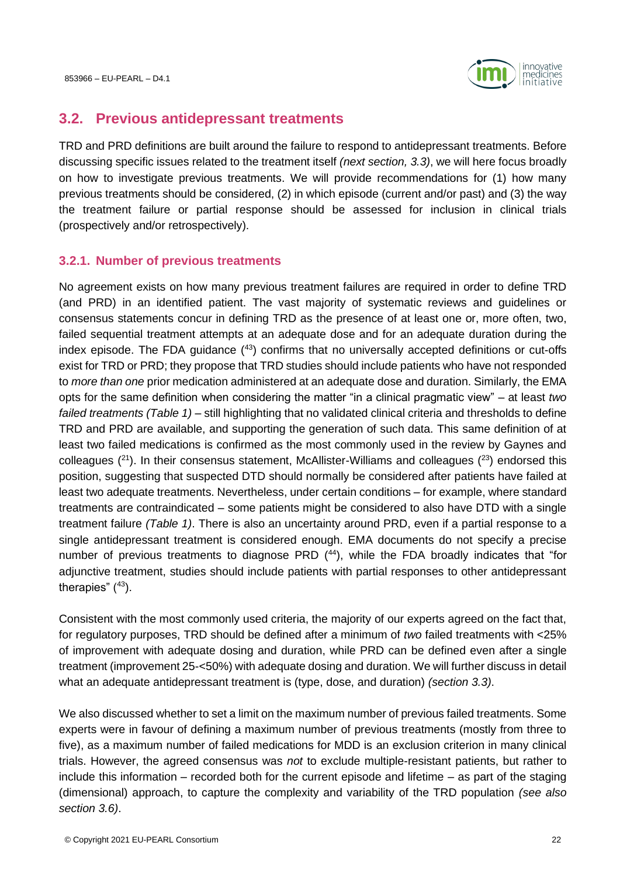

# <span id="page-21-0"></span>**3.2. Previous antidepressant treatments**

TRD and PRD definitions are built around the failure to respond to antidepressant treatments. Before discussing specific issues related to the treatment itself *(next section, [3.3\)](#page-25-0)*, we will here focus broadly on how to investigate previous treatments. We will provide recommendations for (1) how many previous treatments should be considered, (2) in which episode (current and/or past) and (3) the way the treatment failure or partial response should be assessed for inclusion in clinical trials (prospectively and/or retrospectively).

# <span id="page-21-1"></span>**3.2.1. Number of previous treatments**

No agreement exists on how many previous treatment failures are required in order to define TRD (and PRD) in an identified patient. The vast majority of systematic reviews and guidelines or consensus statements concur in defining TRD as the presence of at least one or, more often, two, failed sequential treatment attempts at an adequate dose and for an adequate duration during the index episode. The FDA guidance  $(43)$  confirms that no universally accepted definitions or cut-offs exist for TRD or PRD; they propose that TRD studies should include patients who have not responded to *more than one* prior medication administered at an adequate dose and duration. Similarly, the EMA opts for the same definition when considering the matter "in a clinical pragmatic view" – at least *two failed treatments (Table 1)* – still highlighting that no validated clinical criteria and thresholds to define TRD and PRD are available, and supporting the generation of such data. This same definition of at least two failed medications is confirmed as the most commonly used in the review by Gaynes and colleagues  $(2^1)$ . In their consensus statement, McAllister-Williams and colleagues  $(2^3)$  endorsed this position, suggesting that suspected DTD should normally be considered after patients have failed at least two adequate treatments. Nevertheless, under certain conditions – for example, where standard treatments are contraindicated – some patients might be considered to also have DTD with a single treatment failure *(Table 1)*. There is also an uncertainty around PRD, even if a partial response to a single antidepressant treatment is considered enough. EMA documents do not specify a precise number of previous treatments to diagnose PRD  $(44)$ , while the FDA broadly indicates that "for adjunctive treatment, studies should include patients with partial responses to other antidepressant therapies"  $(43)$ .

Consistent with the most commonly used criteria, the majority of our experts agreed on the fact that, for regulatory purposes, TRD should be defined after a minimum of *two* failed treatments with <25% of improvement with adequate dosing and duration, while PRD can be defined even after a single treatment (improvement 25-<50%) with adequate dosing and duration. We will further discuss in detail what an adequate antidepressant treatment is (type, dose, and duration) *(section [3.3\)](#page-25-0)*.

We also discussed whether to set a limit on the maximum number of previous failed treatments. Some experts were in favour of defining a maximum number of previous treatments (mostly from three to five), as a maximum number of failed medications for MDD is an exclusion criterion in many clinical trials. However, the agreed consensus was *not* to exclude multiple-resistant patients, but rather to include this information – recorded both for the current episode and lifetime – as part of the staging (dimensional) approach, to capture the complexity and variability of the TRD population *(see also section [3.6\)](#page-38-1)*.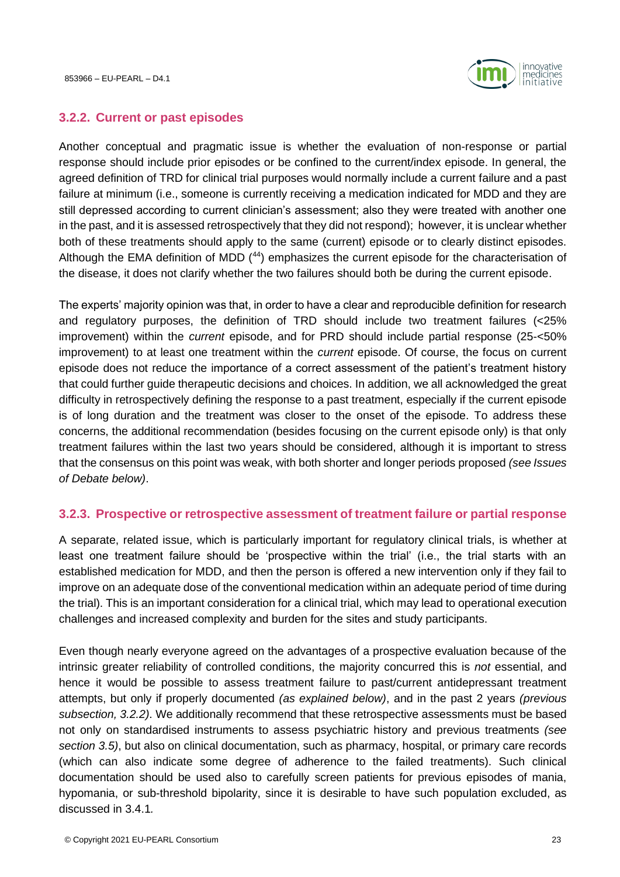

#### <span id="page-22-0"></span>**3.2.2. Current or past episodes**

Another conceptual and pragmatic issue is whether the evaluation of non-response or partial response should include prior episodes or be confined to the current/index episode. In general, the agreed definition of TRD for clinical trial purposes would normally include a current failure and a past failure at minimum (i.e., someone is currently receiving a medication indicated for MDD and they are still depressed according to current clinician's assessment; also they were treated with another one in the past, and it is assessed retrospectively that they did not respond); however, it is unclear whether both of these treatments should apply to the same (current) episode or to clearly distinct episodes. Although the EMA definition of MDD (44) emphasizes the current episode for the characterisation of the disease, it does not clarify whether the two failures should both be during the current episode.

The experts' majority opinion was that, in order to have a clear and reproducible definition for research and regulatory purposes, the definition of TRD should include two treatment failures (<25% improvement) within the *current* episode, and for PRD should include partial response (25-<50% improvement) to at least one treatment within the *current* episode. Of course, the focus on current episode does not reduce the importance of a correct assessment of the patient's treatment history that could further guide therapeutic decisions and choices. In addition, we all acknowledged the great difficulty in retrospectively defining the response to a past treatment, especially if the current episode is of long duration and the treatment was closer to the onset of the episode. To address these concerns, the additional recommendation (besides focusing on the current episode only) is that only treatment failures within the last two years should be considered, although it is important to stress that the consensus on this point was weak, with both shorter and longer periods proposed *(see Issues of Debate below)*.

#### <span id="page-22-1"></span>**3.2.3. Prospective or retrospective assessment of treatment failure or partial response**

A separate, related issue, which is particularly important for regulatory clinical trials, is whether at least one treatment failure should be 'prospective within the trial' (i.e., the trial starts with an established medication for MDD, and then the person is offered a new intervention only if they fail to improve on an adequate dose of the conventional medication within an adequate period of time during the trial). This is an important consideration for a clinical trial, which may lead to operational execution challenges and increased complexity and burden for the sites and study participants.

Even though nearly everyone agreed on the advantages of a prospective evaluation because of the intrinsic greater reliability of controlled conditions, the majority concurred this is *not* essential, and hence it would be possible to assess treatment failure to past/current antidepressant treatment attempts, but only if properly documented *(as explained below)*, and in the past 2 years *(previous subsection, [3.2.2\)](#page-22-0)*. We additionally recommend that these retrospective assessments must be based not only on standardised instruments to assess psychiatric history and previous treatments *(see section [3.5\)](#page-34-1)*, but also on clinical documentation, such as pharmacy, hospital, or primary care records (which can also indicate some degree of adherence to the failed treatments). Such clinical documentation should be used also to carefully screen patients for previous episodes of mania, hypomania, or sub-threshold bipolarity, since it is desirable to have such population excluded, as discussed in [3.4.1](#page-32-1)*.*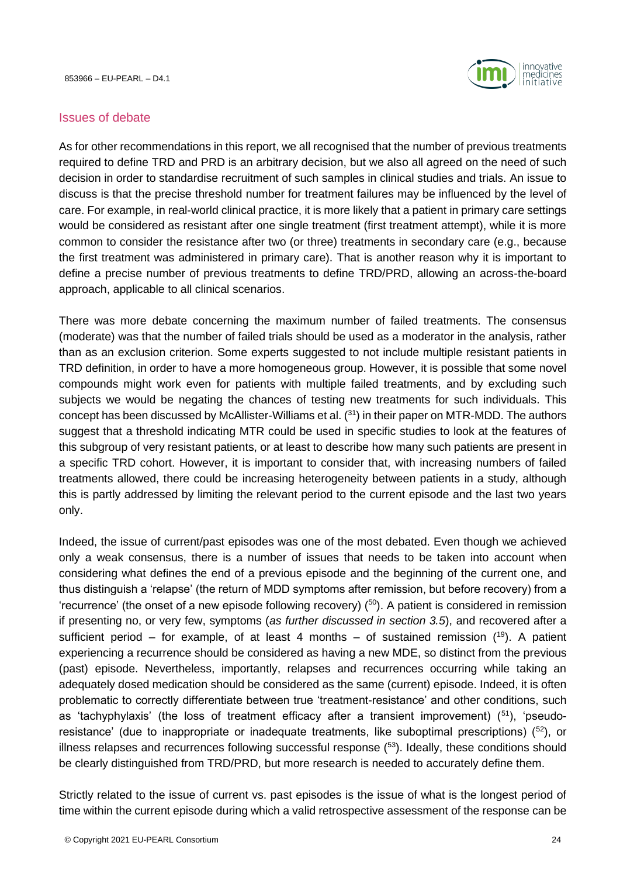

#### <span id="page-23-0"></span>Issues of debate

As for other recommendations in this report, we all recognised that the number of previous treatments required to define TRD and PRD is an arbitrary decision, but we also all agreed on the need of such decision in order to standardise recruitment of such samples in clinical studies and trials. An issue to discuss is that the precise threshold number for treatment failures may be influenced by the level of care. For example, in real-world clinical practice, it is more likely that a patient in primary care settings would be considered as resistant after one single treatment (first treatment attempt), while it is more common to consider the resistance after two (or three) treatments in secondary care (e.g., because the first treatment was administered in primary care). That is another reason why it is important to define a precise number of previous treatments to define TRD/PRD, allowing an across-the-board approach, applicable to all clinical scenarios.

There was more debate concerning the maximum number of failed treatments. The consensus (moderate) was that the number of failed trials should be used as a moderator in the analysis, rather than as an exclusion criterion. Some experts suggested to not include multiple resistant patients in TRD definition, in order to have a more homogeneous group. However, it is possible that some novel compounds might work even for patients with multiple failed treatments, and by excluding such subjects we would be negating the chances of testing new treatments for such individuals. This concept has been discussed by McAllister-Williams et al.  $(31)$  in their paper on MTR-MDD. The authors suggest that a threshold indicating MTR could be used in specific studies to look at the features of this subgroup of very resistant patients, or at least to describe how many such patients are present in a specific TRD cohort. However, it is important to consider that, with increasing numbers of failed treatments allowed, there could be increasing heterogeneity between patients in a study, although this is partly addressed by limiting the relevant period to the current episode and the last two years only.

Indeed, the issue of current/past episodes was one of the most debated. Even though we achieved only a weak consensus, there is a number of issues that needs to be taken into account when considering what defines the end of a previous episode and the beginning of the current one, and thus distinguish a 'relapse' (the return of MDD symptoms after remission, but before recovery) from a 'recurrence' (the onset of a new episode following recovery)  $(50)$ . A patient is considered in remission if presenting no, or very few, symptoms (*as further discussed in section 3.5*), and recovered after a sufficient period – for example, of at least 4 months – of sustained remission  $(^{19})$ . A patient experiencing a recurrence should be considered as having a new MDE, so distinct from the previous (past) episode. Nevertheless, importantly, relapses and recurrences occurring while taking an adequately dosed medication should be considered as the same (current) episode. Indeed, it is often problematic to correctly differentiate between true 'treatment-resistance' and other conditions, such as 'tachyphylaxis' (the loss of treatment efficacy after a transient improvement)  $(51)$ , 'pseudoresistance' (due to inappropriate or inadequate treatments, like suboptimal prescriptions) (<sup>52</sup>), or illness relapses and recurrences following successful response  $(53)$ . Ideally, these conditions should be clearly distinguished from TRD/PRD, but more research is needed to accurately define them.

Strictly related to the issue of current vs. past episodes is the issue of what is the longest period of time within the current episode during which a valid retrospective assessment of the response can be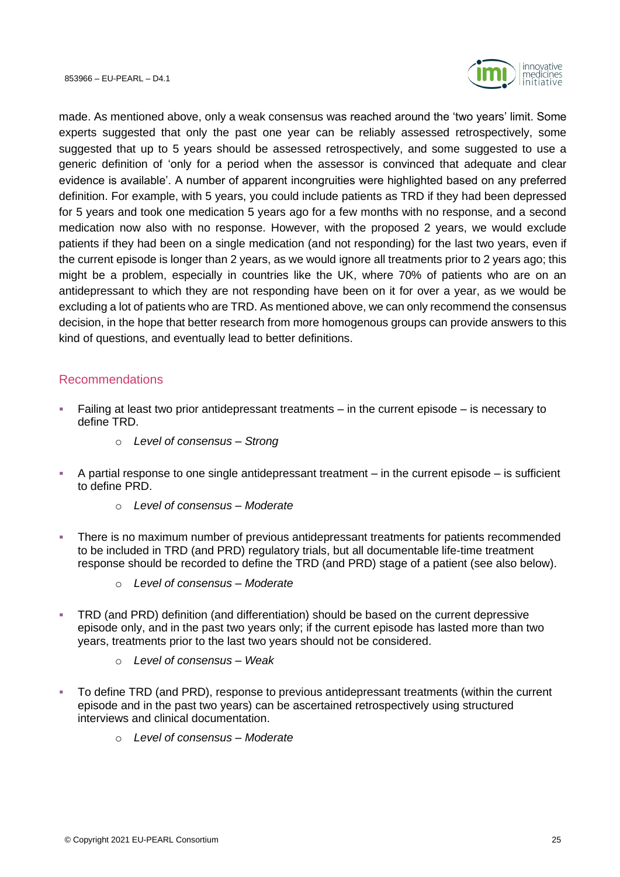

made. As mentioned above, only a weak consensus was reached around the 'two years' limit. Some experts suggested that only the past one year can be reliably assessed retrospectively, some suggested that up to 5 years should be assessed retrospectively, and some suggested to use a generic definition of 'only for a period when the assessor is convinced that adequate and clear evidence is available'. A number of apparent incongruities were highlighted based on any preferred definition. For example, with 5 years, you could include patients as TRD if they had been depressed for 5 years and took one medication 5 years ago for a few months with no response, and a second medication now also with no response. However, with the proposed 2 years, we would exclude patients if they had been on a single medication (and not responding) for the last two years, even if the current episode is longer than 2 years, as we would ignore all treatments prior to 2 years ago; this might be a problem, especially in countries like the UK, where 70% of patients who are on an antidepressant to which they are not responding have been on it for over a year, as we would be excluding a lot of patients who are TRD. As mentioned above, we can only recommend the consensus decision, in the hope that better research from more homogenous groups can provide answers to this kind of questions, and eventually lead to better definitions.

# <span id="page-24-0"></span>Recommendations

- Failing at least two prior antidepressant treatments  $-$  in the current episode  $-$  is necessary to define TRD.
	- o *Level of consensus – Strong*
- $\blacksquare$  A partial response to one single antidepressant treatment in the current episode is sufficient to define PRD.
	- o *Level of consensus – Moderate*
- There is no maximum number of previous antidepressant treatments for patients recommended to be included in TRD (and PRD) regulatory trials, but all documentable life-time treatment response should be recorded to define the TRD (and PRD) stage of a patient (see also below).
	- o *Level of consensus – Moderate*
- TRD (and PRD) definition (and differentiation) should be based on the current depressive episode only, and in the past two years only; if the current episode has lasted more than two years, treatments prior to the last two years should not be considered.
	- o *Level of consensus – Weak*
- To define TRD (and PRD), response to previous antidepressant treatments (within the current episode and in the past two years) can be ascertained retrospectively using structured interviews and clinical documentation.
	- o *Level of consensus – Moderate*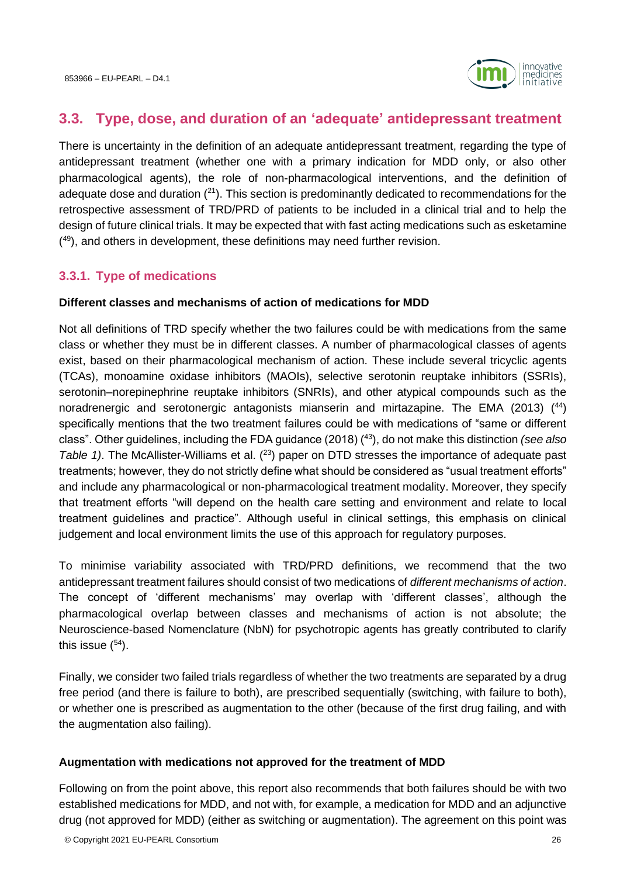

# <span id="page-25-0"></span>**3.3. Type, dose, and duration of an 'adequate' antidepressant treatment**

There is uncertainty in the definition of an adequate antidepressant treatment, regarding the type of antidepressant treatment (whether one with a primary indication for MDD only, or also other pharmacological agents), the role of non-pharmacological interventions, and the definition of adequate dose and duration  $(2^1)$ . This section is predominantly dedicated to recommendations for the retrospective assessment of TRD/PRD of patients to be included in a clinical trial and to help the design of future clinical trials. It may be expected that with fast acting medications such as esketamine ( <sup>49</sup>), and others in development, these definitions may need further revision.

# <span id="page-25-1"></span>**3.3.1. Type of medications**

#### **Different classes and mechanisms of action of medications for MDD**

Not all definitions of TRD specify whether the two failures could be with medications from the same class or whether they must be in different classes. A number of pharmacological classes of agents exist, based on their pharmacological mechanism of action. These include several tricyclic agents (TCAs), monoamine oxidase inhibitors (MAOIs), selective serotonin reuptake inhibitors (SSRIs), serotonin–norepinephrine reuptake inhibitors (SNRIs), and other atypical compounds such as the noradrenergic and serotonergic antagonists mianserin and mirtazapine. The EMA (2013) ( <sup>44</sup>) specifically mentions that the two treatment failures could be with medications of "same or different class". Other guidelines, including the FDA guidance (2018) ( <sup>43</sup>), do not make this distinction *(see also*  Table 1). The McAllister-Williams et al. (<sup>23</sup>) paper on DTD stresses the importance of adequate past treatments; however, they do not strictly define what should be considered as "usual treatment efforts" and include any pharmacological or non-pharmacological treatment modality. Moreover, they specify that treatment efforts "will depend on the health care setting and environment and relate to local treatment guidelines and practice". Although useful in clinical settings, this emphasis on clinical judgement and local environment limits the use of this approach for regulatory purposes.

To minimise variability associated with TRD/PRD definitions, we recommend that the two antidepressant treatment failures should consist of two medications of *different mechanisms of action*. The concept of 'different mechanisms' may overlap with 'different classes', although the pharmacological overlap between classes and mechanisms of action is not absolute; the Neuroscience-based Nomenclature (NbN) for psychotropic agents has greatly contributed to clarify this issue  $(54)$ .

Finally, we consider two failed trials regardless of whether the two treatments are separated by a drug free period (and there is failure to both), are prescribed sequentially (switching, with failure to both), or whether one is prescribed as augmentation to the other (because of the first drug failing, and with the augmentation also failing).

#### **Augmentation with medications not approved for the treatment of MDD**

Following on from the point above, this report also recommends that both failures should be with two established medications for MDD, and not with, for example, a medication for MDD and an adjunctive drug (not approved for MDD) (either as switching or augmentation). The agreement on this point was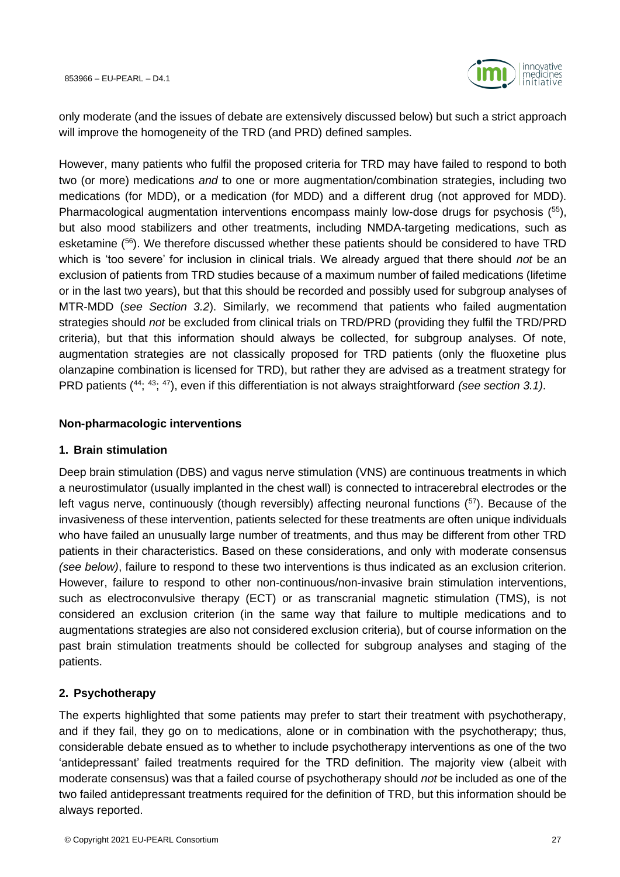

only moderate (and the issues of debate are extensively discussed below) but such a strict approach will improve the homogeneity of the TRD (and PRD) defined samples.

However, many patients who fulfil the proposed criteria for TRD may have failed to respond to both two (or more) medications *and* to one or more augmentation/combination strategies, including two medications (for MDD), or a medication (for MDD) and a different drug (not approved for MDD). Pharmacological augmentation interventions encompass mainly low-dose drugs for psychosis (<sup>55</sup>), but also mood stabilizers and other treatments, including NMDA-targeting medications, such as esketamine (<sup>56</sup>). We therefore discussed whether these patients should be considered to have TRD which is 'too severe' for inclusion in clinical trials. We already argued that there should *not* be an exclusion of patients from TRD studies because of a maximum number of failed medications (lifetime or in the last two years), but that this should be recorded and possibly used for subgroup analyses of MTR-MDD (*see Section [3.2](#page-21-0)*). Similarly, we recommend that patients who failed augmentation strategies should *not* be excluded from clinical trials on TRD/PRD (providing they fulfil the TRD/PRD criteria), but that this information should always be collected, for subgroup analyses. Of note, augmentation strategies are not classically proposed for TRD patients (only the fluoxetine plus olanzapine combination is licensed for TRD), but rather they are advised as a treatment strategy for PRD patients (<sup>44</sup>; <sup>43</sup>; <sup>47</sup>), even if this differentiation is not always straightforward *(see section [3.1\)](#page-18-1)*.

#### **Non-pharmacologic interventions**

#### **1. Brain stimulation**

Deep brain stimulation (DBS) and vagus nerve stimulation (VNS) are continuous treatments in which a neurostimulator (usually implanted in the chest wall) is connected to intracerebral electrodes or the left vagus nerve, continuously (though reversibly) affecting neuronal functions  $\binom{57}{7}$ . Because of the invasiveness of these intervention, patients selected for these treatments are often unique individuals who have failed an unusually large number of treatments, and thus may be different from other TRD patients in their characteristics. Based on these considerations, and only with moderate consensus *(see below)*, failure to respond to these two interventions is thus indicated as an exclusion criterion. However, failure to respond to other non-continuous/non-invasive brain stimulation interventions, such as electroconvulsive therapy (ECT) or as transcranial magnetic stimulation (TMS), is not considered an exclusion criterion (in the same way that failure to multiple medications and to augmentations strategies are also not considered exclusion criteria), but of course information on the past brain stimulation treatments should be collected for subgroup analyses and staging of the patients.

#### **2. Psychotherapy**

The experts highlighted that some patients may prefer to start their treatment with psychotherapy, and if they fail, they go on to medications, alone or in combination with the psychotherapy; thus, considerable debate ensued as to whether to include psychotherapy interventions as one of the two 'antidepressant' failed treatments required for the TRD definition. The majority view (albeit with moderate consensus) was that a failed course of psychotherapy should *not* be included as one of the two failed antidepressant treatments required for the definition of TRD, but this information should be always reported.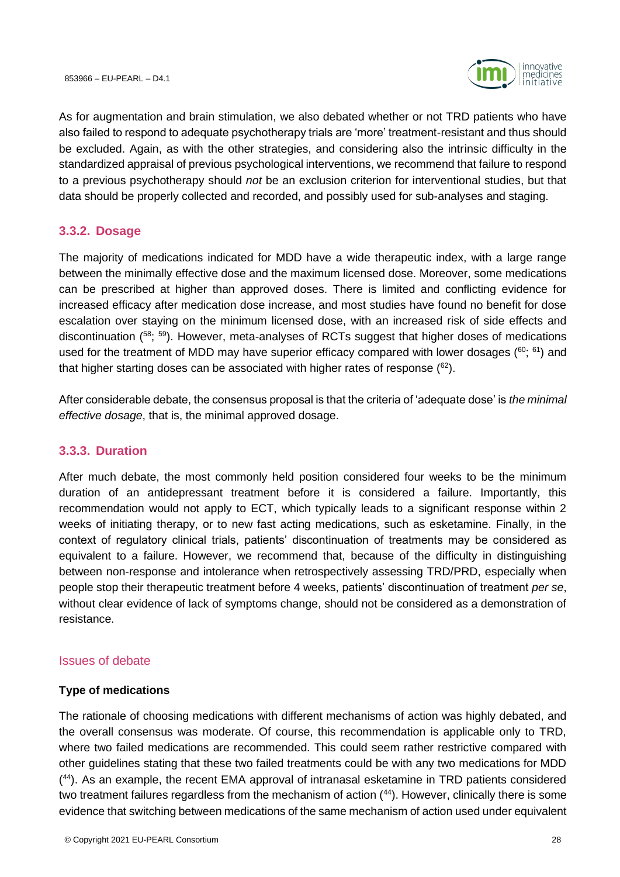

As for augmentation and brain stimulation, we also debated whether or not TRD patients who have also failed to respond to adequate psychotherapy trials are 'more' treatment-resistant and thus should be excluded. Again, as with the other strategies, and considering also the intrinsic difficulty in the standardized appraisal of previous psychological interventions, we recommend that failure to respond to a previous psychotherapy should *not* be an exclusion criterion for interventional studies, but that data should be properly collected and recorded, and possibly used for sub-analyses and staging.

# <span id="page-27-0"></span>**3.3.2. Dosage**

The majority of medications indicated for MDD have a wide therapeutic index, with a large range between the minimally effective dose and the maximum licensed dose. Moreover, some medications can be prescribed at higher than approved doses. There is limited and conflicting evidence for increased efficacy after medication dose increase, and most studies have found no benefit for dose escalation over staying on the minimum licensed dose, with an increased risk of side effects and discontinuation ( <sup>58</sup>; <sup>59</sup>). However, meta-analyses of RCTs suggest that higher doses of medications used for the treatment of MDD may have superior efficacy compared with lower dosages  $(^{60}; ^{61})$  and that higher starting doses can be associated with higher rates of response ( ${}^{62}$ ).

After considerable debate, the consensus proposal is that the criteria of 'adequate dose' is *the minimal effective dosage*, that is, the minimal approved dosage.

# <span id="page-27-1"></span>**3.3.3. Duration**

After much debate, the most commonly held position considered four weeks to be the minimum duration of an antidepressant treatment before it is considered a failure. Importantly, this recommendation would not apply to ECT, which typically leads to a significant response within 2 weeks of initiating therapy, or to new fast acting medications, such as esketamine. Finally, in the context of regulatory clinical trials, patients' discontinuation of treatments may be considered as equivalent to a failure. However, we recommend that, because of the difficulty in distinguishing between non-response and intolerance when retrospectively assessing TRD/PRD, especially when people stop their therapeutic treatment before 4 weeks, patients' discontinuation of treatment *per se*, without clear evidence of lack of symptoms change, should not be considered as a demonstration of resistance.

# <span id="page-27-2"></span>Issues of debate

# **Type of medications**

The rationale of choosing medications with different mechanisms of action was highly debated, and the overall consensus was moderate. Of course, this recommendation is applicable only to TRD, where two failed medications are recommended. This could seem rather restrictive compared with other guidelines stating that these two failed treatments could be with any two medications for MDD ( <sup>44</sup>). As an example, the recent EMA approval of intranasal esketamine in TRD patients considered two treatment failures regardless from the mechanism of action  $(44)$ . However, clinically there is some evidence that switching between medications of the same mechanism of action used under equivalent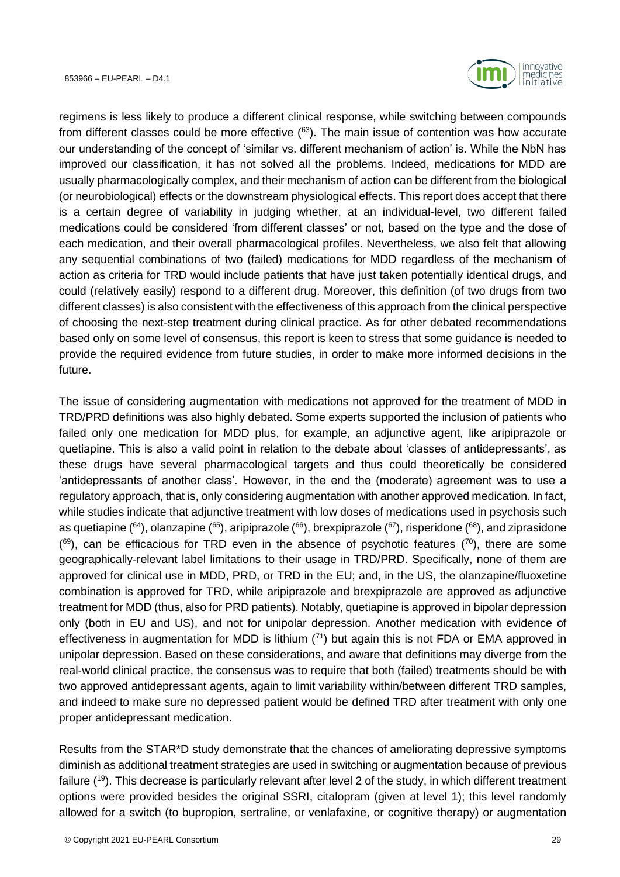

regimens is less likely to produce a different clinical response, while switching between compounds from different classes could be more effective  $(^{63})$ . The main issue of contention was how accurate our understanding of the concept of 'similar vs. different mechanism of action' is. While the NbN has improved our classification, it has not solved all the problems. Indeed, medications for MDD are usually pharmacologically complex, and their mechanism of action can be different from the biological (or neurobiological) effects or the downstream physiological effects. This report does accept that there is a certain degree of variability in judging whether, at an individual-level, two different failed medications could be considered 'from different classes' or not, based on the type and the dose of each medication, and their overall pharmacological profiles. Nevertheless, we also felt that allowing any sequential combinations of two (failed) medications for MDD regardless of the mechanism of action as criteria for TRD would include patients that have just taken potentially identical drugs, and could (relatively easily) respond to a different drug. Moreover, this definition (of two drugs from two different classes) is also consistent with the effectiveness of this approach from the clinical perspective of choosing the next-step treatment during clinical practice. As for other debated recommendations based only on some level of consensus, this report is keen to stress that some guidance is needed to provide the required evidence from future studies, in order to make more informed decisions in the future.

The issue of considering augmentation with medications not approved for the treatment of MDD in TRD/PRD definitions was also highly debated. Some experts supported the inclusion of patients who failed only one medication for MDD plus, for example, an adjunctive agent, like aripiprazole or quetiapine. This is also a valid point in relation to the debate about 'classes of antidepressants', as these drugs have several pharmacological targets and thus could theoretically be considered 'antidepressants of another class'. However, in the end the (moderate) agreement was to use a regulatory approach, that is, only considering augmentation with another approved medication. In fact, while studies indicate that adjunctive treatment with low doses of medications used in psychosis such as quetiapine ( $64$ ), olanzapine ( $65$ ), aripiprazole ( $66$ ), brexpiprazole ( $67$ ), risperidone ( $68$ ), and ziprasidone  $(69)$ , can be efficacious for TRD even in the absence of psychotic features  $(70)$ , there are some geographically-relevant label limitations to their usage in TRD/PRD. Specifically, none of them are approved for clinical use in MDD, PRD, or TRD in the EU; and, in the US, the olanzapine/fluoxetine combination is approved for TRD, while aripiprazole and brexpiprazole are approved as adjunctive treatment for MDD (thus, also for PRD patients). Notably, quetiapine is approved in bipolar depression only (both in EU and US), and not for unipolar depression. Another medication with evidence of effectiveness in augmentation for MDD is lithium  $(^{71})$  but again this is not FDA or EMA approved in unipolar depression. Based on these considerations, and aware that definitions may diverge from the real-world clinical practice, the consensus was to require that both (failed) treatments should be with two approved antidepressant agents, again to limit variability within/between different TRD samples, and indeed to make sure no depressed patient would be defined TRD after treatment with only one proper antidepressant medication.

Results from the STAR\*D study demonstrate that the chances of ameliorating depressive symptoms diminish as additional treatment strategies are used in switching or augmentation because of previous failure (<sup>19</sup>). This decrease is particularly relevant after level 2 of the study, in which different treatment options were provided besides the original SSRI, citalopram (given at level 1); this level randomly allowed for a switch (to bupropion, sertraline, or venlafaxine, or cognitive therapy) or augmentation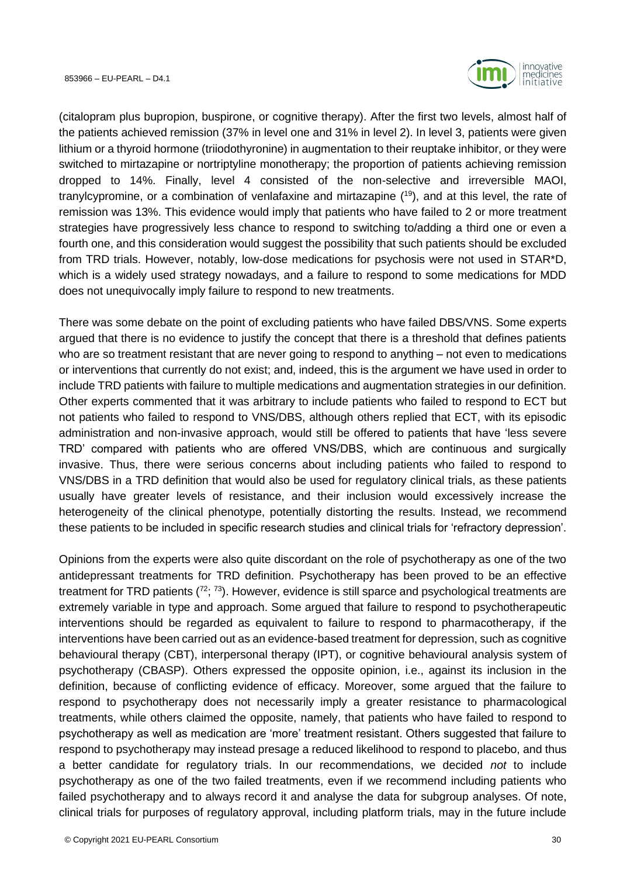

(citalopram plus bupropion, buspirone, or cognitive therapy). After the first two levels, almost half of the patients achieved remission (37% in level one and 31% in level 2). In level 3, patients were given lithium or a thyroid hormone (triiodothyronine) in augmentation to their reuptake inhibitor, or they were switched to mirtazapine or nortriptyline monotherapy; the proportion of patients achieving remission dropped to 14%. Finally, level 4 consisted of the non-selective and irreversible MAOI, tranylcypromine, or a combination of venlafaxine and mirtazapine ( <sup>19</sup>), and at this level, the rate of remission was 13%. This evidence would imply that patients who have failed to 2 or more treatment strategies have progressively less chance to respond to switching to/adding a third one or even a fourth one, and this consideration would suggest the possibility that such patients should be excluded from TRD trials. However, notably, low-dose medications for psychosis were not used in STAR\*D, which is a widely used strategy nowadays, and a failure to respond to some medications for MDD does not unequivocally imply failure to respond to new treatments.

There was some debate on the point of excluding patients who have failed DBS/VNS. Some experts argued that there is no evidence to justify the concept that there is a threshold that defines patients who are so treatment resistant that are never going to respond to anything – not even to medications or interventions that currently do not exist; and, indeed, this is the argument we have used in order to include TRD patients with failure to multiple medications and augmentation strategies in our definition. Other experts commented that it was arbitrary to include patients who failed to respond to ECT but not patients who failed to respond to VNS/DBS, although others replied that ECT, with its episodic administration and non-invasive approach, would still be offered to patients that have 'less severe TRD' compared with patients who are offered VNS/DBS, which are continuous and surgically invasive. Thus, there were serious concerns about including patients who failed to respond to VNS/DBS in a TRD definition that would also be used for regulatory clinical trials, as these patients usually have greater levels of resistance, and their inclusion would excessively increase the heterogeneity of the clinical phenotype, potentially distorting the results. Instead, we recommend these patients to be included in specific research studies and clinical trials for 'refractory depression'.

Opinions from the experts were also quite discordant on the role of psychotherapy as one of the two antidepressant treatments for TRD definition. Psychotherapy has been proved to be an effective treatment for TRD patients  $(^{72}$ ;  $^{73}$ ). However, evidence is still sparce and psychological treatments are extremely variable in type and approach. Some argued that failure to respond to psychotherapeutic interventions should be regarded as equivalent to failure to respond to pharmacotherapy, if the interventions have been carried out as an evidence-based treatment for depression, such as cognitive behavioural therapy (CBT), interpersonal therapy (IPT), or cognitive behavioural analysis system of psychotherapy (CBASP). Others expressed the opposite opinion, i.e., against its inclusion in the definition, because of conflicting evidence of efficacy. Moreover, some argued that the failure to respond to psychotherapy does not necessarily imply a greater resistance to pharmacological treatments, while others claimed the opposite, namely, that patients who have failed to respond to psychotherapy as well as medication are 'more' treatment resistant. Others suggested that failure to respond to psychotherapy may instead presage a reduced likelihood to respond to placebo, and thus a better candidate for regulatory trials. In our recommendations, we decided *not* to include psychotherapy as one of the two failed treatments, even if we recommend including patients who failed psychotherapy and to always record it and analyse the data for subgroup analyses. Of note, clinical trials for purposes of regulatory approval, including platform trials, may in the future include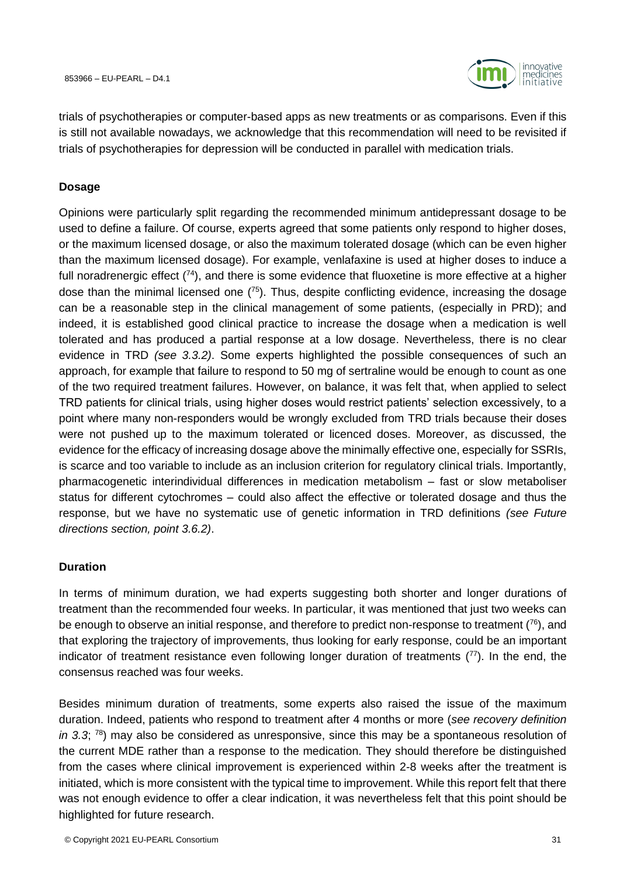

trials of psychotherapies or computer-based apps as new treatments or as comparisons. Even if this is still not available nowadays, we acknowledge that this recommendation will need to be revisited if trials of psychotherapies for depression will be conducted in parallel with medication trials.

#### **Dosage**

Opinions were particularly split regarding the recommended minimum antidepressant dosage to be used to define a failure. Of course, experts agreed that some patients only respond to higher doses, or the maximum licensed dosage, or also the maximum tolerated dosage (which can be even higher than the maximum licensed dosage). For example, venlafaxine is used at higher doses to induce a full noradrenergic effect  $(74)$ , and there is some evidence that fluoxetine is more effective at a higher dose than the minimal licensed one  $(^{75})$ . Thus, despite conflicting evidence, increasing the dosage can be a reasonable step in the clinical management of some patients, (especially in PRD); and indeed, it is established good clinical practice to increase the dosage when a medication is well tolerated and has produced a partial response at a low dosage. Nevertheless, there is no clear evidence in TRD *(see [3.3.2\)](#page-27-0)*. Some experts highlighted the possible consequences of such an approach, for example that failure to respond to 50 mg of sertraline would be enough to count as one of the two required treatment failures. However, on balance, it was felt that, when applied to select TRD patients for clinical trials, using higher doses would restrict patients' selection excessively, to a point where many non-responders would be wrongly excluded from TRD trials because their doses were not pushed up to the maximum tolerated or licenced doses. Moreover, as discussed, the evidence for the efficacy of increasing dosage above the minimally effective one, especially for SSRIs, is scarce and too variable to include as an inclusion criterion for regulatory clinical trials. Importantly, pharmacogenetic interindividual differences in medication metabolism – fast or slow metaboliser status for different cytochromes – could also affect the effective or tolerated dosage and thus the response, but we have no systematic use of genetic information in TRD definitions *(see Future directions section, point [3.6.2\)](#page-40-0)*.

#### **Duration**

In terms of minimum duration, we had experts suggesting both shorter and longer durations of treatment than the recommended four weeks. In particular, it was mentioned that just two weeks can be enough to observe an initial response, and therefore to predict non-response to treatment  $(76)$ , and that exploring the trajectory of improvements, thus looking for early response, could be an important indicator of treatment resistance even following longer duration of treatments  $(77)$ . In the end, the consensus reached was four weeks.

Besides minimum duration of treatments, some experts also raised the issue of the maximum duration. Indeed, patients who respond to treatment after 4 months or more (*see recovery definition in 3.3*; <sup>78</sup>) may also be considered as unresponsive, since this may be a spontaneous resolution of the current MDE rather than a response to the medication. They should therefore be distinguished from the cases where clinical improvement is experienced within 2-8 weeks after the treatment is initiated, which is more consistent with the typical time to improvement. While this report felt that there was not enough evidence to offer a clear indication, it was nevertheless felt that this point should be highlighted for future research.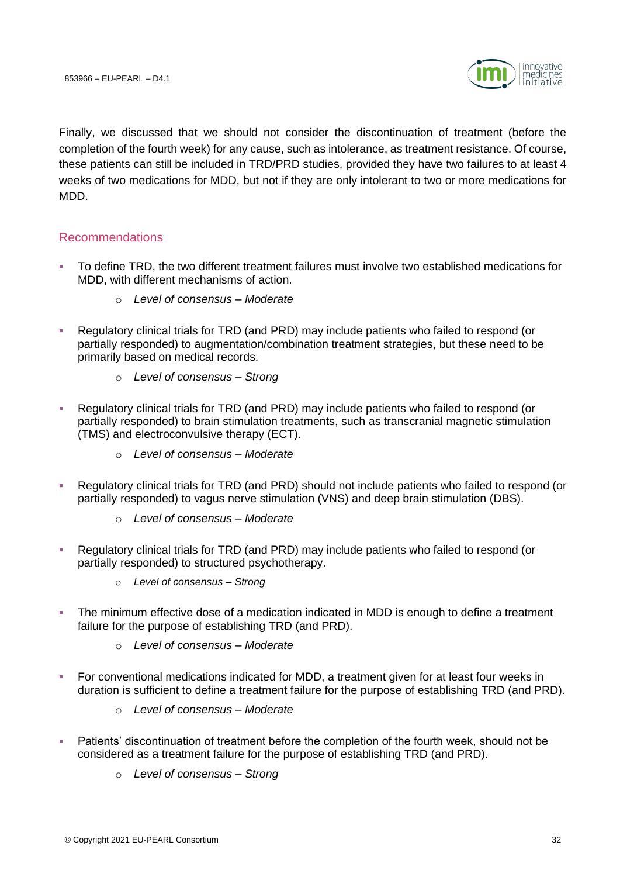

Finally, we discussed that we should not consider the discontinuation of treatment (before the completion of the fourth week) for any cause, such as intolerance, as treatment resistance. Of course, these patients can still be included in TRD/PRD studies, provided they have two failures to at least 4 weeks of two medications for MDD, but not if they are only intolerant to two or more medications for MDD.

# <span id="page-31-0"></span>Recommendations

- To define TRD, the two different treatment failures must involve two established medications for MDD, with different mechanisms of action.
	- o *Level of consensus – Moderate*
- Regulatory clinical trials for TRD (and PRD) may include patients who failed to respond (or partially responded) to augmentation/combination treatment strategies, but these need to be primarily based on medical records.
	- o *Level of consensus – Strong*
- Regulatory clinical trials for TRD (and PRD) may include patients who failed to respond (or partially responded) to brain stimulation treatments, such as transcranial magnetic stimulation (TMS) and electroconvulsive therapy (ECT).
	- o *Level of consensus – Moderate*
- Regulatory clinical trials for TRD (and PRD) should not include patients who failed to respond (or partially responded) to vagus nerve stimulation (VNS) and deep brain stimulation (DBS).
	- o *Level of consensus – Moderate*
- Regulatory clinical trials for TRD (and PRD) may include patients who failed to respond (or partially responded) to structured psychotherapy.
	- o *Level of consensus – Strong*
- **•** The minimum effective dose of a medication indicated in MDD is enough to define a treatment failure for the purpose of establishing TRD (and PRD).
	- o *Level of consensus – Moderate*
- For conventional medications indicated for MDD, a treatment given for at least four weeks in duration is sufficient to define a treatment failure for the purpose of establishing TRD (and PRD).
	- o *Level of consensus – Moderate*
- Patients' discontinuation of treatment before the completion of the fourth week, should not be considered as a treatment failure for the purpose of establishing TRD (and PRD).
	- o *Level of consensus – Strong*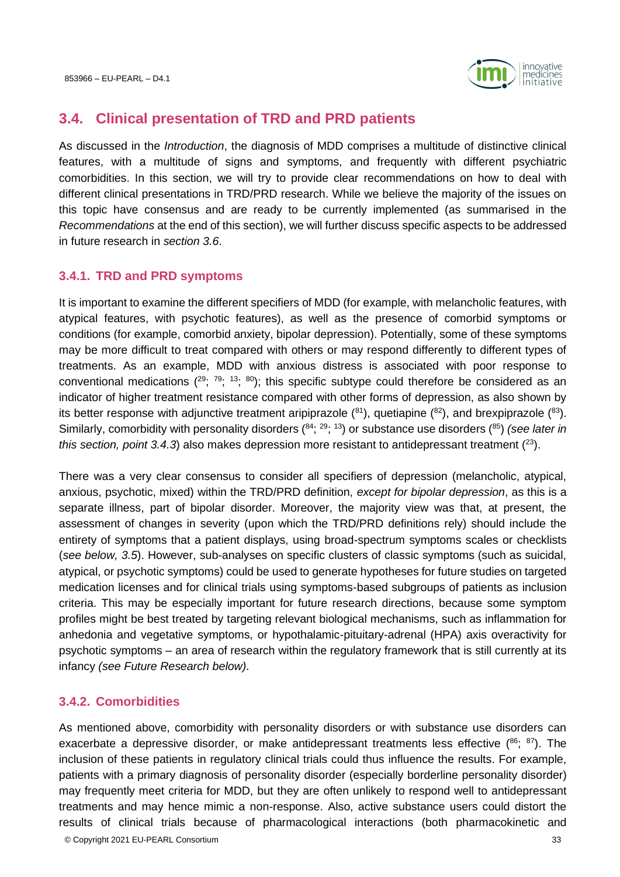

# <span id="page-32-0"></span>**3.4. Clinical presentation of TRD and PRD patients**

As discussed in the *Introduction*, the diagnosis of MDD comprises a multitude of distinctive clinical features, with a multitude of signs and symptoms, and frequently with different psychiatric comorbidities. In this section, we will try to provide clear recommendations on how to deal with different clinical presentations in TRD/PRD research. While we believe the majority of the issues on this topic have consensus and are ready to be currently implemented (as summarised in the *Recommendations* at the end of this section), we will further discuss specific aspects to be addressed in future research in *section [3.6](#page-38-1)*.

# <span id="page-32-1"></span>**3.4.1. TRD and PRD symptoms**

It is important to examine the different specifiers of MDD (for example, with melancholic features, with atypical features, with psychotic features), as well as the presence of comorbid symptoms or conditions (for example, comorbid anxiety, bipolar depression). Potentially, some of these symptoms may be more difficult to treat compared with others or may respond differently to different types of treatments. As an example, MDD with anxious distress is associated with poor response to conventional medications  $(^{29}$ ;  $^{79}$ ;  $^{13}$ ;  $^{80}$ ); this specific subtype could therefore be considered as an indicator of higher treatment resistance compared with other forms of depression, as also shown by its better response with adjunctive treatment aripiprazole  $(^{81})$ , quetiapine  $(^{82})$ , and brexpiprazole  $(^{83})$ . Similarly, comorbidity with personality disorders (<sup>84</sup>; <sup>29</sup>; <sup>13</sup>) or substance use disorders (<sup>85</sup>) *(see later in this section, point 3.4.3*) also makes depression more resistant to antidepressant treatment  $(23)$ .

There was a very clear consensus to consider all specifiers of depression (melancholic, atypical, anxious, psychotic, mixed) within the TRD/PRD definition, *except for bipolar depression*, as this is a separate illness, part of bipolar disorder. Moreover, the majority view was that, at present, the assessment of changes in severity (upon which the TRD/PRD definitions rely) should include the entirety of symptoms that a patient displays, using broad-spectrum symptoms scales or checklists (*see below, [3.5](#page-34-1)*). However, sub-analyses on specific clusters of classic symptoms (such as suicidal, atypical, or psychotic symptoms) could be used to generate hypotheses for future studies on targeted medication licenses and for clinical trials using symptoms-based subgroups of patients as inclusion criteria. This may be especially important for future research directions, because some symptom profiles might be best treated by targeting relevant biological mechanisms, such as inflammation for anhedonia and vegetative symptoms, or hypothalamic-pituitary-adrenal (HPA) axis overactivity for psychotic symptoms – an area of research within the regulatory framework that is still currently at its infancy *(see Future Research below)*.

# <span id="page-32-2"></span>**3.4.2. Comorbidities**

As mentioned above, comorbidity with personality disorders or with substance use disorders can exacerbate a depressive disorder, or make antidepressant treatments less effective  $(86, 87)$ . The inclusion of these patients in regulatory clinical trials could thus influence the results. For example, patients with a primary diagnosis of personality disorder (especially borderline personality disorder) may frequently meet criteria for MDD, but they are often unlikely to respond well to antidepressant treatments and may hence mimic a non-response. Also, active substance users could distort the results of clinical trials because of pharmacological interactions (both pharmacokinetic and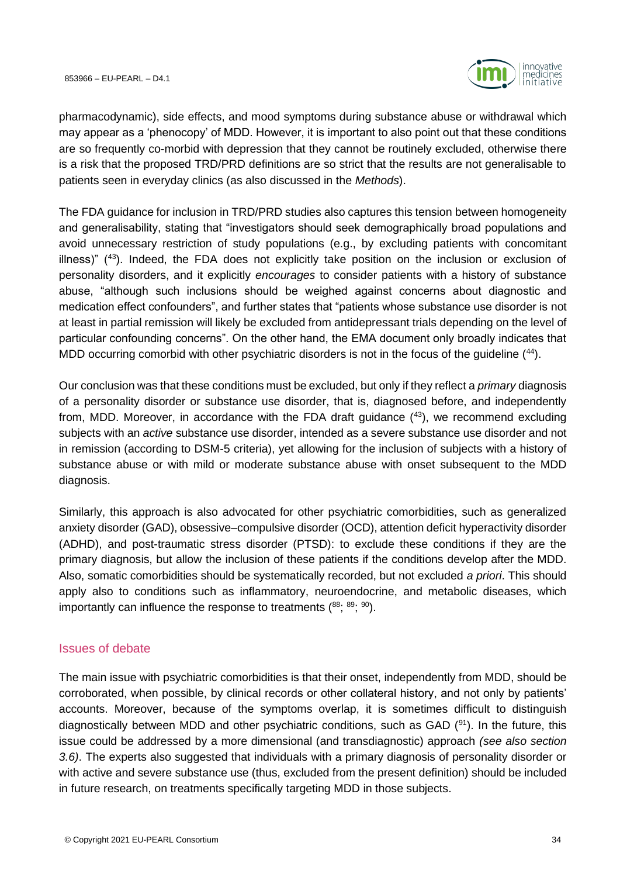

pharmacodynamic), side effects, and mood symptoms during substance abuse or withdrawal which may appear as a 'phenocopy' of MDD. However, it is important to also point out that these conditions are so frequently co-morbid with depression that they cannot be routinely excluded, otherwise there is a risk that the proposed TRD/PRD definitions are so strict that the results are not generalisable to patients seen in everyday clinics (as also discussed in the *Methods*).

The FDA guidance for inclusion in TRD/PRD studies also captures this tension between homogeneity and generalisability, stating that "investigators should seek demographically broad populations and avoid unnecessary restriction of study populations (e.g., by excluding patients with concomitant illness)"  $(43)$ . Indeed, the FDA does not explicitly take position on the inclusion or exclusion of personality disorders, and it explicitly *encourages* to consider patients with a history of substance abuse, "although such inclusions should be weighed against concerns about diagnostic and medication effect confounders", and further states that "patients whose substance use disorder is not at least in partial remission will likely be excluded from antidepressant trials depending on the level of particular confounding concerns". On the other hand, the EMA document only broadly indicates that MDD occurring comorbid with other psychiatric disorders is not in the focus of the guideline (44).

Our conclusion was that these conditions must be excluded, but only if they reflect a *primary* diagnosis of a personality disorder or substance use disorder, that is, diagnosed before, and independently from, MDD. Moreover, in accordance with the FDA draft quidance  $(43)$ , we recommend excluding subjects with an *active* substance use disorder, intended as a severe substance use disorder and not in remission (according to DSM-5 criteria), yet allowing for the inclusion of subjects with a history of substance abuse or with mild or moderate substance abuse with onset subsequent to the MDD diagnosis.

Similarly, this approach is also advocated for other psychiatric comorbidities, such as generalized anxiety disorder (GAD), obsessive–compulsive disorder (OCD), attention deficit hyperactivity disorder (ADHD), and post-traumatic stress disorder (PTSD): to exclude these conditions if they are the primary diagnosis, but allow the inclusion of these patients if the conditions develop after the MDD. Also, somatic comorbidities should be systematically recorded, but not excluded *a priori*. This should apply also to conditions such as inflammatory, neuroendocrine, and metabolic diseases, which importantly can influence the response to treatments  $(^{88}$ ;  $^{89}$ ;  $^{90}$ ).

# <span id="page-33-0"></span>Issues of debate

The main issue with psychiatric comorbidities is that their onset, independently from MDD, should be corroborated, when possible, by clinical records or other collateral history, and not only by patients' accounts. Moreover, because of the symptoms overlap, it is sometimes difficult to distinguish diagnostically between MDD and other psychiatric conditions, such as GAD  $(91)$ . In the future, this issue could be addressed by a more dimensional (and transdiagnostic) approach *(see also section 3.6)*. The experts also suggested that individuals with a primary diagnosis of personality disorder or with active and severe substance use (thus, excluded from the present definition) should be included in future research, on treatments specifically targeting MDD in those subjects.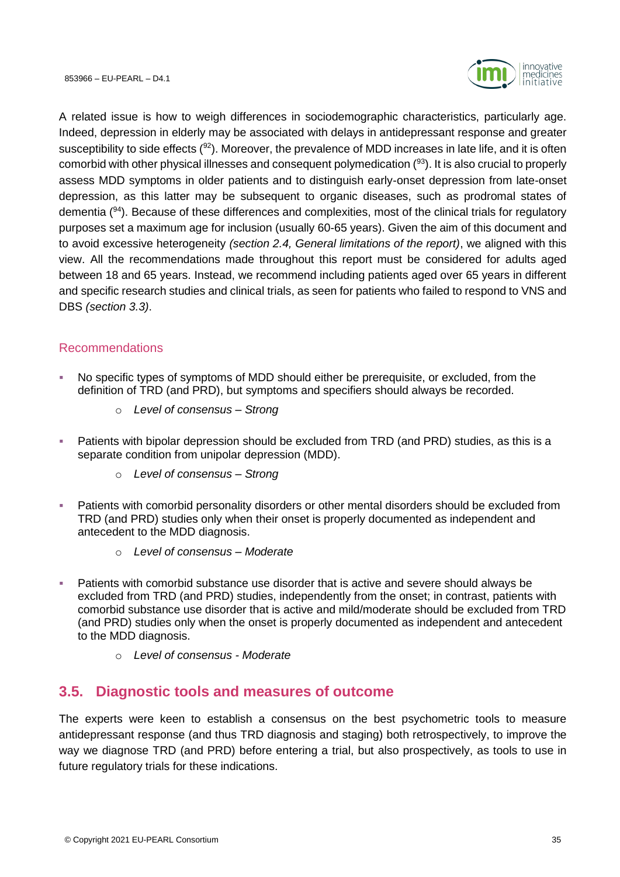

A related issue is how to weigh differences in sociodemographic characteristics, particularly age. Indeed, depression in elderly may be associated with delays in antidepressant response and greater susceptibility to side effects  $(92)$ . Moreover, the prevalence of MDD increases in late life, and it is often comorbid with other physical illnesses and consequent polymedication  $(93)$ . It is also crucial to properly assess MDD symptoms in older patients and to distinguish early-onset depression from late-onset depression, as this latter may be subsequent to organic diseases, such as prodromal states of dementia (<sup>94</sup>). Because of these differences and complexities, most of the clinical trials for regulatory purposes set a maximum age for inclusion (usually 60-65 years). Given the aim of this document and to avoid excessive heterogeneity *(section [2.4,](#page-16-0) General limitations of the report)*, we aligned with this view. All the recommendations made throughout this report must be considered for adults aged between 18 and 65 years. Instead, we recommend including patients aged over 65 years in different and specific research studies and clinical trials, as seen for patients who failed to respond to VNS and DBS *(section [3.3\)](#page-25-0)*.

# <span id="page-34-0"></span>Recommendations

- No specific types of symptoms of MDD should either be prerequisite, or excluded, from the definition of TRD (and PRD), but symptoms and specifiers should always be recorded.
	- o *Level of consensus – Strong*
- Patients with bipolar depression should be excluded from TRD (and PRD) studies, as this is a separate condition from unipolar depression (MDD).
	- o *Level of consensus – Strong*
- Patients with comorbid personality disorders or other mental disorders should be excluded from TRD (and PRD) studies only when their onset is properly documented as independent and antecedent to the MDD diagnosis.
	- o *Level of consensus – Moderate*
- Patients with comorbid substance use disorder that is active and severe should always be excluded from TRD (and PRD) studies, independently from the onset; in contrast, patients with comorbid substance use disorder that is active and mild/moderate should be excluded from TRD (and PRD) studies only when the onset is properly documented as independent and antecedent to the MDD diagnosis.
	- o *Level of consensus - Moderate*

# <span id="page-34-1"></span>**3.5. Diagnostic tools and measures of outcome**

The experts were keen to establish a consensus on the best psychometric tools to measure antidepressant response (and thus TRD diagnosis and staging) both retrospectively, to improve the way we diagnose TRD (and PRD) before entering a trial, but also prospectively, as tools to use in future regulatory trials for these indications.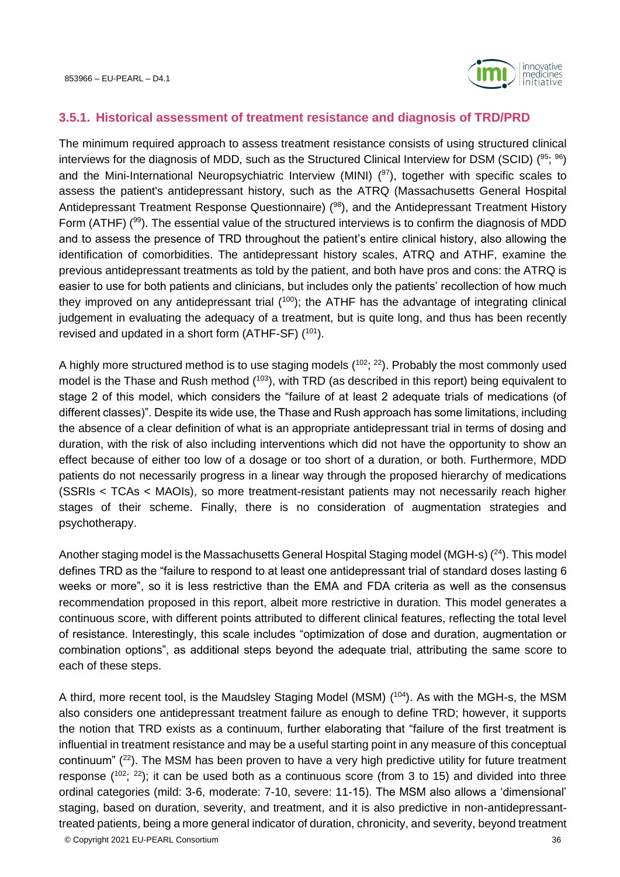

#### <span id="page-35-0"></span>**3.5.1. Historical assessment of treatment resistance and diagnosis of TRD/PRD**

The minimum required approach to assess treatment resistance consists of using structured clinical interviews for the diagnosis of MDD, such as the Structured Clinical Interview for DSM (SCID) (<sup>95</sup>; <sup>96</sup>) and the Mini-International Neuropsychiatric Interview (MINI) (<sup>97</sup>), together with specific scales to assess the patient's antidepressant history, such as the ATRQ (Massachusetts General Hospital Antidepressant Treatment Response Questionnaire) (<sup>98</sup>), and the Antidepressant Treatment History Form (ATHF) (<sup>99</sup>). The essential value of the structured interviews is to confirm the diagnosis of MDD and to assess the presence of TRD throughout the patient's entire clinical history, also allowing the identification of comorbidities. The antidepressant history scales, ATRQ and ATHF, examine the previous antidepressant treatments as told by the patient, and both have pros and cons: the ATRQ is easier to use for both patients and clinicians, but includes only the patients' recollection of how much they improved on any antidepressant trial  $(100)$ ; the ATHF has the advantage of integrating clinical judgement in evaluating the adequacy of a treatment, but is quite long, and thus has been recently revised and updated in a short form  $(ATHF-SF)$   $(101)$ .

A highly more structured method is to use staging models  $(102; 22)$ . Probably the most commonly used model is the Thase and Rush method (<sup>103</sup>), with TRD (as described in this report) being equivalent to stage 2 of this model, which considers the "failure of at least 2 adequate trials of medications (of different classes)". Despite its wide use, the Thase and Rush approach has some limitations, including the absence of a clear definition of what is an appropriate antidepressant trial in terms of dosing and duration, with the risk of also including interventions which did not have the opportunity to show an effect because of either too low of a dosage or too short of a duration, or both. Furthermore, MDD patients do not necessarily progress in a linear way through the proposed hierarchy of medications (SSRIs < TCAs < MAOIs), so more treatment-resistant patients may not necessarily reach higher stages of their scheme. Finally, there is no consideration of augmentation strategies and psychotherapy.

Another staging model is the Massachusetts General Hospital Staging model (MGH-s) (<sup>24</sup>). This model defines TRD as the "failure to respond to at least one antidepressant trial of standard doses lasting 6 weeks or more", so it is less restrictive than the EMA and FDA criteria as well as the consensus recommendation proposed in this report, albeit more restrictive in duration. This model generates a continuous score, with different points attributed to different clinical features, reflecting the total level of resistance. Interestingly, this scale includes "optimization of dose and duration, augmentation or combination options", as additional steps beyond the adequate trial, attributing the same score to each of these steps.

A third, more recent tool, is the Maudsley Staging Model (MSM) (<sup>104</sup>). As with the MGH-s, the MSM also considers one antidepressant treatment failure as enough to define TRD; however, it supports the notion that TRD exists as a continuum, further elaborating that "failure of the first treatment is influential in treatment resistance and may be a useful starting point in any measure of this conceptual continuum"  $(22)$ . The MSM has been proven to have a very high predictive utility for future treatment response  $(^{102}$ ;  $^{22}$ ); it can be used both as a continuous score (from 3 to 15) and divided into three ordinal categories (mild: 3-6, moderate: 7-10, severe: 11-15). The MSM also allows a 'dimensional' staging, based on duration, severity, and treatment, and it is also predictive in non-antidepressanttreated patients, being a more general indicator of duration, chronicity, and severity, beyond treatment

© Copyright 2021 EU-PEARL Consortium 36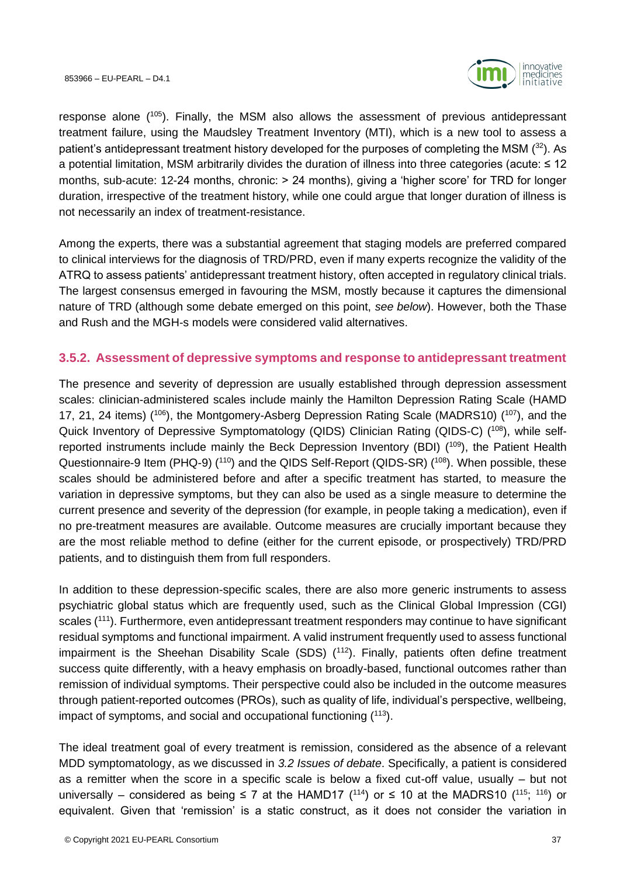

response alone ( <sup>105</sup>). Finally, the MSM also allows the assessment of previous antidepressant treatment failure, using the Maudsley Treatment Inventory (MTI), which is a new tool to assess a patient's antidepressant treatment history developed for the purposes of completing the MSM  $(32)$ . As a potential limitation, MSM arbitrarily divides the duration of illness into three categories (acute: ≤ 12 months, sub-acute: 12-24 months, chronic: > 24 months), giving a 'higher score' for TRD for longer duration, irrespective of the treatment history, while one could argue that longer duration of illness is not necessarily an index of treatment-resistance.

Among the experts, there was a substantial agreement that staging models are preferred compared to clinical interviews for the diagnosis of TRD/PRD, even if many experts recognize the validity of the ATRQ to assess patients' antidepressant treatment history, often accepted in regulatory clinical trials. The largest consensus emerged in favouring the MSM, mostly because it captures the dimensional nature of TRD (although some debate emerged on this point, *see below*). However, both the Thase and Rush and the MGH-s models were considered valid alternatives.

#### **3.5.2. Assessment of depressive symptoms and response to antidepressant treatment**

The presence and severity of depression are usually established through depression assessment scales: clinician-administered scales include mainly the Hamilton Depression Rating Scale (HAMD 17, 21, 24 items) (<sup>106</sup>), the Montgomery-Asberg Depression Rating Scale (MADRS10) (<sup>107</sup>), and the Quick Inventory of Depressive Symptomatology (QIDS) Clinician Rating (QIDS-C) (108), while selfreported instruments include mainly the Beck Depression Inventory (BDI) (<sup>109</sup>), the Patient Health Questionnaire-9 Item (PHQ-9) (<sup>110</sup>) and the QIDS Self-Report (QIDS-SR) (<sup>108</sup>). When possible, these scales should be administered before and after a specific treatment has started, to measure the variation in depressive symptoms, but they can also be used as a single measure to determine the current presence and severity of the depression (for example, in people taking a medication), even if no pre-treatment measures are available. Outcome measures are crucially important because they are the most reliable method to define (either for the current episode, or prospectively) TRD/PRD patients, and to distinguish them from full responders.

In addition to these depression-specific scales, there are also more generic instruments to assess psychiatric global status which are frequently used, such as the Clinical Global Impression (CGI) scales (<sup>111</sup>). Furthermore, even antidepressant treatment responders may continue to have significant residual symptoms and functional impairment. A valid instrument frequently used to assess functional impairment is the Sheehan Disability Scale (SDS) (<sup>112</sup>). Finally, patients often define treatment success quite differently, with a heavy emphasis on broadly-based, functional outcomes rather than remission of individual symptoms. Their perspective could also be included in the outcome measures through patient-reported outcomes (PROs), such as quality of life, individual's perspective, wellbeing, impact of symptoms, and social and occupational functioning  $(113)$ .

The ideal treatment goal of every treatment is remission, considered as the absence of a relevant MDD symptomatology, as we discussed in *3.2 Issues of debate*. Specifically, a patient is considered as a remitter when the score in a specific scale is below a fixed cut-off value, usually – but not universally – considered as being ≤ 7 at the HAMD17 (<sup>114</sup>) or ≤ 10 at the MADRS10 (<sup>115</sup>; <sup>116</sup>) or equivalent. Given that 'remission' is a static construct, as it does not consider the variation in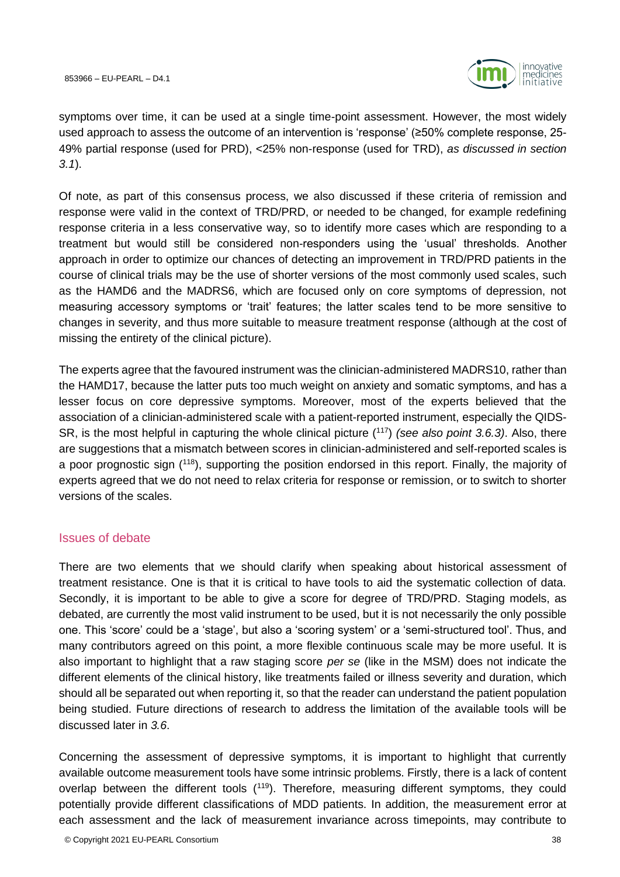

symptoms over time, it can be used at a single time-point assessment. However, the most widely used approach to assess the outcome of an intervention is 'response' (≥50% complete response, 25- 49% partial response (used for PRD), <25% non-response (used for TRD), *as discussed in section [3.1](#page-18-0)*).

Of note, as part of this consensus process, we also discussed if these criteria of remission and response were valid in the context of TRD/PRD, or needed to be changed, for example redefining response criteria in a less conservative way, so to identify more cases which are responding to a treatment but would still be considered non-responders using the 'usual' thresholds. Another approach in order to optimize our chances of detecting an improvement in TRD/PRD patients in the course of clinical trials may be the use of shorter versions of the most commonly used scales, such as the HAMD6 and the MADRS6, which are focused only on core symptoms of depression, not measuring accessory symptoms or 'trait' features; the latter scales tend to be more sensitive to changes in severity, and thus more suitable to measure treatment response (although at the cost of missing the entirety of the clinical picture).

The experts agree that the favoured instrument was the clinician-administered MADRS10, rather than the HAMD17, because the latter puts too much weight on anxiety and somatic symptoms, and has a lesser focus on core depressive symptoms. Moreover, most of the experts believed that the association of a clinician-administered scale with a patient-reported instrument, especially the QIDS-SR, is the most helpful in capturing the whole clinical picture (<sup>117</sup>) *(see also point [3.6.3\)](#page-40-0)*. Also, there are suggestions that a mismatch between scores in clinician-administered and self-reported scales is a poor prognostic sign (<sup>118</sup>), supporting the position endorsed in this report. Finally, the majority of experts agreed that we do not need to relax criteria for response or remission, or to switch to shorter versions of the scales.

#### Issues of debate

There are two elements that we should clarify when speaking about historical assessment of treatment resistance. One is that it is critical to have tools to aid the systematic collection of data. Secondly, it is important to be able to give a score for degree of TRD/PRD. Staging models, as debated, are currently the most valid instrument to be used, but it is not necessarily the only possible one. This 'score' could be a 'stage', but also a 'scoring system' or a 'semi-structured tool'. Thus, and many contributors agreed on this point, a more flexible continuous scale may be more useful. It is also important to highlight that a raw staging score *per se* (like in the MSM) does not indicate the different elements of the clinical history, like treatments failed or illness severity and duration, which should all be separated out when reporting it, so that the reader can understand the patient population being studied. Future directions of research to address the limitation of the available tools will be discussed later in *[3.6](#page-38-0)*.

Concerning the assessment of depressive symptoms, it is important to highlight that currently available outcome measurement tools have some intrinsic problems. Firstly, there is a lack of content overlap between the different tools (<sup>119</sup>). Therefore, measuring different symptoms, they could potentially provide different classifications of MDD patients. In addition, the measurement error at each assessment and the lack of measurement invariance across timepoints, may contribute to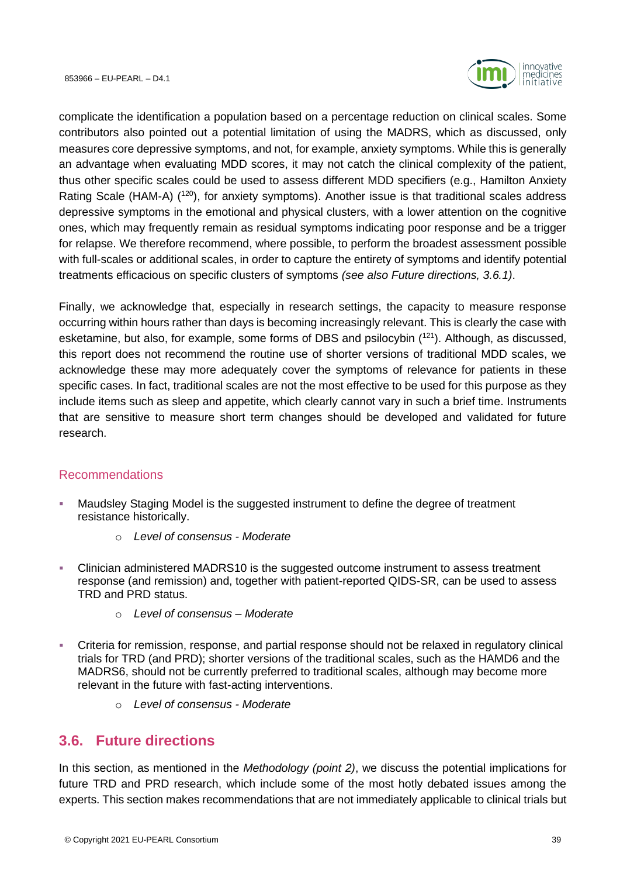

complicate the identification a population based on a percentage reduction on clinical scales. Some contributors also pointed out a potential limitation of using the MADRS, which as discussed, only measures core depressive symptoms, and not, for example, anxiety symptoms. While this is generally an advantage when evaluating MDD scores, it may not catch the clinical complexity of the patient, thus other specific scales could be used to assess different MDD specifiers (e.g., Hamilton Anxiety Rating Scale (HAM-A) (<sup>120</sup>), for anxiety symptoms). Another issue is that traditional scales address depressive symptoms in the emotional and physical clusters, with a lower attention on the cognitive ones, which may frequently remain as residual symptoms indicating poor response and be a trigger for relapse. We therefore recommend, where possible, to perform the broadest assessment possible with full-scales or additional scales, in order to capture the entirety of symptoms and identify potential treatments efficacious on specific clusters of symptoms *(see also Future directions, [3.6.1\)](#page-39-0)*.

Finally, we acknowledge that, especially in research settings, the capacity to measure response occurring within hours rather than days is becoming increasingly relevant. This is clearly the case with esketamine, but also, for example, some forms of DBS and psilocybin (<sup>121</sup>). Although, as discussed, this report does not recommend the routine use of shorter versions of traditional MDD scales, we acknowledge these may more adequately cover the symptoms of relevance for patients in these specific cases. In fact, traditional scales are not the most effective to be used for this purpose as they include items such as sleep and appetite, which clearly cannot vary in such a brief time. Instruments that are sensitive to measure short term changes should be developed and validated for future research.

### Recommendations

- **■** Maudsley Staging Model is the suggested instrument to define the degree of treatment resistance historically.
	- o *Level of consensus - Moderate*
- Clinician administered MADRS10 is the suggested outcome instrument to assess treatment response (and remission) and, together with patient-reported QIDS-SR, can be used to assess TRD and PRD status.
	- o *Level of consensus – Moderate*
- Criteria for remission, response, and partial response should not be relaxed in regulatory clinical trials for TRD (and PRD); shorter versions of the traditional scales, such as the HAMD6 and the MADRS6, should not be currently preferred to traditional scales, although may become more relevant in the future with fast-acting interventions.
	- o *Level of consensus - Moderate*

### <span id="page-38-0"></span>**3.6. Future directions**

In this section, as mentioned in the *Methodology (point [2\)](#page-14-0)*, we discuss the potential implications for future TRD and PRD research, which include some of the most hotly debated issues among the experts. This section makes recommendations that are not immediately applicable to clinical trials but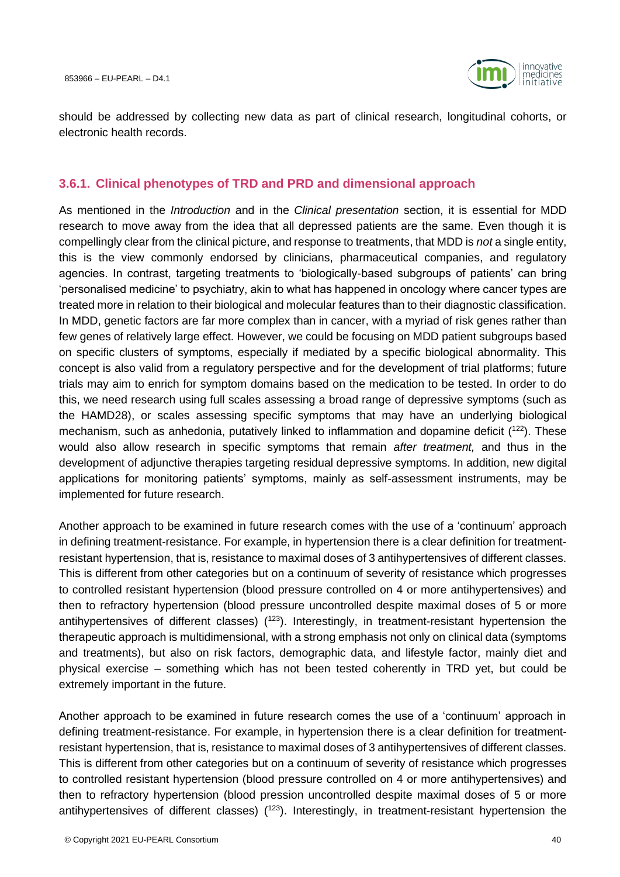

should be addressed by collecting new data as part of clinical research, longitudinal cohorts, or electronic health records.

#### <span id="page-39-0"></span>**3.6.1. Clinical phenotypes of TRD and PRD and dimensional approach**

As mentioned in the *[Introduction](#page-10-0)* and in the *Clinical presentation* section, it is essential for MDD research to move away from the idea that all depressed patients are the same. Even though it is compellingly clear from the clinical picture, and response to treatments, that MDD is *not* a single entity, this is the view commonly endorsed by clinicians, pharmaceutical companies, and regulatory agencies. In contrast, targeting treatments to 'biologically-based subgroups of patients' can bring 'personalised medicine' to psychiatry, akin to what has happened in oncology where cancer types are treated more in relation to their biological and molecular features than to their diagnostic classification. In MDD, genetic factors are far more complex than in cancer, with a myriad of risk genes rather than few genes of relatively large effect. However, we could be focusing on MDD patient subgroups based on specific clusters of symptoms, especially if mediated by a specific biological abnormality. This concept is also valid from a regulatory perspective and for the development of trial platforms; future trials may aim to enrich for symptom domains based on the medication to be tested. In order to do this, we need research using full scales assessing a broad range of depressive symptoms (such as the HAMD28), or scales assessing specific symptoms that may have an underlying biological mechanism, such as anhedonia, putatively linked to inflammation and dopamine deficit  $(^{122})$ . These would also allow research in specific symptoms that remain *after treatment,* and thus in the development of adjunctive therapies targeting residual depressive symptoms. In addition, new digital applications for monitoring patients' symptoms, mainly as self-assessment instruments, may be implemented for future research.

Another approach to be examined in future research comes with the use of a 'continuum' approach in defining treatment-resistance. For example, in hypertension there is a clear definition for treatmentresistant hypertension, that is, resistance to maximal doses of 3 antihypertensives of different classes. This is different from other categories but on a continuum of severity of resistance which progresses to controlled resistant hypertension (blood pressure controlled on 4 or more antihypertensives) and then to refractory hypertension (blood pressure uncontrolled despite maximal doses of 5 or more antihypertensives of different classes) (<sup>123</sup>). Interestingly, in treatment-resistant hypertension the therapeutic approach is multidimensional, with a strong emphasis not only on clinical data (symptoms and treatments), but also on risk factors, demographic data, and lifestyle factor, mainly diet and physical exercise – something which has not been tested coherently in TRD yet, but could be extremely important in the future.

Another approach to be examined in future research comes the use of a 'continuum' approach in defining treatment-resistance. For example, in hypertension there is a clear definition for treatmentresistant hypertension, that is, resistance to maximal doses of 3 antihypertensives of different classes. This is different from other categories but on a continuum of severity of resistance which progresses to controlled resistant hypertension (blood pressure controlled on 4 or more antihypertensives) and then to refractory hypertension (blood pression uncontrolled despite maximal doses of 5 or more antihypertensives of different classes)  $(123)$ . Interestingly, in treatment-resistant hypertension the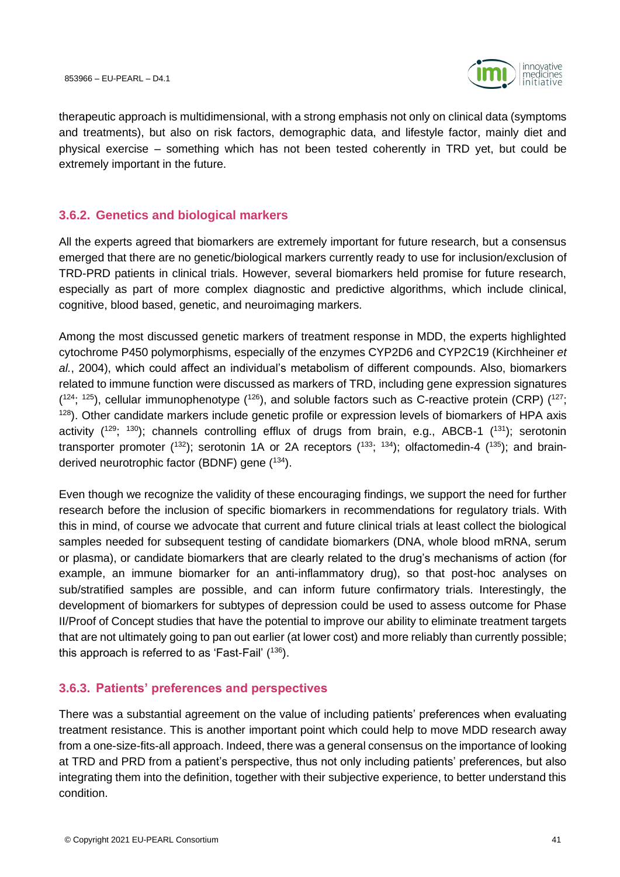

therapeutic approach is multidimensional, with a strong emphasis not only on clinical data (symptoms and treatments), but also on risk factors, demographic data, and lifestyle factor, mainly diet and physical exercise – something which has not been tested coherently in TRD yet, but could be extremely important in the future.

#### **3.6.2. Genetics and biological markers**

All the experts agreed that biomarkers are extremely important for future research, but a consensus emerged that there are no genetic/biological markers currently ready to use for inclusion/exclusion of TRD-PRD patients in clinical trials. However, several biomarkers held promise for future research, especially as part of more complex diagnostic and predictive algorithms, which include clinical, cognitive, blood based, genetic, and neuroimaging markers.

Among the most discussed genetic markers of treatment response in MDD, the experts highlighted cytochrome P450 polymorphisms, especially of the enzymes CYP2D6 and CYP2C19 (Kirchheiner *et al.*, 2004), which could affect an individual's metabolism of different compounds. Also, biomarkers related to immune function were discussed as markers of TRD, including gene expression signatures  $(124; 125)$ , cellular immunophenotype  $(126)$ , and soluble factors such as C-reactive protein (CRP)  $(127;$  $128$ ). Other candidate markers include genetic profile or expression levels of biomarkers of HPA axis activity  $(1^{29}; 1^{30})$ ; channels controlling efflux of drugs from brain, e.g., ABCB-1  $(1^{31})$ ; serotonin transporter promoter (<sup>132</sup>); serotonin 1A or 2A receptors (<sup>133</sup>; <sup>134</sup>); olfactomedin-4 (<sup>135</sup>); and brainderived neurotrophic factor (BDNF) gene (<sup>134</sup>).

Even though we recognize the validity of these encouraging findings, we support the need for further research before the inclusion of specific biomarkers in recommendations for regulatory trials. With this in mind, of course we advocate that current and future clinical trials at least collect the biological samples needed for subsequent testing of candidate biomarkers (DNA, whole blood mRNA, serum or plasma), or candidate biomarkers that are clearly related to the drug's mechanisms of action (for example, an immune biomarker for an anti-inflammatory drug), so that post-hoc analyses on sub/stratified samples are possible, and can inform future confirmatory trials. Interestingly, the development of biomarkers for subtypes of depression could be used to assess outcome for Phase II/Proof of Concept studies that have the potential to improve our ability to eliminate treatment targets that are not ultimately going to pan out earlier (at lower cost) and more reliably than currently possible; this approach is referred to as 'Fast-Fail'  $(136)$ .

### <span id="page-40-0"></span>**3.6.3. Patients' preferences and perspectives**

There was a substantial agreement on the value of including patients' preferences when evaluating treatment resistance. This is another important point which could help to move MDD research away from a one-size-fits-all approach. Indeed, there was a general consensus on the importance of looking at TRD and PRD from a patient's perspective, thus not only including patients' preferences, but also integrating them into the definition, together with their subjective experience, to better understand this condition.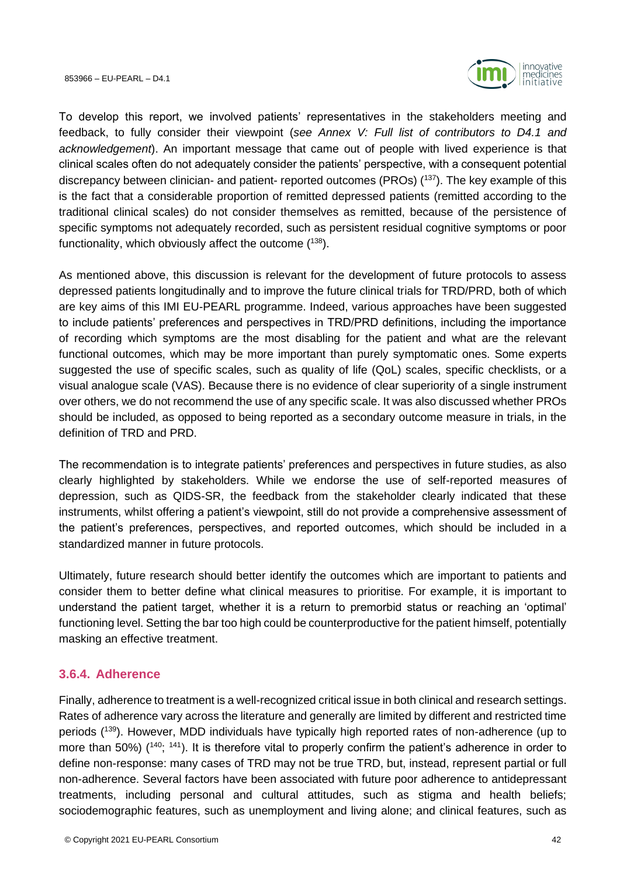

To develop this report, we involved patients' representatives in the stakeholders meeting and feedback, to fully consider their viewpoint (*see [Annex V: Full list of contributors to D4.1](#page-66-0) and [acknowledgement](#page-66-0)*). An important message that came out of people with lived experience is that clinical scales often do not adequately consider the patients' perspective, with a consequent potential discrepancy between clinician- and patient- reported outcomes (PROs) (<sup>137</sup>). The key example of this is the fact that a considerable proportion of remitted depressed patients (remitted according to the traditional clinical scales) do not consider themselves as remitted, because of the persistence of specific symptoms not adequately recorded, such as persistent residual cognitive symptoms or poor functionality, which obviously affect the outcome  $(^{138})$ .

As mentioned above, this discussion is relevant for the development of future protocols to assess depressed patients longitudinally and to improve the future clinical trials for TRD/PRD, both of which are key aims of this IMI EU-PEARL programme. Indeed, various approaches have been suggested to include patients' preferences and perspectives in TRD/PRD definitions, including the importance of recording which symptoms are the most disabling for the patient and what are the relevant functional outcomes, which may be more important than purely symptomatic ones. Some experts suggested the use of specific scales, such as quality of life (QoL) scales, specific checklists, or a visual analogue scale (VAS). Because there is no evidence of clear superiority of a single instrument over others, we do not recommend the use of any specific scale. It was also discussed whether PROs should be included, as opposed to being reported as a secondary outcome measure in trials, in the definition of TRD and PRD.

The recommendation is to integrate patients' preferences and perspectives in future studies, as also clearly highlighted by stakeholders. While we endorse the use of self-reported measures of depression, such as QIDS-SR, the feedback from the stakeholder clearly indicated that these instruments, whilst offering a patient's viewpoint, still do not provide a comprehensive assessment of the patient's preferences, perspectives, and reported outcomes, which should be included in a standardized manner in future protocols.

Ultimately, future research should better identify the outcomes which are important to patients and consider them to better define what clinical measures to prioritise. For example, it is important to understand the patient target, whether it is a return to premorbid status or reaching an 'optimal' functioning level. Setting the bar too high could be counterproductive for the patient himself, potentially masking an effective treatment.

### **3.6.4. Adherence**

Finally, adherence to treatment is a well-recognized critical issue in both clinical and research settings. Rates of adherence vary across the literature and generally are limited by different and restricted time periods (139). However, MDD individuals have typically high reported rates of non-adherence (up to more than 50%) (<sup>140</sup>; <sup>141</sup>). It is therefore vital to properly confirm the patient's adherence in order to define non-response: many cases of TRD may not be true TRD, but, instead, represent partial or full non-adherence. Several factors have been associated with future poor adherence to antidepressant treatments, including personal and cultural attitudes, such as stigma and health beliefs; sociodemographic features, such as unemployment and living alone; and clinical features, such as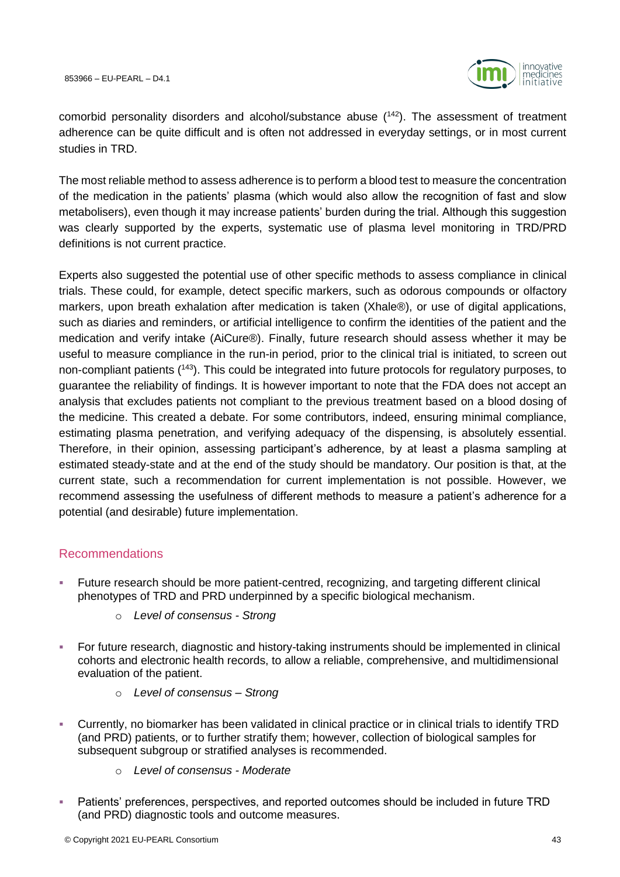

comorbid personality disorders and alcohol/substance abuse  $(142)$ . The assessment of treatment adherence can be quite difficult and is often not addressed in everyday settings, or in most current studies in TRD.

The most reliable method to assess adherence is to perform a blood test to measure the concentration of the medication in the patients' plasma (which would also allow the recognition of fast and slow metabolisers), even though it may increase patients' burden during the trial. Although this suggestion was clearly supported by the experts, systematic use of plasma level monitoring in TRD/PRD definitions is not current practice.

Experts also suggested the potential use of other specific methods to assess compliance in clinical trials. These could, for example, detect specific markers, such as odorous compounds or olfactory markers, upon breath exhalation after medication is taken (Xhale®), or use of digital applications, such as diaries and reminders, or artificial intelligence to confirm the identities of the patient and the medication and verify intake (AiCure®). Finally, future research should assess whether it may be useful to measure compliance in the run-in period, prior to the clinical trial is initiated, to screen out non-compliant patients (<sup>143</sup>). This could be integrated into future protocols for regulatory purposes, to guarantee the reliability of findings. It is however important to note that the FDA does not accept an analysis that excludes patients not compliant to the previous treatment based on a blood dosing of the medicine. This created a debate. For some contributors, indeed, ensuring minimal compliance, estimating plasma penetration, and verifying adequacy of the dispensing, is absolutely essential. Therefore, in their opinion, assessing participant's adherence, by at least a plasma sampling at estimated steady-state and at the end of the study should be mandatory. Our position is that, at the current state, such a recommendation for current implementation is not possible. However, we recommend assessing the usefulness of different methods to measure a patient's adherence for a potential (and desirable) future implementation.

#### Recommendations

- Future research should be more patient-centred, recognizing, and targeting different clinical phenotypes of TRD and PRD underpinned by a specific biological mechanism.
	- o *Level of consensus - Strong*
- **For future research, diagnostic and history-taking instruments should be implemented in clinical** cohorts and electronic health records, to allow a reliable, comprehensive, and multidimensional evaluation of the patient.
	- o *Level of consensus – Strong*
- Currently, no biomarker has been validated in clinical practice or in clinical trials to identify TRD (and PRD) patients, or to further stratify them; however, collection of biological samples for subsequent subgroup or stratified analyses is recommended.
	- o *Level of consensus - Moderate*
- **EXECT AT ATTS:** Patients' preferences, perspectives, and reported outcomes should be included in future TRD (and PRD) diagnostic tools and outcome measures.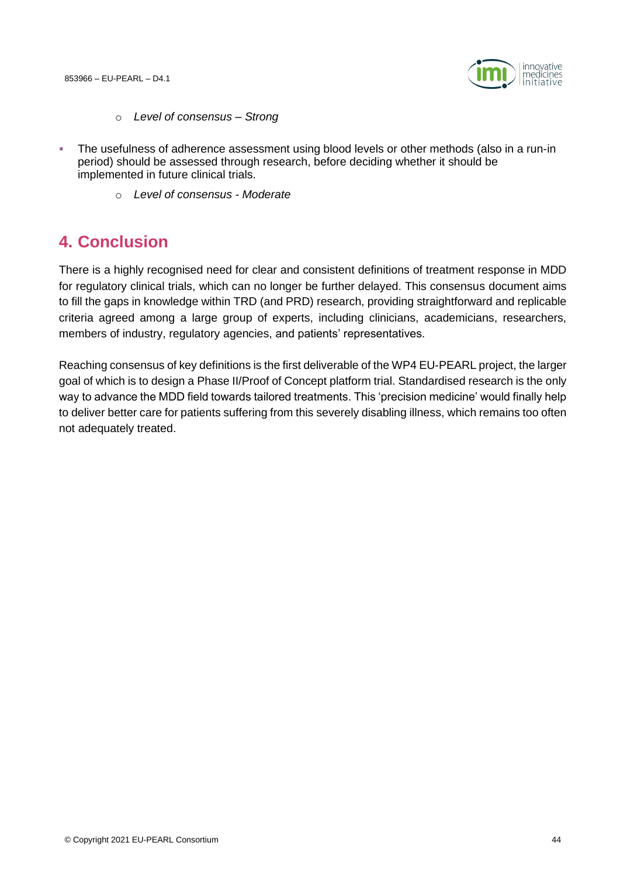

- o *Level of consensus – Strong*
- The usefulness of adherence assessment using blood levels or other methods (also in a run-in period) should be assessed through research, before deciding whether it should be implemented in future clinical trials.
	- o *Level of consensus - Moderate*

### **4. Conclusion**

There is a highly recognised need for clear and consistent definitions of treatment response in MDD for regulatory clinical trials, which can no longer be further delayed. This consensus document aims to fill the gaps in knowledge within TRD (and PRD) research, providing straightforward and replicable criteria agreed among a large group of experts, including clinicians, academicians, researchers, members of industry, regulatory agencies, and patients' representatives.

Reaching consensus of key definitions is the first deliverable of the WP4 EU-PEARL project, the larger goal of which is to design a Phase II/Proof of Concept platform trial. Standardised research is the only way to advance the MDD field towards tailored treatments. This 'precision medicine' would finally help to deliver better care for patients suffering from this severely disabling illness, which remains too often not adequately treated.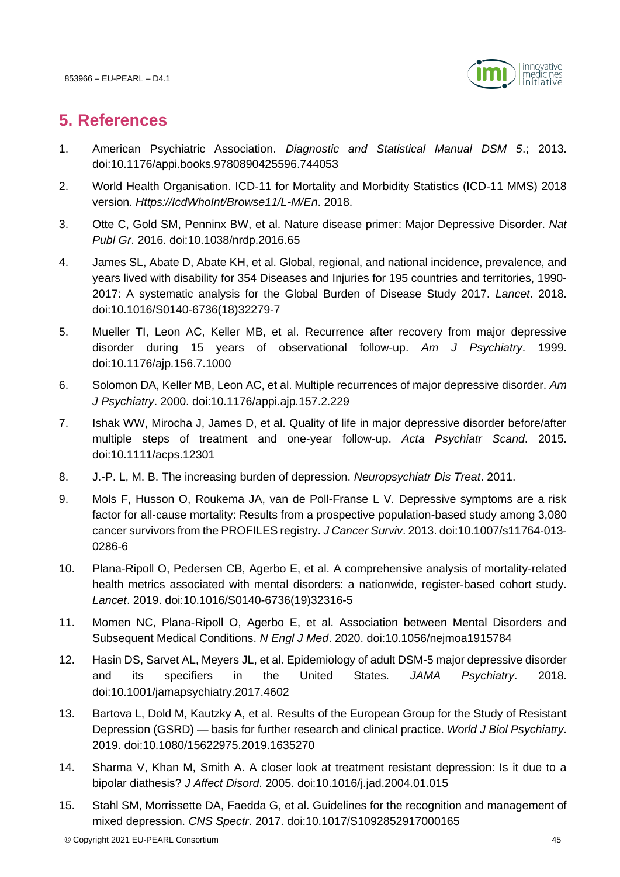

# **5. References**

- 1. American Psychiatric Association. *Diagnostic and Statistical Manual DSM 5*.; 2013. doi:10.1176/appi.books.9780890425596.744053
- 2. World Health Organisation. ICD-11 for Mortality and Morbidity Statistics (ICD-11 MMS) 2018 version. *Https://IcdWhoInt/Browse11/L-M/En*. 2018.
- 3. Otte C, Gold SM, Penninx BW, et al. Nature disease primer: Major Depressive Disorder. *Nat Publ Gr*. 2016. doi:10.1038/nrdp.2016.65
- 4. James SL, Abate D, Abate KH, et al. Global, regional, and national incidence, prevalence, and years lived with disability for 354 Diseases and Injuries for 195 countries and territories, 1990- 2017: A systematic analysis for the Global Burden of Disease Study 2017. *Lancet*. 2018. doi:10.1016/S0140-6736(18)32279-7
- 5. Mueller TI, Leon AC, Keller MB, et al. Recurrence after recovery from major depressive disorder during 15 years of observational follow-up. *Am J Psychiatry*. 1999. doi:10.1176/ajp.156.7.1000
- 6. Solomon DA, Keller MB, Leon AC, et al. Multiple recurrences of major depressive disorder. *Am J Psychiatry*. 2000. doi:10.1176/appi.ajp.157.2.229
- 7. Ishak WW, Mirocha J, James D, et al. Quality of life in major depressive disorder before/after multiple steps of treatment and one-year follow-up. *Acta Psychiatr Scand*. 2015. doi:10.1111/acps.12301
- 8. J.-P. L, M. B. The increasing burden of depression. *Neuropsychiatr Dis Treat*. 2011.
- 9. Mols F, Husson O, Roukema JA, van de Poll-Franse L V. Depressive symptoms are a risk factor for all-cause mortality: Results from a prospective population-based study among 3,080 cancer survivors from the PROFILES registry. *J Cancer Surviv*. 2013. doi:10.1007/s11764-013- 0286-6
- 10. Plana-Ripoll O, Pedersen CB, Agerbo E, et al. A comprehensive analysis of mortality-related health metrics associated with mental disorders: a nationwide, register-based cohort study. *Lancet*. 2019. doi:10.1016/S0140-6736(19)32316-5
- 11. Momen NC, Plana-Ripoll O, Agerbo E, et al. Association between Mental Disorders and Subsequent Medical Conditions. *N Engl J Med*. 2020. doi:10.1056/nejmoa1915784
- 12. Hasin DS, Sarvet AL, Meyers JL, et al. Epidemiology of adult DSM-5 major depressive disorder and its specifiers in the United States. *JAMA Psychiatry*. 2018. doi:10.1001/jamapsychiatry.2017.4602
- 13. Bartova L, Dold M, Kautzky A, et al. Results of the European Group for the Study of Resistant Depression (GSRD) — basis for further research and clinical practice. *World J Biol Psychiatry*. 2019. doi:10.1080/15622975.2019.1635270
- 14. Sharma V, Khan M, Smith A. A closer look at treatment resistant depression: Is it due to a bipolar diathesis? *J Affect Disord*. 2005. doi:10.1016/j.jad.2004.01.015
- 15. Stahl SM, Morrissette DA, Faedda G, et al. Guidelines for the recognition and management of mixed depression. *CNS Spectr*. 2017. doi:10.1017/S1092852917000165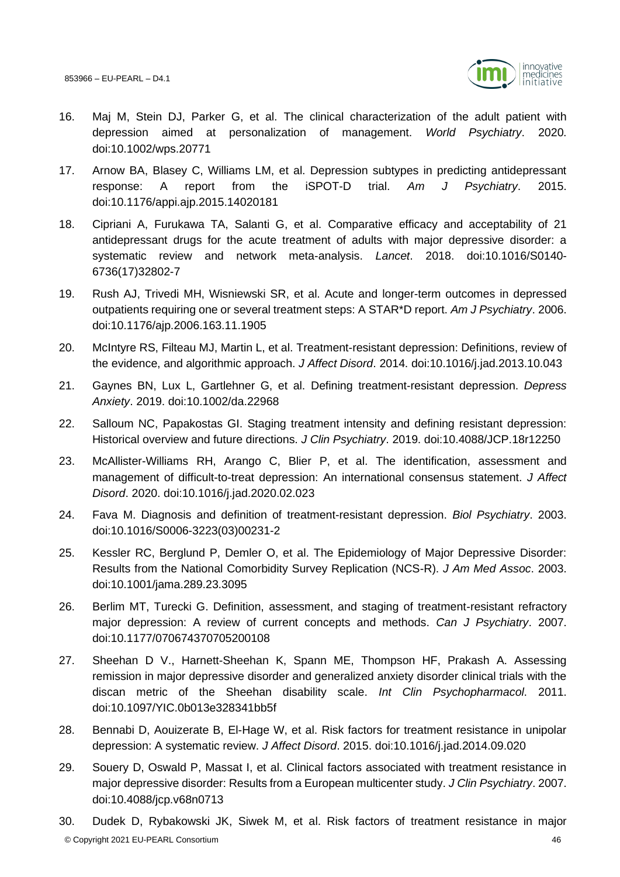

- 16. Maj M, Stein DJ, Parker G, et al. The clinical characterization of the adult patient with depression aimed at personalization of management. *World Psychiatry*. 2020. doi:10.1002/wps.20771
- 17. Arnow BA, Blasey C, Williams LM, et al. Depression subtypes in predicting antidepressant response: A report from the iSPOT-D trial. *Am J Psychiatry*. 2015. doi:10.1176/appi.ajp.2015.14020181
- 18. Cipriani A, Furukawa TA, Salanti G, et al. Comparative efficacy and acceptability of 21 antidepressant drugs for the acute treatment of adults with major depressive disorder: a systematic review and network meta-analysis. *Lancet*. 2018. doi:10.1016/S0140- 6736(17)32802-7
- 19. Rush AJ, Trivedi MH, Wisniewski SR, et al. Acute and longer-term outcomes in depressed outpatients requiring one or several treatment steps: A STAR\*D report. *Am J Psychiatry*. 2006. doi:10.1176/ajp.2006.163.11.1905
- 20. McIntyre RS, Filteau MJ, Martin L, et al. Treatment-resistant depression: Definitions, review of the evidence, and algorithmic approach. *J Affect Disord*. 2014. doi:10.1016/j.jad.2013.10.043
- 21. Gaynes BN, Lux L, Gartlehner G, et al. Defining treatment‐resistant depression. *Depress Anxiety*. 2019. doi:10.1002/da.22968
- 22. Salloum NC, Papakostas GI. Staging treatment intensity and defining resistant depression: Historical overview and future directions. *J Clin Psychiatry*. 2019. doi:10.4088/JCP.18r12250
- 23. McAllister-Williams RH, Arango C, Blier P, et al. The identification, assessment and management of difficult-to-treat depression: An international consensus statement. *J Affect Disord*. 2020. doi:10.1016/j.jad.2020.02.023
- 24. Fava M. Diagnosis and definition of treatment-resistant depression. *Biol Psychiatry*. 2003. doi:10.1016/S0006-3223(03)00231-2
- 25. Kessler RC, Berglund P, Demler O, et al. The Epidemiology of Major Depressive Disorder: Results from the National Comorbidity Survey Replication (NCS-R). *J Am Med Assoc*. 2003. doi:10.1001/jama.289.23.3095
- 26. Berlim MT, Turecki G. Definition, assessment, and staging of treatment-resistant refractory major depression: A review of current concepts and methods. *Can J Psychiatry*. 2007. doi:10.1177/070674370705200108
- 27. Sheehan D V., Harnett-Sheehan K, Spann ME, Thompson HF, Prakash A. Assessing remission in major depressive disorder and generalized anxiety disorder clinical trials with the discan metric of the Sheehan disability scale. *Int Clin Psychopharmacol*. 2011. doi:10.1097/YIC.0b013e328341bb5f
- 28. Bennabi D, Aouizerate B, El-Hage W, et al. Risk factors for treatment resistance in unipolar depression: A systematic review. *J Affect Disord*. 2015. doi:10.1016/j.jad.2014.09.020
- 29. Souery D, Oswald P, Massat I, et al. Clinical factors associated with treatment resistance in major depressive disorder: Results from a European multicenter study. *J Clin Psychiatry*. 2007. doi:10.4088/jcp.v68n0713
- © Copyright 2021 EU-PEARL Consortium 46 30. Dudek D, Rybakowski JK, Siwek M, et al. Risk factors of treatment resistance in major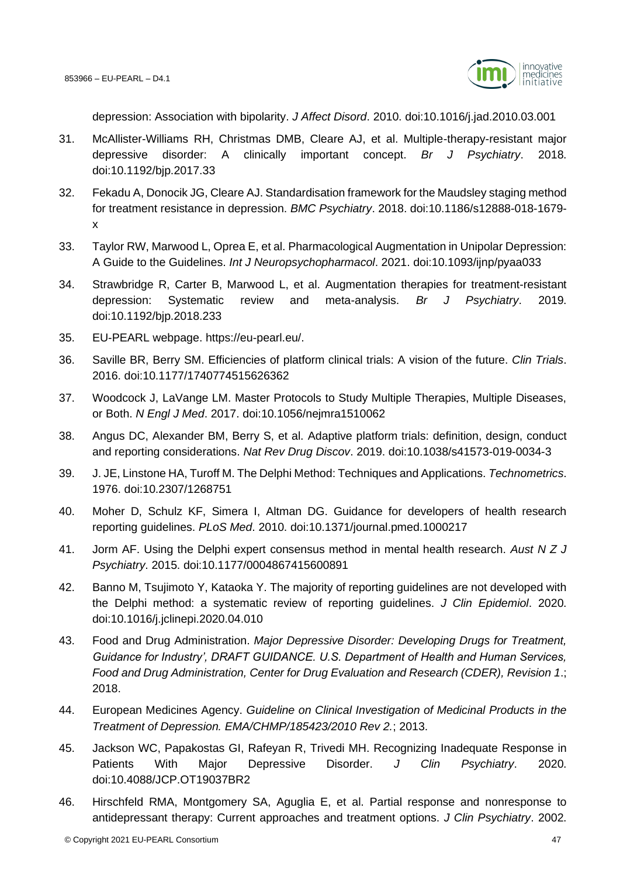

depression: Association with bipolarity. *J Affect Disord*. 2010. doi:10.1016/j.jad.2010.03.001

- 31. McAllister-Williams RH, Christmas DMB, Cleare AJ, et al. Multiple-therapy-resistant major depressive disorder: A clinically important concept. *Br J Psychiatry*. 2018. doi:10.1192/bjp.2017.33
- 32. Fekadu A, Donocik JG, Cleare AJ. Standardisation framework for the Maudsley staging method for treatment resistance in depression. *BMC Psychiatry*. 2018. doi:10.1186/s12888-018-1679 x
- 33. Taylor RW, Marwood L, Oprea E, et al. Pharmacological Augmentation in Unipolar Depression: A Guide to the Guidelines. *Int J Neuropsychopharmacol*. 2021. doi:10.1093/ijnp/pyaa033
- 34. Strawbridge R, Carter B, Marwood L, et al. Augmentation therapies for treatment-resistant depression: Systematic review and meta-analysis. *Br J Psychiatry*. 2019. doi:10.1192/bjp.2018.233
- 35. EU-PEARL webpage. https://eu-pearl.eu/.
- 36. Saville BR, Berry SM. Efficiencies of platform clinical trials: A vision of the future. *Clin Trials*. 2016. doi:10.1177/1740774515626362
- 37. Woodcock J, LaVange LM. Master Protocols to Study Multiple Therapies, Multiple Diseases, or Both. *N Engl J Med*. 2017. doi:10.1056/nejmra1510062
- 38. Angus DC, Alexander BM, Berry S, et al. Adaptive platform trials: definition, design, conduct and reporting considerations. *Nat Rev Drug Discov*. 2019. doi:10.1038/s41573-019-0034-3
- 39. J. JE, Linstone HA, Turoff M. The Delphi Method: Techniques and Applications. *Technometrics*. 1976. doi:10.2307/1268751
- 40. Moher D, Schulz KF, Simera I, Altman DG. Guidance for developers of health research reporting guidelines. *PLoS Med*. 2010. doi:10.1371/journal.pmed.1000217
- 41. Jorm AF. Using the Delphi expert consensus method in mental health research. *Aust N Z J Psychiatry*. 2015. doi:10.1177/0004867415600891
- 42. Banno M, Tsujimoto Y, Kataoka Y. The majority of reporting guidelines are not developed with the Delphi method: a systematic review of reporting guidelines. *J Clin Epidemiol*. 2020. doi:10.1016/j.jclinepi.2020.04.010
- 43. Food and Drug Administration. *Major Depressive Disorder: Developing Drugs for Treatment, Guidance for Industry', DRAFT GUIDANCE. U.S. Department of Health and Human Services, Food and Drug Administration, Center for Drug Evaluation and Research (CDER), Revision 1*.; 2018.
- 44. European Medicines Agency. *Guideline on Clinical Investigation of Medicinal Products in the Treatment of Depression. EMA/CHMP/185423/2010 Rev 2.*; 2013.
- 45. Jackson WC, Papakostas GI, Rafeyan R, Trivedi MH. Recognizing Inadequate Response in Patients With Major Depressive Disorder. *J Clin Psychiatry*. 2020. doi:10.4088/JCP.OT19037BR2
- 46. Hirschfeld RMA, Montgomery SA, Aguglia E, et al. Partial response and nonresponse to antidepressant therapy: Current approaches and treatment options. *J Clin Psychiatry*. 2002.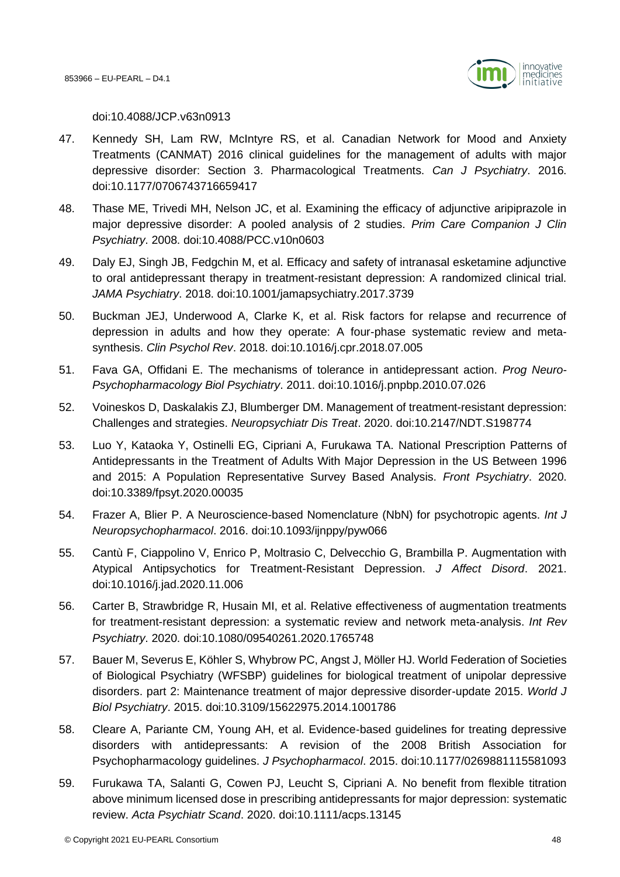

doi:10.4088/JCP.v63n0913

- 47. Kennedy SH, Lam RW, McIntyre RS, et al. Canadian Network for Mood and Anxiety Treatments (CANMAT) 2016 clinical guidelines for the management of adults with major depressive disorder: Section 3. Pharmacological Treatments. *Can J Psychiatry*. 2016. doi:10.1177/0706743716659417
- 48. Thase ME, Trivedi MH, Nelson JC, et al. Examining the efficacy of adjunctive aripiprazole in major depressive disorder: A pooled analysis of 2 studies. *Prim Care Companion J Clin Psychiatry*. 2008. doi:10.4088/PCC.v10n0603
- 49. Daly EJ, Singh JB, Fedgchin M, et al. Efficacy and safety of intranasal esketamine adjunctive to oral antidepressant therapy in treatment-resistant depression: A randomized clinical trial. *JAMA Psychiatry*. 2018. doi:10.1001/jamapsychiatry.2017.3739
- 50. Buckman JEJ, Underwood A, Clarke K, et al. Risk factors for relapse and recurrence of depression in adults and how they operate: A four-phase systematic review and metasynthesis. *Clin Psychol Rev*. 2018. doi:10.1016/j.cpr.2018.07.005
- 51. Fava GA, Offidani E. The mechanisms of tolerance in antidepressant action. *Prog Neuro-Psychopharmacology Biol Psychiatry*. 2011. doi:10.1016/j.pnpbp.2010.07.026
- 52. Voineskos D, Daskalakis ZJ, Blumberger DM. Management of treatment-resistant depression: Challenges and strategies. *Neuropsychiatr Dis Treat*. 2020. doi:10.2147/NDT.S198774
- 53. Luo Y, Kataoka Y, Ostinelli EG, Cipriani A, Furukawa TA. National Prescription Patterns of Antidepressants in the Treatment of Adults With Major Depression in the US Between 1996 and 2015: A Population Representative Survey Based Analysis. *Front Psychiatry*. 2020. doi:10.3389/fpsyt.2020.00035
- 54. Frazer A, Blier P. A Neuroscience-based Nomenclature (NbN) for psychotropic agents. *Int J Neuropsychopharmacol*. 2016. doi:10.1093/ijnppy/pyw066
- 55. Cantù F, Ciappolino V, Enrico P, Moltrasio C, Delvecchio G, Brambilla P. Augmentation with Atypical Antipsychotics for Treatment-Resistant Depression. *J Affect Disord*. 2021. doi:10.1016/j.jad.2020.11.006
- 56. Carter B, Strawbridge R, Husain MI, et al. Relative effectiveness of augmentation treatments for treatment-resistant depression: a systematic review and network meta-analysis. *Int Rev Psychiatry*. 2020. doi:10.1080/09540261.2020.1765748
- 57. Bauer M, Severus E, Köhler S, Whybrow PC, Angst J, Möller HJ. World Federation of Societies of Biological Psychiatry (WFSBP) guidelines for biological treatment of unipolar depressive disorders. part 2: Maintenance treatment of major depressive disorder-update 2015. *World J Biol Psychiatry*. 2015. doi:10.3109/15622975.2014.1001786
- 58. Cleare A, Pariante CM, Young AH, et al. Evidence-based guidelines for treating depressive disorders with antidepressants: A revision of the 2008 British Association for Psychopharmacology guidelines. *J Psychopharmacol*. 2015. doi:10.1177/0269881115581093
- 59. Furukawa TA, Salanti G, Cowen PJ, Leucht S, Cipriani A. No benefit from flexible titration above minimum licensed dose in prescribing antidepressants for major depression: systematic review. *Acta Psychiatr Scand*. 2020. doi:10.1111/acps.13145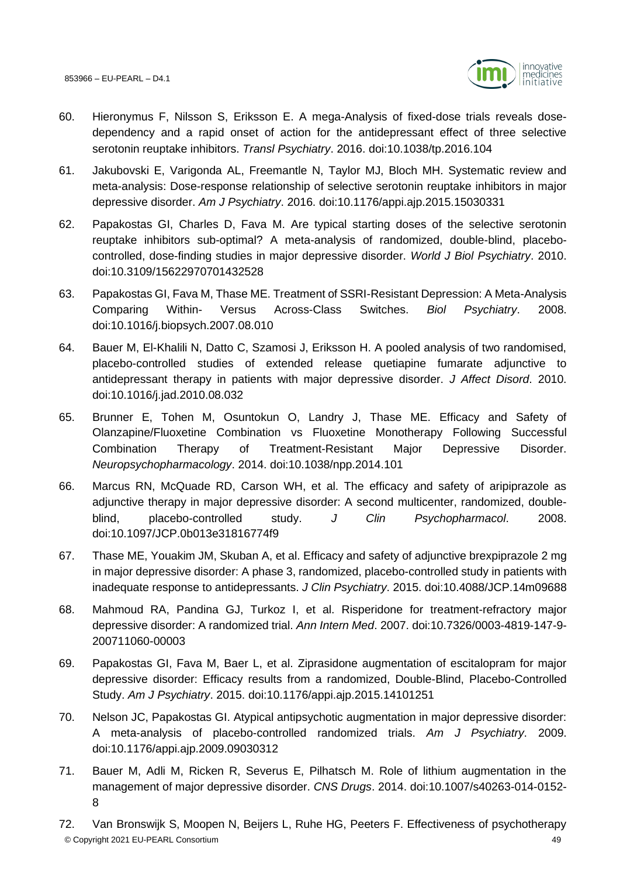

- 60. Hieronymus F, Nilsson S, Eriksson E. A mega-Analysis of fixed-dose trials reveals dosedependency and a rapid onset of action for the antidepressant effect of three selective serotonin reuptake inhibitors. *Transl Psychiatry*. 2016. doi:10.1038/tp.2016.104
- 61. Jakubovski E, Varigonda AL, Freemantle N, Taylor MJ, Bloch MH. Systematic review and meta-analysis: Dose-response relationship of selective serotonin reuptake inhibitors in major depressive disorder. *Am J Psychiatry*. 2016. doi:10.1176/appi.ajp.2015.15030331
- 62. Papakostas GI, Charles D, Fava M. Are typical starting doses of the selective serotonin reuptake inhibitors sub-optimal? A meta-analysis of randomized, double-blind, placebocontrolled, dose-finding studies in major depressive disorder. *World J Biol Psychiatry*. 2010. doi:10.3109/15622970701432528
- 63. Papakostas GI, Fava M, Thase ME. Treatment of SSRI-Resistant Depression: A Meta-Analysis Comparing Within- Versus Across-Class Switches. *Biol Psychiatry*. 2008. doi:10.1016/j.biopsych.2007.08.010
- 64. Bauer M, El-Khalili N, Datto C, Szamosi J, Eriksson H. A pooled analysis of two randomised, placebo-controlled studies of extended release quetiapine fumarate adjunctive to antidepressant therapy in patients with major depressive disorder. *J Affect Disord*. 2010. doi:10.1016/j.jad.2010.08.032
- 65. Brunner E, Tohen M, Osuntokun O, Landry J, Thase ME. Efficacy and Safety of Olanzapine/Fluoxetine Combination vs Fluoxetine Monotherapy Following Successful Combination Therapy of Treatment-Resistant Major Depressive Disorder. *Neuropsychopharmacology*. 2014. doi:10.1038/npp.2014.101
- 66. Marcus RN, McQuade RD, Carson WH, et al. The efficacy and safety of aripiprazole as adjunctive therapy in major depressive disorder: A second multicenter, randomized, doubleblind, placebo-controlled study. *J Clin Psychopharmacol*. 2008. doi:10.1097/JCP.0b013e31816774f9
- 67. Thase ME, Youakim JM, Skuban A, et al. Efficacy and safety of adjunctive brexpiprazole 2 mg in major depressive disorder: A phase 3, randomized, placebo-controlled study in patients with inadequate response to antidepressants. *J Clin Psychiatry*. 2015. doi:10.4088/JCP.14m09688
- 68. Mahmoud RA, Pandina GJ, Turkoz I, et al. Risperidone for treatment-refractory major depressive disorder: A randomized trial. *Ann Intern Med*. 2007. doi:10.7326/0003-4819-147-9- 200711060-00003
- 69. Papakostas GI, Fava M, Baer L, et al. Ziprasidone augmentation of escitalopram for major depressive disorder: Efficacy results from a randomized, Double-Blind, Placebo-Controlled Study. *Am J Psychiatry*. 2015. doi:10.1176/appi.ajp.2015.14101251
- 70. Nelson JC, Papakostas GI. Atypical antipsychotic augmentation in major depressive disorder: A meta-analysis of placebo-controlled randomized trials. *Am J Psychiatry*. 2009. doi:10.1176/appi.ajp.2009.09030312
- 71. Bauer M, Adli M, Ricken R, Severus E, Pilhatsch M. Role of lithium augmentation in the management of major depressive disorder. *CNS Drugs*. 2014. doi:10.1007/s40263-014-0152- 8
- © Copyright 2021 EU-PEARL Consortium 49 72. Van Bronswijk S, Moopen N, Beijers L, Ruhe HG, Peeters F. Effectiveness of psychotherapy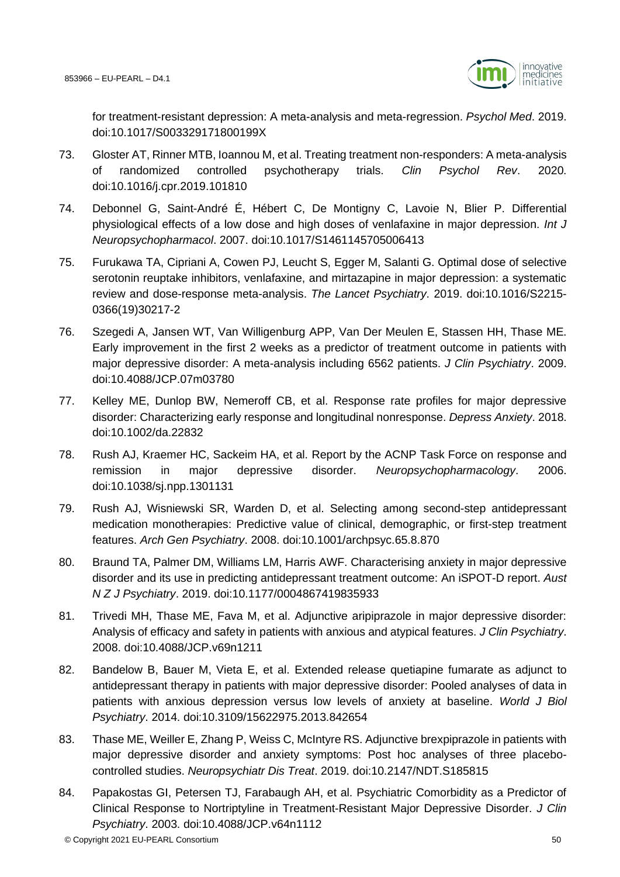

for treatment-resistant depression: A meta-analysis and meta-regression. *Psychol Med*. 2019. doi:10.1017/S003329171800199X

- 73. Gloster AT, Rinner MTB, Ioannou M, et al. Treating treatment non-responders: A meta-analysis of randomized controlled psychotherapy trials. *Clin Psychol Rev*. 2020. doi:10.1016/j.cpr.2019.101810
- 74. Debonnel G, Saint-André É, Hébert C, De Montigny C, Lavoie N, Blier P. Differential physiological effects of a low dose and high doses of venlafaxine in major depression. *Int J Neuropsychopharmacol*. 2007. doi:10.1017/S1461145705006413
- 75. Furukawa TA, Cipriani A, Cowen PJ, Leucht S, Egger M, Salanti G. Optimal dose of selective serotonin reuptake inhibitors, venlafaxine, and mirtazapine in major depression: a systematic review and dose-response meta-analysis. *The Lancet Psychiatry*. 2019. doi:10.1016/S2215- 0366(19)30217-2
- 76. Szegedi A, Jansen WT, Van Willigenburg APP, Van Der Meulen E, Stassen HH, Thase ME. Early improvement in the first 2 weeks as a predictor of treatment outcome in patients with major depressive disorder: A meta-analysis including 6562 patients. *J Clin Psychiatry*. 2009. doi:10.4088/JCP.07m03780
- 77. Kelley ME, Dunlop BW, Nemeroff CB, et al. Response rate profiles for major depressive disorder: Characterizing early response and longitudinal nonresponse. *Depress Anxiety*. 2018. doi:10.1002/da.22832
- 78. Rush AJ, Kraemer HC, Sackeim HA, et al. Report by the ACNP Task Force on response and remission in major depressive disorder. *Neuropsychopharmacology*. 2006. doi:10.1038/sj.npp.1301131
- 79. Rush AJ, Wisniewski SR, Warden D, et al. Selecting among second-step antidepressant medication monotherapies: Predictive value of clinical, demographic, or first-step treatment features. *Arch Gen Psychiatry*. 2008. doi:10.1001/archpsyc.65.8.870
- 80. Braund TA, Palmer DM, Williams LM, Harris AWF. Characterising anxiety in major depressive disorder and its use in predicting antidepressant treatment outcome: An iSPOT-D report. *Aust N Z J Psychiatry*. 2019. doi:10.1177/0004867419835933
- 81. Trivedi MH, Thase ME, Fava M, et al. Adjunctive aripiprazole in major depressive disorder: Analysis of efficacy and safety in patients with anxious and atypical features. *J Clin Psychiatry*. 2008. doi:10.4088/JCP.v69n1211
- 82. Bandelow B, Bauer M, Vieta E, et al. Extended release quetiapine fumarate as adjunct to antidepressant therapy in patients with major depressive disorder: Pooled analyses of data in patients with anxious depression versus low levels of anxiety at baseline. *World J Biol Psychiatry*. 2014. doi:10.3109/15622975.2013.842654
- 83. Thase ME, Weiller E, Zhang P, Weiss C, McIntyre RS. Adjunctive brexpiprazole in patients with major depressive disorder and anxiety symptoms: Post hoc analyses of three placebocontrolled studies. *Neuropsychiatr Dis Treat*. 2019. doi:10.2147/NDT.S185815
- 84. Papakostas GI, Petersen TJ, Farabaugh AH, et al. Psychiatric Comorbidity as a Predictor of Clinical Response to Nortriptyline in Treatment-Resistant Major Depressive Disorder. *J Clin Psychiatry*. 2003. doi:10.4088/JCP.v64n1112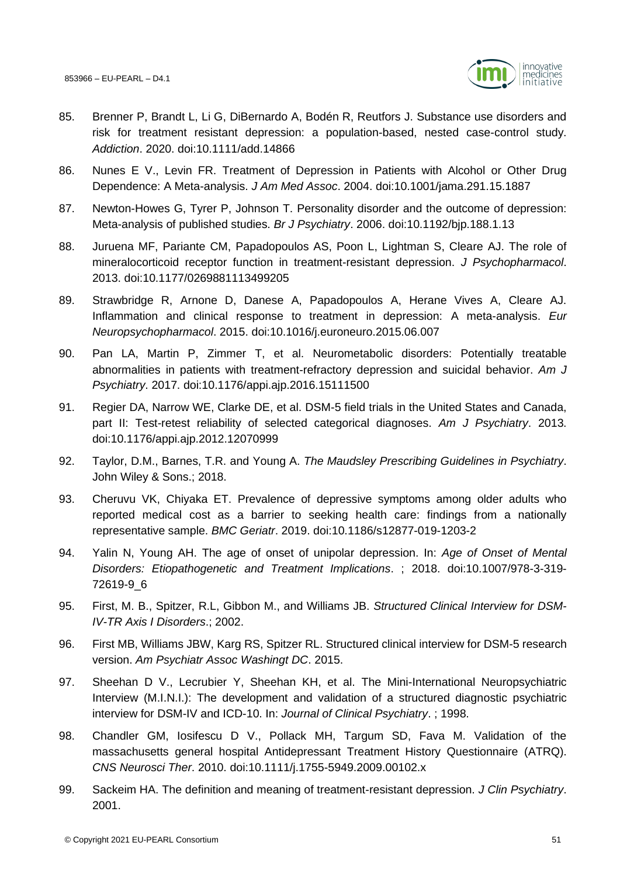

- 85. Brenner P, Brandt L, Li G, DiBernardo A, Bodén R, Reutfors J. Substance use disorders and risk for treatment resistant depression: a population-based, nested case-control study. *Addiction*. 2020. doi:10.1111/add.14866
- 86. Nunes E V., Levin FR. Treatment of Depression in Patients with Alcohol or Other Drug Dependence: A Meta-analysis. *J Am Med Assoc*. 2004. doi:10.1001/jama.291.15.1887
- 87. Newton-Howes G, Tyrer P, Johnson T. Personality disorder and the outcome of depression: Meta-analysis of published studies. *Br J Psychiatry*. 2006. doi:10.1192/bjp.188.1.13
- 88. Juruena MF, Pariante CM, Papadopoulos AS, Poon L, Lightman S, Cleare AJ. The role of mineralocorticoid receptor function in treatment-resistant depression. *J Psychopharmacol*. 2013. doi:10.1177/0269881113499205
- 89. Strawbridge R, Arnone D, Danese A, Papadopoulos A, Herane Vives A, Cleare AJ. Inflammation and clinical response to treatment in depression: A meta-analysis. *Eur Neuropsychopharmacol*. 2015. doi:10.1016/j.euroneuro.2015.06.007
- 90. Pan LA, Martin P, Zimmer T, et al. Neurometabolic disorders: Potentially treatable abnormalities in patients with treatment-refractory depression and suicidal behavior. *Am J Psychiatry*. 2017. doi:10.1176/appi.ajp.2016.15111500
- 91. Regier DA, Narrow WE, Clarke DE, et al. DSM-5 field trials in the United States and Canada, part II: Test-retest reliability of selected categorical diagnoses. *Am J Psychiatry*. 2013. doi:10.1176/appi.ajp.2012.12070999
- 92. Taylor, D.M., Barnes, T.R. and Young A. *The Maudsley Prescribing Guidelines in Psychiatry*. John Wiley & Sons.; 2018.
- 93. Cheruvu VK, Chiyaka ET. Prevalence of depressive symptoms among older adults who reported medical cost as a barrier to seeking health care: findings from a nationally representative sample. *BMC Geriatr*. 2019. doi:10.1186/s12877-019-1203-2
- 94. Yalin N, Young AH. The age of onset of unipolar depression. In: *Age of Onset of Mental Disorders: Etiopathogenetic and Treatment Implications*. ; 2018. doi:10.1007/978-3-319- 72619-9\_6
- 95. First, M. B., Spitzer, R.L, Gibbon M., and Williams JB. *Structured Clinical Interview for DSM-IV-TR Axis I Disorders*.; 2002.
- 96. First MB, Williams JBW, Karg RS, Spitzer RL. Structured clinical interview for DSM-5 research version. *Am Psychiatr Assoc Washingt DC*. 2015.
- 97. Sheehan D V., Lecrubier Y, Sheehan KH, et al. The Mini-International Neuropsychiatric Interview (M.I.N.I.): The development and validation of a structured diagnostic psychiatric interview for DSM-IV and ICD-10. In: *Journal of Clinical Psychiatry*. ; 1998.
- 98. Chandler GM, Iosifescu D V., Pollack MH, Targum SD, Fava M. Validation of the massachusetts general hospital Antidepressant Treatment History Questionnaire (ATRQ). *CNS Neurosci Ther*. 2010. doi:10.1111/j.1755-5949.2009.00102.x
- 99. Sackeim HA. The definition and meaning of treatment-resistant depression. *J Clin Psychiatry*. 2001.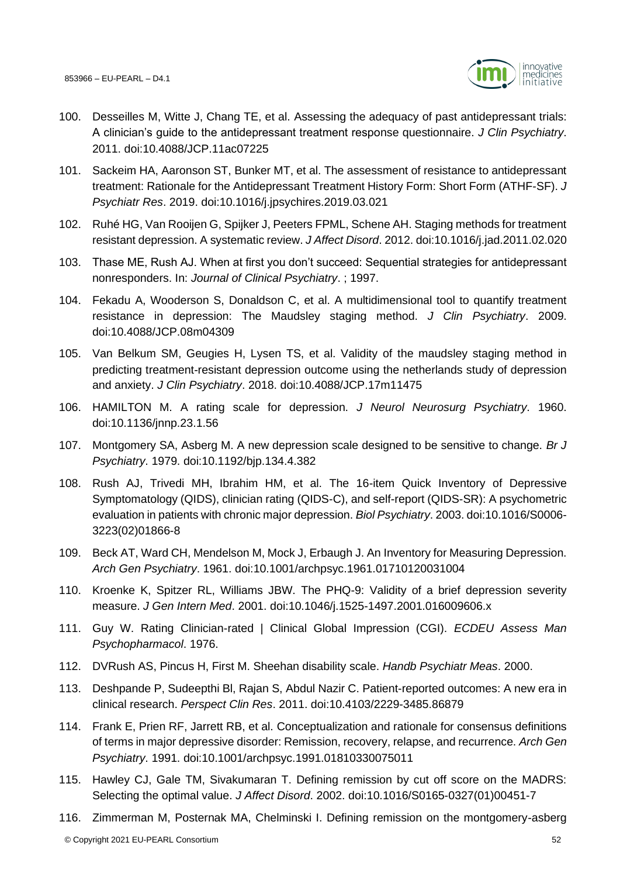

- 100. Desseilles M, Witte J, Chang TE, et al. Assessing the adequacy of past antidepressant trials: A clinician's guide to the antidepressant treatment response questionnaire. *J Clin Psychiatry*. 2011. doi:10.4088/JCP.11ac07225
- 101. Sackeim HA, Aaronson ST, Bunker MT, et al. The assessment of resistance to antidepressant treatment: Rationale for the Antidepressant Treatment History Form: Short Form (ATHF-SF). *J Psychiatr Res*. 2019. doi:10.1016/j.jpsychires.2019.03.021
- 102. Ruhé HG, Van Rooijen G, Spijker J, Peeters FPML, Schene AH. Staging methods for treatment resistant depression. A systematic review. *J Affect Disord*. 2012. doi:10.1016/j.jad.2011.02.020
- 103. Thase ME, Rush AJ. When at first you don't succeed: Sequential strategies for antidepressant nonresponders. In: *Journal of Clinical Psychiatry*. ; 1997.
- 104. Fekadu A, Wooderson S, Donaldson C, et al. A multidimensional tool to quantify treatment resistance in depression: The Maudsley staging method. *J Clin Psychiatry*. 2009. doi:10.4088/JCP.08m04309
- 105. Van Belkum SM, Geugies H, Lysen TS, et al. Validity of the maudsley staging method in predicting treatment-resistant depression outcome using the netherlands study of depression and anxiety. *J Clin Psychiatry*. 2018. doi:10.4088/JCP.17m11475
- 106. HAMILTON M. A rating scale for depression. *J Neurol Neurosurg Psychiatry*. 1960. doi:10.1136/jnnp.23.1.56
- 107. Montgomery SA, Asberg M. A new depression scale designed to be sensitive to change. *Br J Psychiatry*. 1979. doi:10.1192/bjp.134.4.382
- 108. Rush AJ, Trivedi MH, Ibrahim HM, et al. The 16-item Quick Inventory of Depressive Symptomatology (QIDS), clinician rating (QIDS-C), and self-report (QIDS-SR): A psychometric evaluation in patients with chronic major depression. *Biol Psychiatry*. 2003. doi:10.1016/S0006- 3223(02)01866-8
- 109. Beck AT, Ward CH, Mendelson M, Mock J, Erbaugh J. An Inventory for Measuring Depression. *Arch Gen Psychiatry*. 1961. doi:10.1001/archpsyc.1961.01710120031004
- 110. Kroenke K, Spitzer RL, Williams JBW. The PHQ-9: Validity of a brief depression severity measure. *J Gen Intern Med*. 2001. doi:10.1046/j.1525-1497.2001.016009606.x
- 111. Guy W. Rating Clinician-rated | Clinical Global Impression (CGI). *ECDEU Assess Man Psychopharmacol*. 1976.
- 112. DVRush AS, Pincus H, First M. Sheehan disability scale. *Handb Psychiatr Meas*. 2000.
- 113. Deshpande P, Sudeepthi Bl, Rajan S, Abdul Nazir C. Patient-reported outcomes: A new era in clinical research. *Perspect Clin Res*. 2011. doi:10.4103/2229-3485.86879
- 114. Frank E, Prien RF, Jarrett RB, et al. Conceptualization and rationale for consensus definitions of terms in major depressive disorder: Remission, recovery, relapse, and recurrence. *Arch Gen Psychiatry*. 1991. doi:10.1001/archpsyc.1991.01810330075011
- 115. Hawley CJ, Gale TM, Sivakumaran T. Defining remission by cut off score on the MADRS: Selecting the optimal value. *J Affect Disord*. 2002. doi:10.1016/S0165-0327(01)00451-7
- 116. Zimmerman M, Posternak MA, Chelminski I. Defining remission on the montgomery-asberg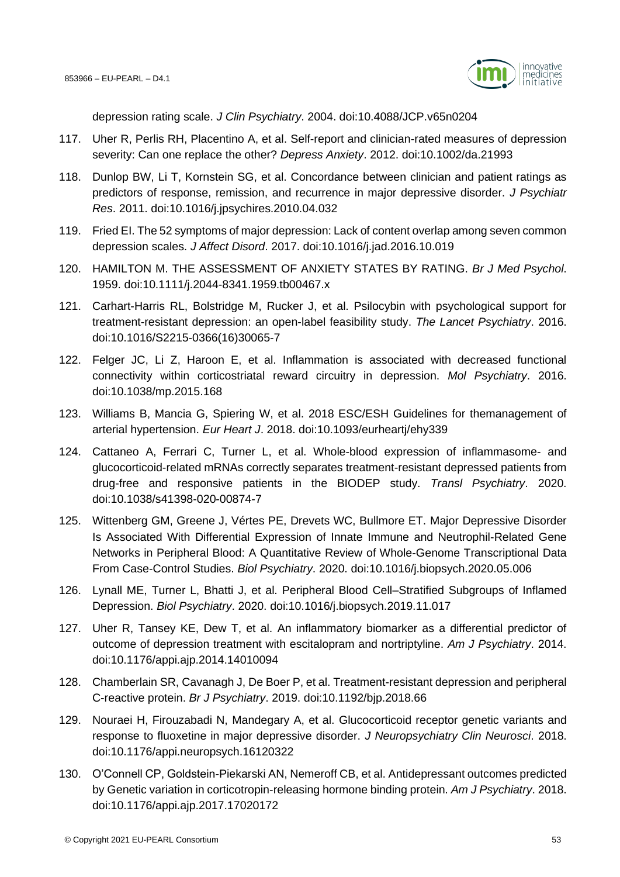

depression rating scale. *J Clin Psychiatry*. 2004. doi:10.4088/JCP.v65n0204

- 117. Uher R, Perlis RH, Placentino A, et al. Self-report and clinician-rated measures of depression severity: Can one replace the other? *Depress Anxiety*. 2012. doi:10.1002/da.21993
- 118. Dunlop BW, Li T, Kornstein SG, et al. Concordance between clinician and patient ratings as predictors of response, remission, and recurrence in major depressive disorder. *J Psychiatr Res*. 2011. doi:10.1016/j.jpsychires.2010.04.032
- 119. Fried EI. The 52 symptoms of major depression: Lack of content overlap among seven common depression scales. *J Affect Disord*. 2017. doi:10.1016/j.jad.2016.10.019
- 120. HAMILTON M. THE ASSESSMENT OF ANXIETY STATES BY RATING. *Br J Med Psychol*. 1959. doi:10.1111/j.2044-8341.1959.tb00467.x
- 121. Carhart-Harris RL, Bolstridge M, Rucker J, et al. Psilocybin with psychological support for treatment-resistant depression: an open-label feasibility study. *The Lancet Psychiatry*. 2016. doi:10.1016/S2215-0366(16)30065-7
- 122. Felger JC, Li Z, Haroon E, et al. Inflammation is associated with decreased functional connectivity within corticostriatal reward circuitry in depression. *Mol Psychiatry*. 2016. doi:10.1038/mp.2015.168
- 123. Williams B, Mancia G, Spiering W, et al. 2018 ESC/ESH Guidelines for themanagement of arterial hypertension. *Eur Heart J*. 2018. doi:10.1093/eurheartj/ehy339
- 124. Cattaneo A, Ferrari C, Turner L, et al. Whole-blood expression of inflammasome- and glucocorticoid-related mRNAs correctly separates treatment-resistant depressed patients from drug-free and responsive patients in the BIODEP study. *Transl Psychiatry*. 2020. doi:10.1038/s41398-020-00874-7
- 125. Wittenberg GM, Greene J, Vértes PE, Drevets WC, Bullmore ET. Major Depressive Disorder Is Associated With Differential Expression of Innate Immune and Neutrophil-Related Gene Networks in Peripheral Blood: A Quantitative Review of Whole-Genome Transcriptional Data From Case-Control Studies. *Biol Psychiatry*. 2020. doi:10.1016/j.biopsych.2020.05.006
- 126. Lynall ME, Turner L, Bhatti J, et al. Peripheral Blood Cell–Stratified Subgroups of Inflamed Depression. *Biol Psychiatry*. 2020. doi:10.1016/j.biopsych.2019.11.017
- 127. Uher R, Tansey KE, Dew T, et al. An inflammatory biomarker as a differential predictor of outcome of depression treatment with escitalopram and nortriptyline. *Am J Psychiatry*. 2014. doi:10.1176/appi.ajp.2014.14010094
- 128. Chamberlain SR, Cavanagh J, De Boer P, et al. Treatment-resistant depression and peripheral C-reactive protein. *Br J Psychiatry*. 2019. doi:10.1192/bjp.2018.66
- 129. Nouraei H, Firouzabadi N, Mandegary A, et al. Glucocorticoid receptor genetic variants and response to fluoxetine in major depressive disorder. *J Neuropsychiatry Clin Neurosci*. 2018. doi:10.1176/appi.neuropsych.16120322
- 130. O'Connell CP, Goldstein-Piekarski AN, Nemeroff CB, et al. Antidepressant outcomes predicted by Genetic variation in corticotropin-releasing hormone binding protein. *Am J Psychiatry*. 2018. doi:10.1176/appi.ajp.2017.17020172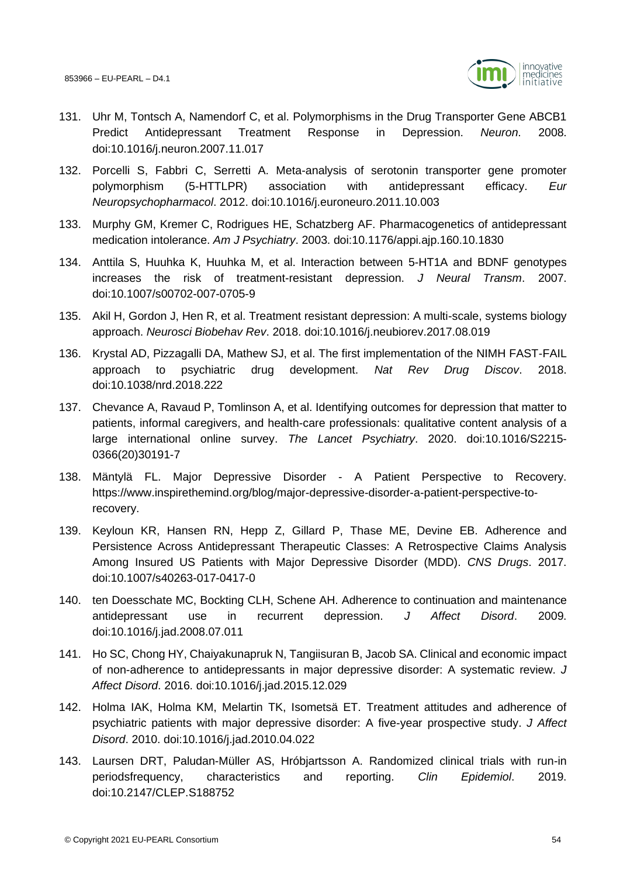

- 131. Uhr M, Tontsch A, Namendorf C, et al. Polymorphisms in the Drug Transporter Gene ABCB1 Predict Antidepressant Treatment Response in Depression. *Neuron*. 2008. doi:10.1016/j.neuron.2007.11.017
- 132. Porcelli S, Fabbri C, Serretti A. Meta-analysis of serotonin transporter gene promoter polymorphism (5-HTTLPR) association with antidepressant efficacy. *Eur Neuropsychopharmacol*. 2012. doi:10.1016/j.euroneuro.2011.10.003
- 133. Murphy GM, Kremer C, Rodrigues HE, Schatzberg AF. Pharmacogenetics of antidepressant medication intolerance. *Am J Psychiatry*. 2003. doi:10.1176/appi.ajp.160.10.1830
- 134. Anttila S, Huuhka K, Huuhka M, et al. Interaction between 5-HT1A and BDNF genotypes increases the risk of treatment-resistant depression. *J Neural Transm*. 2007. doi:10.1007/s00702-007-0705-9
- 135. Akil H, Gordon J, Hen R, et al. Treatment resistant depression: A multi-scale, systems biology approach. *Neurosci Biobehav Rev*. 2018. doi:10.1016/j.neubiorev.2017.08.019
- 136. Krystal AD, Pizzagalli DA, Mathew SJ, et al. The first implementation of the NIMH FAST-FAIL approach to psychiatric drug development. *Nat Rev Drug Discov*. 2018. doi:10.1038/nrd.2018.222
- 137. Chevance A, Ravaud P, Tomlinson A, et al. Identifying outcomes for depression that matter to patients, informal caregivers, and health-care professionals: qualitative content analysis of a large international online survey. *The Lancet Psychiatry*. 2020. doi:10.1016/S2215- 0366(20)30191-7
- 138. Mäntylä FL. Major Depressive Disorder A Patient Perspective to Recovery. https://www.inspirethemind.org/blog/major-depressive-disorder-a-patient-perspective-torecovery.
- 139. Keyloun KR, Hansen RN, Hepp Z, Gillard P, Thase ME, Devine EB. Adherence and Persistence Across Antidepressant Therapeutic Classes: A Retrospective Claims Analysis Among Insured US Patients with Major Depressive Disorder (MDD). *CNS Drugs*. 2017. doi:10.1007/s40263-017-0417-0
- 140. ten Doesschate MC, Bockting CLH, Schene AH. Adherence to continuation and maintenance antidepressant use in recurrent depression. *J Affect Disord*. 2009. doi:10.1016/j.jad.2008.07.011
- 141. Ho SC, Chong HY, Chaiyakunapruk N, Tangiisuran B, Jacob SA. Clinical and economic impact of non-adherence to antidepressants in major depressive disorder: A systematic review. *J Affect Disord*. 2016. doi:10.1016/j.jad.2015.12.029
- 142. Holma IAK, Holma KM, Melartin TK, Isometsä ET. Treatment attitudes and adherence of psychiatric patients with major depressive disorder: A five-year prospective study. *J Affect Disord*. 2010. doi:10.1016/j.jad.2010.04.022
- 143. Laursen DRT, Paludan-Müller AS, Hróbjartsson A. Randomized clinical trials with run-in periodsfrequency, characteristics and reporting. *Clin Epidemiol*. 2019. doi:10.2147/CLEP.S188752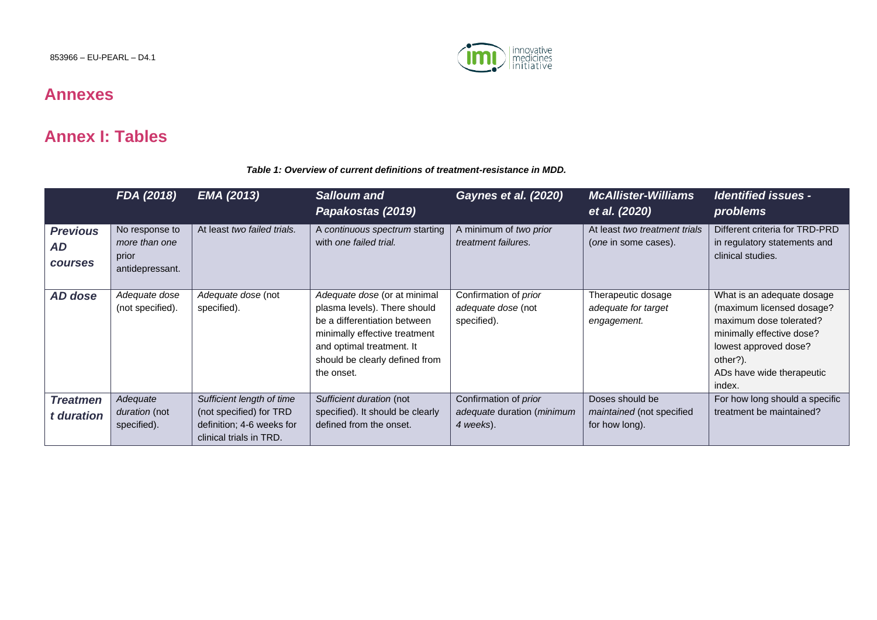853966 – EU-PEARL – D4.1



### **Annexes**

### **Annex I: Tables**

#### *Table 1: Overview of current definitions of treatment-resistance in MDD.*

|                                         | FDA (2018)                                                  | <b>EMA (2013)</b>                                                                                            | <b>Salloum and</b><br>Papakostas (2019)                                                                                                                                                                    | Gaynes et al. (2020)                                              | <b>McAllister-Williams</b><br>et al. (2020)                    | <b>Identified issues -</b><br>problems                                                                                                                                                      |
|-----------------------------------------|-------------------------------------------------------------|--------------------------------------------------------------------------------------------------------------|------------------------------------------------------------------------------------------------------------------------------------------------------------------------------------------------------------|-------------------------------------------------------------------|----------------------------------------------------------------|---------------------------------------------------------------------------------------------------------------------------------------------------------------------------------------------|
| <b>Previous</b><br>AD<br><b>courses</b> | No response to<br>more than one<br>prior<br>antidepressant. | At least two failed trials.                                                                                  | A continuous spectrum starting<br>with one failed trial.                                                                                                                                                   | A minimum of two prior<br>treatment failures.                     | At least two treatment trials<br>(one in some cases).          | Different criteria for TRD-PRD<br>in regulatory statements and<br>clinical studies.                                                                                                         |
| <b>AD</b> dose                          | Adequate dose<br>(not specified).                           | Adequate dose (not<br>specified).                                                                            | Adequate dose (or at minimal<br>plasma levels). There should<br>be a differentiation between<br>minimally effective treatment<br>and optimal treatment. It<br>should be clearly defined from<br>the onset. | Confirmation of <i>prior</i><br>adequate dose (not<br>specified). | Therapeutic dosage<br>adequate for target<br>engagement.       | What is an adequate dosage<br>(maximum licensed dosage?<br>maximum dose tolerated?<br>minimally effective dose?<br>lowest approved dose?<br>other?).<br>ADs have wide therapeutic<br>index. |
| <b>Treatmen</b><br>t duration           | Adequate<br>duration (not<br>specified).                    | Sufficient length of time<br>(not specified) for TRD<br>definition; 4-6 weeks for<br>clinical trials in TRD. | Sufficient duration (not<br>specified). It should be clearly<br>defined from the onset.                                                                                                                    | Confirmation of prior<br>adequate duration (minimum<br>4 weeks).  | Doses should be<br>maintained (not specified<br>for how long). | For how long should a specific<br>treatment be maintained?                                                                                                                                  |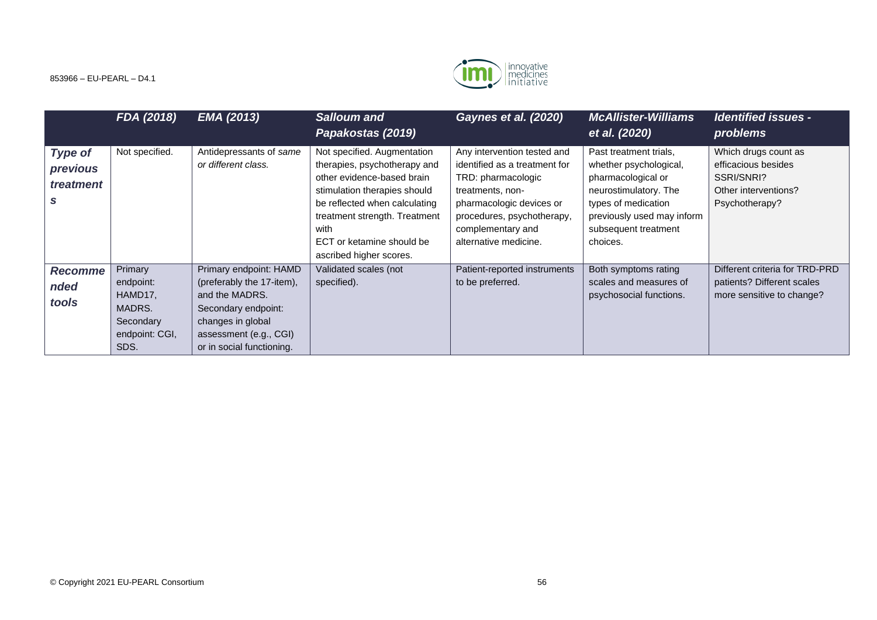

|                                         | FDA (2018)                                                                       | <b>EMA (2013)</b>                                                                                                                                                        | <b>Salloum and</b><br>Papakostas (2019)                                                                                                                                                                                                                     | <b>Gaynes et al. (2020)</b>                                                                                                                                                                                    | <b>McAllister-Williams</b><br>et al. (2020)                                                                                                                                              | <b>Identified issues -</b><br>problems                                                              |
|-----------------------------------------|----------------------------------------------------------------------------------|--------------------------------------------------------------------------------------------------------------------------------------------------------------------------|-------------------------------------------------------------------------------------------------------------------------------------------------------------------------------------------------------------------------------------------------------------|----------------------------------------------------------------------------------------------------------------------------------------------------------------------------------------------------------------|------------------------------------------------------------------------------------------------------------------------------------------------------------------------------------------|-----------------------------------------------------------------------------------------------------|
| <b>Type of</b><br>previous<br>treatment | Not specified.                                                                   | Antidepressants of same<br>or different class.                                                                                                                           | Not specified. Augmentation<br>therapies, psychotherapy and<br>other evidence-based brain<br>stimulation therapies should<br>be reflected when calculating<br>treatment strength. Treatment<br>with<br>ECT or ketamine should be<br>ascribed higher scores. | Any intervention tested and<br>identified as a treatment for<br>TRD: pharmacologic<br>treatments, non-<br>pharmacologic devices or<br>procedures, psychotherapy,<br>complementary and<br>alternative medicine. | Past treatment trials,<br>whether psychological,<br>pharmacological or<br>neurostimulatory. The<br>types of medication<br>previously used may inform<br>subsequent treatment<br>choices. | Which drugs count as<br>efficacious besides<br>SSRI/SNRI?<br>Other interventions?<br>Psychotherapy? |
| <b>Recomme</b><br>nded<br>tools         | Primary<br>endpoint:<br>HAMD17,<br>MADRS.<br>Secondary<br>endpoint: CGI,<br>SDS. | Primary endpoint: HAMD<br>(preferably the 17-item),<br>and the MADRS.<br>Secondary endpoint:<br>changes in global<br>assessment (e.g., CGI)<br>or in social functioning. | Validated scales (not<br>specified).                                                                                                                                                                                                                        | Patient-reported instruments<br>to be preferred.                                                                                                                                                               | Both symptoms rating<br>scales and measures of<br>psychosocial functions.                                                                                                                | Different criteria for TRD-PRD<br>patients? Different scales<br>more sensitive to change?           |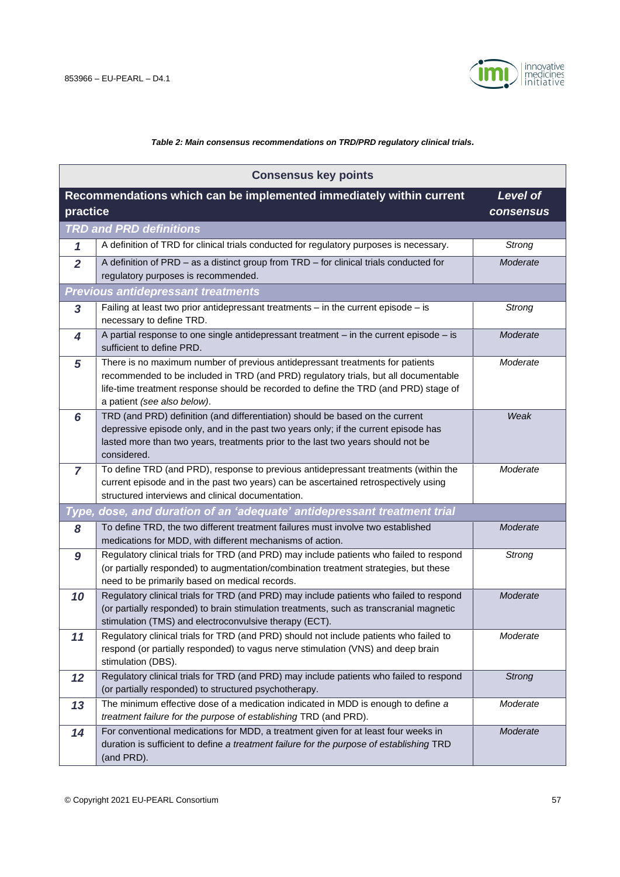

#### *Table 2: Main consensus recommendations on TRD/PRD regulatory clinical trials.*

| <b>Consensus key points</b> |                                                                                                                                                                                                                                                                                             |               |  |  |  |  |
|-----------------------------|---------------------------------------------------------------------------------------------------------------------------------------------------------------------------------------------------------------------------------------------------------------------------------------------|---------------|--|--|--|--|
|                             | Recommendations which can be implemented immediately within current<br><b>Level of</b>                                                                                                                                                                                                      |               |  |  |  |  |
| practice                    |                                                                                                                                                                                                                                                                                             | consensus     |  |  |  |  |
|                             | <b>TRD and PRD definitions</b>                                                                                                                                                                                                                                                              |               |  |  |  |  |
| 1                           | A definition of TRD for clinical trials conducted for regulatory purposes is necessary.                                                                                                                                                                                                     | <b>Strong</b> |  |  |  |  |
| $\overline{2}$              | A definition of PRD - as a distinct group from TRD - for clinical trials conducted for<br>regulatory purposes is recommended.                                                                                                                                                               | Moderate      |  |  |  |  |
|                             | <b>Previous antidepressant treatments</b>                                                                                                                                                                                                                                                   |               |  |  |  |  |
| 3                           | Failing at least two prior antidepressant treatments $-$ in the current episode $-$ is<br>necessary to define TRD.                                                                                                                                                                          | <b>Strong</b> |  |  |  |  |
| 4                           | A partial response to one single antidepressant treatment $-$ in the current episode $-$ is<br>sufficient to define PRD.                                                                                                                                                                    | Moderate      |  |  |  |  |
| 5                           | There is no maximum number of previous antidepressant treatments for patients<br>recommended to be included in TRD (and PRD) regulatory trials, but all documentable<br>life-time treatment response should be recorded to define the TRD (and PRD) stage of<br>a patient (see also below). | Moderate      |  |  |  |  |
| 6                           | TRD (and PRD) definition (and differentiation) should be based on the current<br>depressive episode only, and in the past two years only; if the current episode has<br>lasted more than two years, treatments prior to the last two years should not be<br>considered.                     | Weak          |  |  |  |  |
| $\overline{7}$              | To define TRD (and PRD), response to previous antidepressant treatments (within the<br>current episode and in the past two years) can be ascertained retrospectively using<br>structured interviews and clinical documentation.                                                             | Moderate      |  |  |  |  |
| Type,                       | dose, and duration of an 'adequate' antidepressant treatment trial                                                                                                                                                                                                                          |               |  |  |  |  |
| 8                           | To define TRD, the two different treatment failures must involve two established<br>medications for MDD, with different mechanisms of action.                                                                                                                                               | Moderate      |  |  |  |  |
| 9                           | Regulatory clinical trials for TRD (and PRD) may include patients who failed to respond<br>(or partially responded) to augmentation/combination treatment strategies, but these<br>need to be primarily based on medical records.                                                           | <b>Strong</b> |  |  |  |  |
| 10                          | Regulatory clinical trials for TRD (and PRD) may include patients who failed to respond<br>(or partially responded) to brain stimulation treatments, such as transcranial magnetic<br>stimulation (TMS) and electroconvulsive therapy (ECT).                                                | Moderate      |  |  |  |  |
| 11                          | Regulatory clinical trials for TRD (and PRD) should not include patients who failed to<br>respond (or partially responded) to vagus nerve stimulation (VNS) and deep brain<br>stimulation (DBS).                                                                                            | Moderate      |  |  |  |  |
| 12                          | Regulatory clinical trials for TRD (and PRD) may include patients who failed to respond<br>(or partially responded) to structured psychotherapy.                                                                                                                                            | <b>Strong</b> |  |  |  |  |
| 13                          | The minimum effective dose of a medication indicated in MDD is enough to define a<br>treatment failure for the purpose of establishing TRD (and PRD).                                                                                                                                       | Moderate      |  |  |  |  |
| 14                          | For conventional medications for MDD, a treatment given for at least four weeks in<br>duration is sufficient to define a treatment failure for the purpose of establishing TRD<br>(and PRD).                                                                                                | Moderate      |  |  |  |  |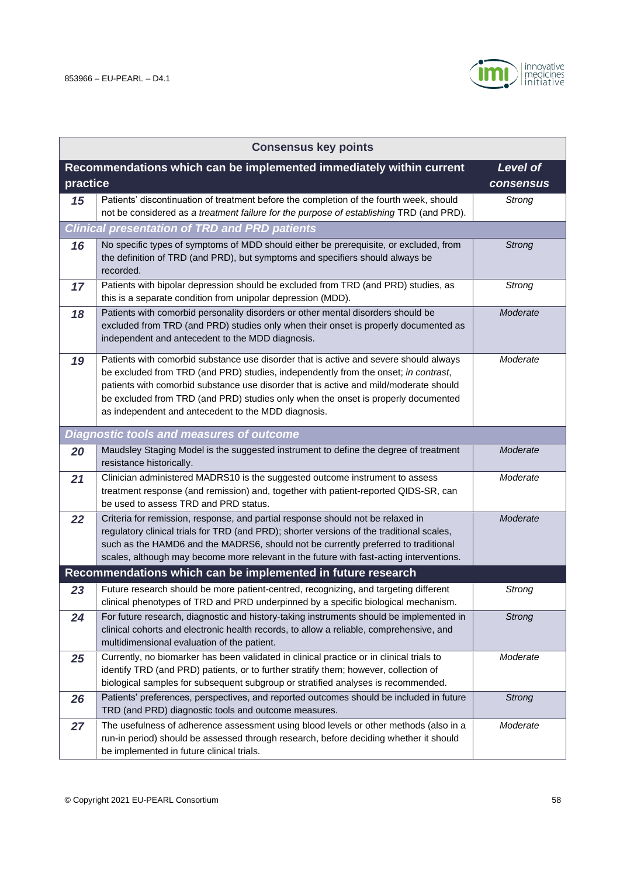

| <b>Consensus key points</b> |                                                                                                                                                                                                                                                                                                                                                                                                                  |                              |  |  |
|-----------------------------|------------------------------------------------------------------------------------------------------------------------------------------------------------------------------------------------------------------------------------------------------------------------------------------------------------------------------------------------------------------------------------------------------------------|------------------------------|--|--|
| practice                    | Recommendations which can be implemented immediately within current                                                                                                                                                                                                                                                                                                                                              | Level of<br><b>consensus</b> |  |  |
| 15                          | Patients' discontinuation of treatment before the completion of the fourth week, should<br>not be considered as a treatment failure for the purpose of establishing TRD (and PRD).                                                                                                                                                                                                                               | <b>Strong</b>                |  |  |
|                             | <b>Clinical presentation of TRD and PRD patients</b>                                                                                                                                                                                                                                                                                                                                                             |                              |  |  |
| 16                          | No specific types of symptoms of MDD should either be prerequisite, or excluded, from<br>the definition of TRD (and PRD), but symptoms and specifiers should always be<br>recorded.                                                                                                                                                                                                                              | <b>Strong</b>                |  |  |
| 17                          | Patients with bipolar depression should be excluded from TRD (and PRD) studies, as<br>this is a separate condition from unipolar depression (MDD).                                                                                                                                                                                                                                                               | <b>Strong</b>                |  |  |
| 18                          | Patients with comorbid personality disorders or other mental disorders should be<br>excluded from TRD (and PRD) studies only when their onset is properly documented as<br>independent and antecedent to the MDD diagnosis.                                                                                                                                                                                      | Moderate                     |  |  |
| 19                          | Patients with comorbid substance use disorder that is active and severe should always<br>be excluded from TRD (and PRD) studies, independently from the onset; in contrast,<br>patients with comorbid substance use disorder that is active and mild/moderate should<br>be excluded from TRD (and PRD) studies only when the onset is properly documented<br>as independent and antecedent to the MDD diagnosis. | Moderate                     |  |  |
|                             | <b>Diagnostic tools and measures of outcome</b>                                                                                                                                                                                                                                                                                                                                                                  |                              |  |  |
| 20                          | Maudsley Staging Model is the suggested instrument to define the degree of treatment<br>resistance historically.                                                                                                                                                                                                                                                                                                 | Moderate                     |  |  |
| 21                          | Clinician administered MADRS10 is the suggested outcome instrument to assess<br>treatment response (and remission) and, together with patient-reported QIDS-SR, can<br>be used to assess TRD and PRD status.                                                                                                                                                                                                     | Moderate                     |  |  |
| 22                          | Criteria for remission, response, and partial response should not be relaxed in<br>regulatory clinical trials for TRD (and PRD); shorter versions of the traditional scales,<br>such as the HAMD6 and the MADRS6, should not be currently preferred to traditional<br>scales, although may become more relevant in the future with fast-acting interventions.                                                    | Moderate                     |  |  |
|                             | Recommendations which can be implemented in future research                                                                                                                                                                                                                                                                                                                                                      |                              |  |  |
| 23                          | Future research should be more patient-centred, recognizing, and targeting different<br>clinical phenotypes of TRD and PRD underpinned by a specific biological mechanism.                                                                                                                                                                                                                                       | Strong                       |  |  |
| 24                          | For future research, diagnostic and history-taking instruments should be implemented in<br>clinical cohorts and electronic health records, to allow a reliable, comprehensive, and<br>multidimensional evaluation of the patient.                                                                                                                                                                                | <b>Strong</b>                |  |  |
| 25                          | Currently, no biomarker has been validated in clinical practice or in clinical trials to<br>identify TRD (and PRD) patients, or to further stratify them; however, collection of<br>biological samples for subsequent subgroup or stratified analyses is recommended.                                                                                                                                            | Moderate                     |  |  |
| 26                          | Patients' preferences, perspectives, and reported outcomes should be included in future<br>TRD (and PRD) diagnostic tools and outcome measures.                                                                                                                                                                                                                                                                  | <b>Strong</b>                |  |  |
| 27                          | The usefulness of adherence assessment using blood levels or other methods (also in a<br>run-in period) should be assessed through research, before deciding whether it should<br>be implemented in future clinical trials.                                                                                                                                                                                      | Moderate                     |  |  |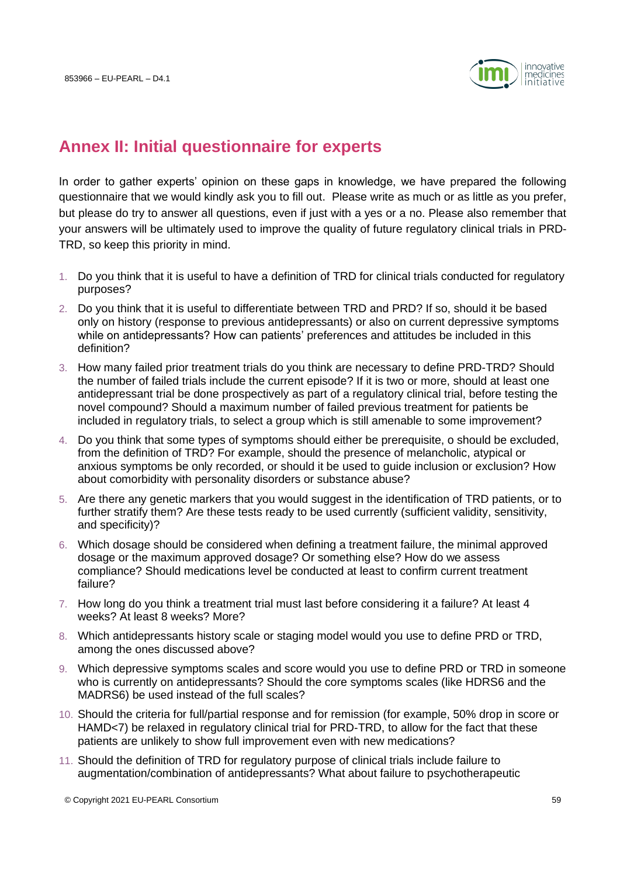

## **Annex II: Initial questionnaire for experts**

In order to gather experts' opinion on these gaps in knowledge, we have prepared the following questionnaire that we would kindly ask you to fill out. Please write as much or as little as you prefer, but please do try to answer all questions, even if just with a yes or a no. Please also remember that your answers will be ultimately used to improve the quality of future regulatory clinical trials in PRD-TRD, so keep this priority in mind.

- 1. Do you think that it is useful to have a definition of TRD for clinical trials conducted for regulatory purposes?
- 2. Do you think that it is useful to differentiate between TRD and PRD? If so, should it be based only on history (response to previous antidepressants) or also on current depressive symptoms while on antidepressants? How can patients' preferences and attitudes be included in this definition?
- 3. How many failed prior treatment trials do you think are necessary to define PRD-TRD? Should the number of failed trials include the current episode? If it is two or more, should at least one antidepressant trial be done prospectively as part of a regulatory clinical trial, before testing the novel compound? Should a maximum number of failed previous treatment for patients be included in regulatory trials, to select a group which is still amenable to some improvement?
- 4. Do you think that some types of symptoms should either be prerequisite, o should be excluded, from the definition of TRD? For example, should the presence of melancholic, atypical or anxious symptoms be only recorded, or should it be used to guide inclusion or exclusion? How about comorbidity with personality disorders or substance abuse?
- 5. Are there any genetic markers that you would suggest in the identification of TRD patients, or to further stratify them? Are these tests ready to be used currently (sufficient validity, sensitivity, and specificity)?
- 6. Which dosage should be considered when defining a treatment failure, the minimal approved dosage or the maximum approved dosage? Or something else? How do we assess compliance? Should medications level be conducted at least to confirm current treatment failure?
- 7. How long do you think a treatment trial must last before considering it a failure? At least 4 weeks? At least 8 weeks? More?
- 8. Which antidepressants history scale or staging model would you use to define PRD or TRD, among the ones discussed above?
- 9. Which depressive symptoms scales and score would you use to define PRD or TRD in someone who is currently on antidepressants? Should the core symptoms scales (like HDRS6 and the MADRS6) be used instead of the full scales?
- 10. Should the criteria for full/partial response and for remission (for example, 50% drop in score or HAMD<7) be relaxed in regulatory clinical trial for PRD-TRD, to allow for the fact that these patients are unlikely to show full improvement even with new medications?
- 11. Should the definition of TRD for regulatory purpose of clinical trials include failure to augmentation/combination of antidepressants? What about failure to psychotherapeutic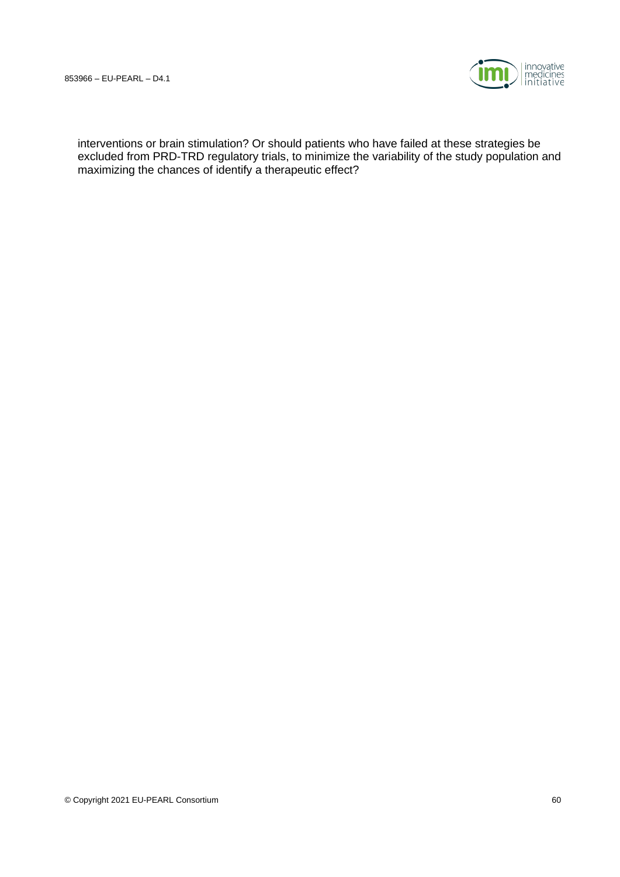

interventions or brain stimulation? Or should patients who have failed at these strategies be excluded from PRD-TRD regulatory trials, to minimize the variability of the study population and maximizing the chances of identify a therapeutic effect?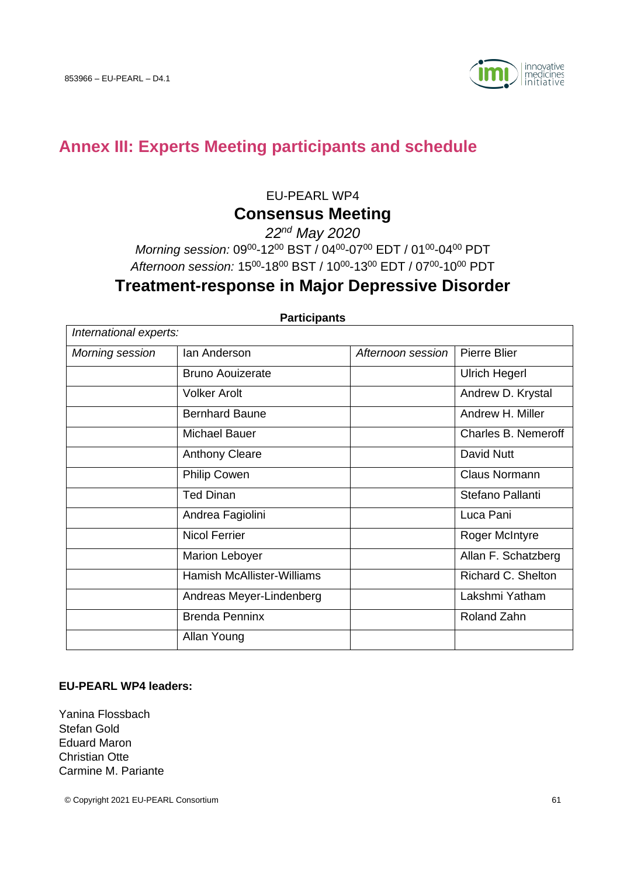<span id="page-60-0"></span>

# **Annex III: Experts Meeting participants and schedule**

EU-PEARL WP4

### **Consensus Meeting**

*22nd May 2020* 

Morning session: 09<sup>00</sup>-12<sup>00</sup> BST / 04<sup>00</sup>-07<sup>00</sup> EDT / 01<sup>00</sup>-04<sup>00</sup> PDT Afternoon session: 15<sup>00</sup>-18<sup>00</sup> BST / 10<sup>00</sup>-13<sup>00</sup> EDT / 07<sup>00</sup>-10<sup>00</sup> PDT

### **Treatment-response in Major Depressive Disorder**

| International experts: |                                   |                   |                      |  |  |
|------------------------|-----------------------------------|-------------------|----------------------|--|--|
| Morning session        | lan Anderson                      | Afternoon session | Pierre Blier         |  |  |
|                        | <b>Bruno Aouizerate</b>           |                   | <b>Ulrich Hegerl</b> |  |  |
|                        | <b>Volker Arolt</b>               |                   | Andrew D. Krystal    |  |  |
|                        | <b>Bernhard Baune</b>             |                   | Andrew H. Miller     |  |  |
|                        | Michael Bauer                     |                   | Charles B. Nemeroff  |  |  |
|                        | <b>Anthony Cleare</b>             |                   | David Nutt           |  |  |
|                        | <b>Philip Cowen</b>               |                   | Claus Normann        |  |  |
|                        | <b>Ted Dinan</b>                  |                   | Stefano Pallanti     |  |  |
|                        | Andrea Fagiolini                  |                   | Luca Pani            |  |  |
|                        | <b>Nicol Ferrier</b>              |                   | Roger McIntyre       |  |  |
|                        | <b>Marion Leboyer</b>             |                   | Allan F. Schatzberg  |  |  |
|                        | <b>Hamish McAllister-Williams</b> |                   | Richard C. Shelton   |  |  |
|                        | Andreas Meyer-Lindenberg          |                   | Lakshmi Yatham       |  |  |
|                        | <b>Brenda Penninx</b>             |                   | Roland Zahn          |  |  |
|                        | Allan Young                       |                   |                      |  |  |

**Participants**

#### **EU-PEARL WP4 leaders:**

Yanina Flossbach Stefan Gold Eduard Maron Christian Otte Carmine M. Pariante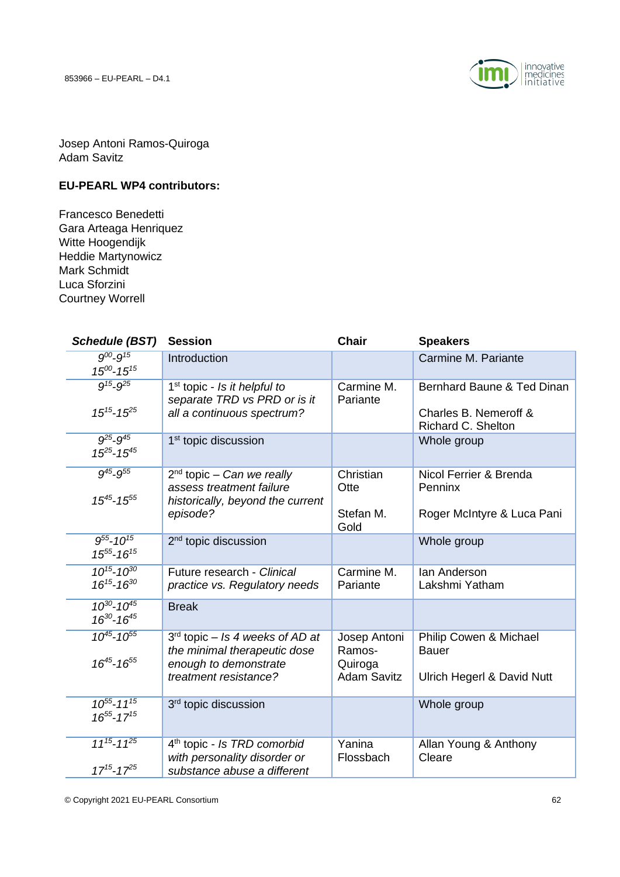

Josep Antoni Ramos-Quiroga Adam Savitz

#### **EU-PEARL WP4 contributors:**

Francesco Benedetti Gara Arteaga Henriquez Witte Hoogendijk Heddie Martynowicz Mark Schmidt Luca Sforzini Courtney Worrell

| <b>Schedule (BST)</b>                      | <b>Session</b>                                                                                                      | <b>Chair</b>                                            | <b>Speakers</b>                                                           |
|--------------------------------------------|---------------------------------------------------------------------------------------------------------------------|---------------------------------------------------------|---------------------------------------------------------------------------|
| $9^{00} - 9^{15}$<br>$15^{00} - 15^{15}$   | Introduction                                                                                                        |                                                         | Carmine M. Pariante                                                       |
| $9^{15} - 9^{25}$<br>$15^{15} - 15^{25}$   | $1st$ topic - Is it helpful to<br>separate TRD vs PRD or is it<br>all a continuous spectrum?                        | Carmine M.<br>Pariante                                  | Bernhard Baune & Ted Dinan<br>Charles B. Nemeroff &<br>Richard C. Shelton |
| $9^{25} - 9^{45}$<br>$15^{25} - 15^{45}$   | 1 <sup>st</sup> topic discussion                                                                                    |                                                         | Whole group                                                               |
| $9^{45} - 9^{55}$<br>$15^{45} - 15^{55}$   | $2nd$ topic - Can we really<br>assess treatment failure<br>historically, beyond the current<br>episode?             | Christian<br>Otte<br>Stefan M.<br>Gold                  | Nicol Ferrier & Brenda<br>Penninx<br>Roger McIntyre & Luca Pani           |
| $9^{55} - 10^{15}$<br>$15^{55} - 16^{15}$  | 2 <sup>nd</sup> topic discussion                                                                                    |                                                         | Whole group                                                               |
| $10^{15} - 10^{30}$<br>$16^{15} - 16^{30}$ | Future research - Clinical<br>practice vs. Regulatory needs                                                         | Carmine M.<br>Pariante                                  | lan Anderson<br>Lakshmi Yatham                                            |
| $10^{30} - 10^{45}$<br>$16^{30} - 16^{45}$ | <b>Break</b>                                                                                                        |                                                         |                                                                           |
| $10^{45} - 10^{55}$<br>$16^{45} - 16^{55}$ | $3rd$ topic – Is 4 weeks of AD at<br>the minimal therapeutic dose<br>enough to demonstrate<br>treatment resistance? | Josep Antoni<br>Ramos-<br>Quiroga<br><b>Adam Savitz</b> | Philip Cowen & Michael<br><b>Bauer</b><br>Ulrich Hegerl & David Nutt      |
| $10^{55} - 11^{15}$<br>$16^{55} - 17^{15}$ | 3 <sup>rd</sup> topic discussion                                                                                    |                                                         | Whole group                                                               |
| $11^{15} - 11^{25}$<br>$17^{15} - 17^{25}$ | 4 <sup>th</sup> topic - Is TRD comorbid<br>with personality disorder or<br>substance abuse a different              | Yanina<br>Flossbach                                     | Allan Young & Anthony<br>Cleare                                           |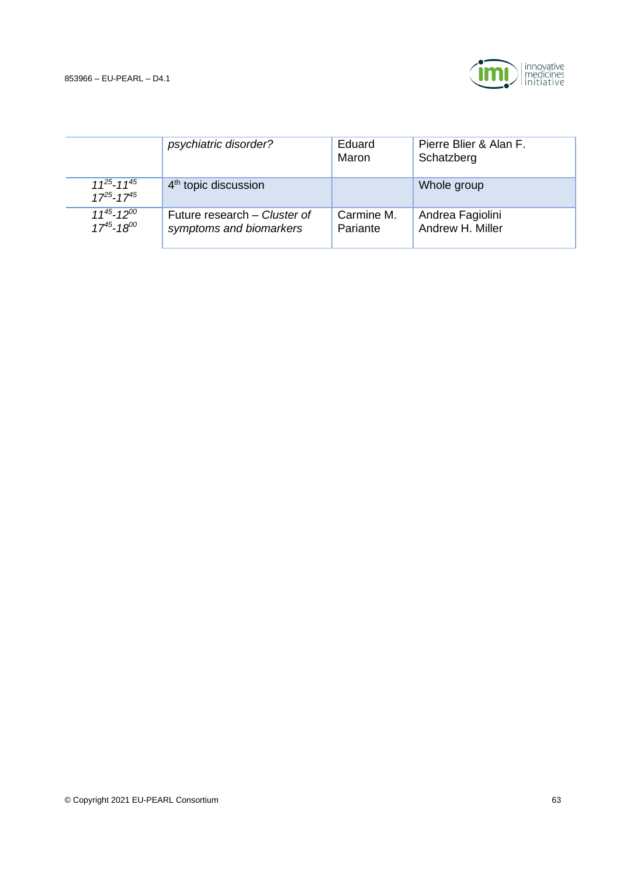

|                                            | psychiatric disorder?                                   | Eduard<br>Maron        | Pierre Blier & Alan F.<br>Schatzberg |
|--------------------------------------------|---------------------------------------------------------|------------------------|--------------------------------------|
| $11^{25} - 11^{45}$<br>$17^{25} - 17^{45}$ | $4th$ topic discussion                                  |                        | Whole group                          |
| $11^{45} - 12^{00}$<br>$17^{45} - 18^{00}$ | Future research – Cluster of<br>symptoms and biomarkers | Carmine M.<br>Pariante | Andrea Fagiolini<br>Andrew H. Miller |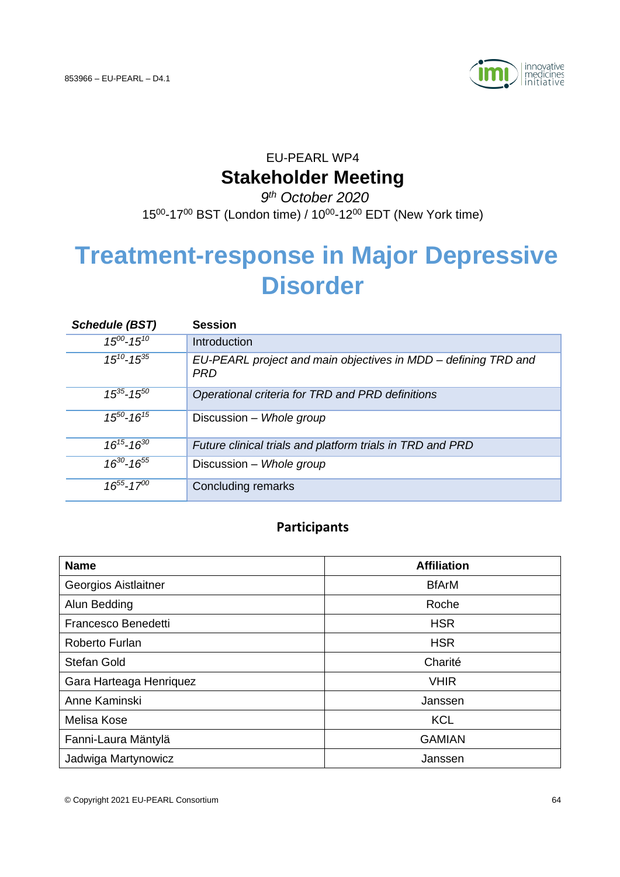

## EU-PEARL WP4 **Stakeholder Meeting**

### *9 th October 2020*

15<sup>00</sup>-17<sup>00</sup> BST (London time) / 10<sup>00</sup>-12<sup>00</sup> EDT (New York time)

# **Treatment-response in Major Depressive Disorder**

| <b>Schedule (BST)</b> | <b>Session</b>                                                               |
|-----------------------|------------------------------------------------------------------------------|
| $15^{00} - 15^{10}$   | Introduction                                                                 |
| $15^{10} - 15^{35}$   | EU-PEARL project and main objectives in MDD – defining TRD and<br><b>PRD</b> |
| $15^{35} - 15^{50}$   | Operational criteria for TRD and PRD definitions                             |
| $15^{50} - 16^{15}$   | Discussion - Whole group                                                     |
| $16^{15} - 16^{30}$   | Future clinical trials and platform trials in TRD and PRD                    |
| $16^{30} - 16^{55}$   | Discussion - Whole group                                                     |
| $16^{55} - 17^{00}$   | <b>Concluding remarks</b>                                                    |

### **Participants**

| <b>Name</b>             | <b>Affiliation</b> |  |  |
|-------------------------|--------------------|--|--|
| Georgios Aistlaitner    | <b>BfArM</b>       |  |  |
| Alun Bedding            | Roche              |  |  |
| Francesco Benedetti     | <b>HSR</b>         |  |  |
| Roberto Furlan          | <b>HSR</b>         |  |  |
| <b>Stefan Gold</b>      | Charité            |  |  |
| Gara Harteaga Henriquez | <b>VHIR</b>        |  |  |
| Anne Kaminski           | Janssen            |  |  |
| Melisa Kose             | <b>KCL</b>         |  |  |
| Fanni-Laura Mäntylä     | <b>GAMIAN</b>      |  |  |
| Jadwiga Martynowicz     | Janssen            |  |  |

© Copyright 2021 EU-PEARL Consortium 64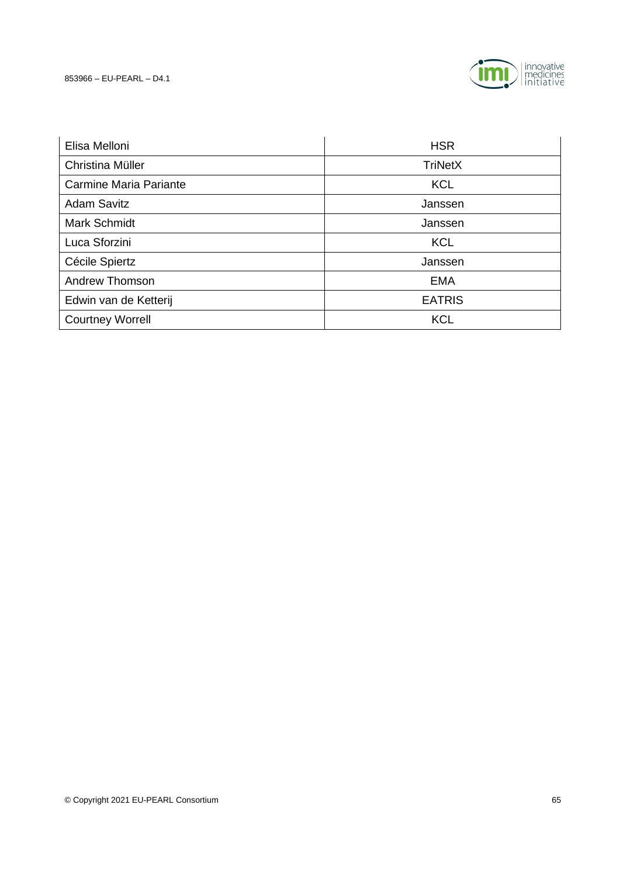

| Elisa Melloni                 | <b>HSR</b>     |  |  |
|-------------------------------|----------------|--|--|
| Christina Müller              | <b>TriNetX</b> |  |  |
| <b>Carmine Maria Pariante</b> | <b>KCL</b>     |  |  |
| <b>Adam Savitz</b>            | Janssen        |  |  |
| Mark Schmidt                  | Janssen        |  |  |
| Luca Sforzini                 | <b>KCL</b>     |  |  |
| Cécile Spiertz                | Janssen        |  |  |
| <b>Andrew Thomson</b>         | <b>EMA</b>     |  |  |
| Edwin van de Ketterij         | <b>EATRIS</b>  |  |  |
| <b>Courtney Worrell</b>       | <b>KCL</b>     |  |  |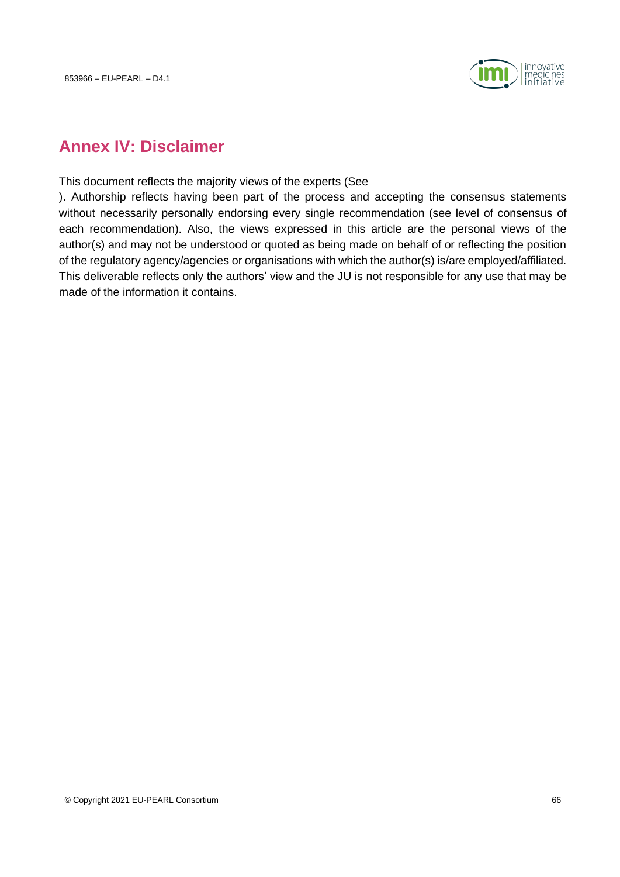

### **Annex IV: Disclaimer**

This document reflects the majority views of the experts (See

). Authorship reflects having been part of the process and accepting the consensus statements without necessarily personally endorsing every single recommendation (see level of consensus of each recommendation). Also, the views expressed in this article are the personal views of the author(s) and may not be understood or quoted as being made on behalf of or reflecting the position of the regulatory agency/agencies or organisations with which the author(s) is/are employed/affiliated. This deliverable reflects only the authors' view and the JU is not responsible for any use that may be made of the information it contains.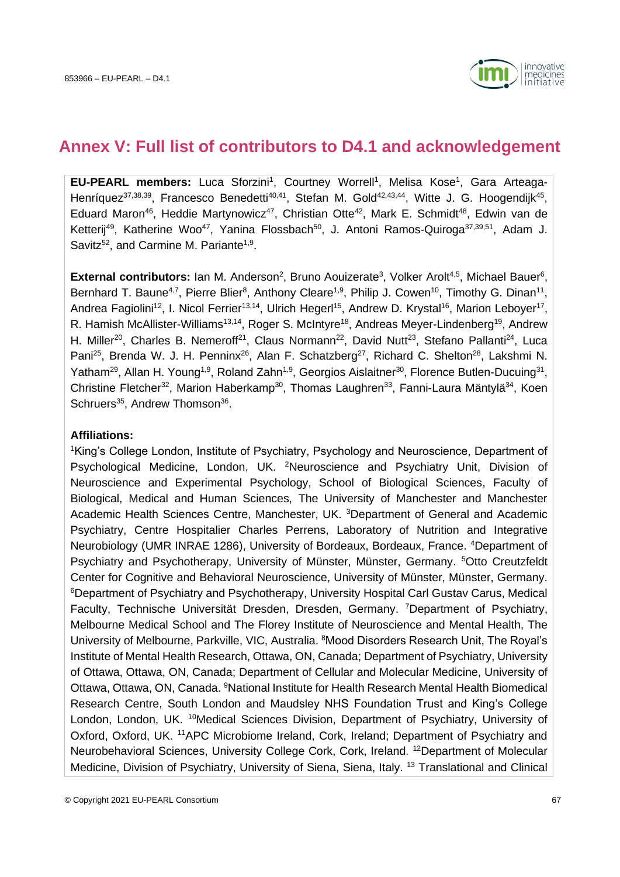

### <span id="page-66-0"></span>**Annex V: Full list of contributors to D4.1 and acknowledgement**

**EU-PEARL members:** Luca Sforzini<sup>1</sup>, Courtney Worrell<sup>1</sup>, Melisa Kose<sup>1</sup>, Gara Arteaga-Henríquez<sup>37,38,39</sup>, Francesco Benedetti<sup>40,41</sup>, Stefan M. Gold<sup>42,43,44</sup>, Witte J. G. Hoogendijk<sup>45</sup>, Eduard Maron<sup>46</sup>, Heddie Martynowicz<sup>47</sup>, Christian Otte<sup>42</sup>, Mark E. Schmidt<sup>48</sup>, Edwin van de Ketterij<sup>49</sup>, Katherine Woo<sup>47</sup>, Yanina Flossbach<sup>50</sup>, J. Antoni Ramos-Quiroga<sup>37,39,51</sup>, Adam J. Savitz<sup>52</sup>, and Carmine M. Pariante<sup>1,9</sup>.

**External contributors:** Ian M. Anderson<sup>2</sup>, Bruno Aouizerate<sup>3</sup>, Volker Arolt<sup>4,5</sup>, Michael Bauer<sup>6</sup>, Bernhard T. Baune<sup>4,7</sup>, Pierre Blier<sup>8</sup>, Anthony Cleare<sup>1,9</sup>, Philip J. Cowen<sup>10</sup>, Timothy G. Dinan<sup>11</sup>, Andrea Fagiolini<sup>12</sup>, I. Nicol Ferrier<sup>13,14</sup>, Ulrich Hegerl<sup>15</sup>, Andrew D. Krystal<sup>16</sup>, Marion Leboyer<sup>17</sup>, R. Hamish McAllister-Williams<sup>13,14</sup>, Roger S. McIntyre<sup>18</sup>, Andreas Meyer-Lindenberg<sup>19</sup>, Andrew H. Miller<sup>20</sup>, Charles B. Nemeroff<sup>21</sup>, Claus Normann<sup>22</sup>, David Nutt<sup>23</sup>, Stefano Pallanti<sup>24</sup>, Luca Pani<sup>25</sup>, Brenda W. J. H. Penninx<sup>26</sup>, Alan F. Schatzberg<sup>27</sup>, Richard C. Shelton<sup>28</sup>, Lakshmi N. Yatham<sup>29</sup>, Allan H. Young<sup>1,9</sup>, Roland Zahn<sup>1,9</sup>, Georgios Aislaitner<sup>30</sup>, Florence Butlen-Ducuing<sup>31</sup>, Christine Fletcher<sup>32</sup>, Marion Haberkamp<sup>30</sup>, Thomas Laughren<sup>33</sup>, Fanni-Laura Mäntylä<sup>34</sup>, Koen Schruers<sup>35</sup>, Andrew Thomson<sup>36</sup>.

#### **Affiliations:**

<sup>1</sup>King's College London, Institute of Psychiatry, Psychology and Neuroscience, Department of Psychological Medicine, London, UK. <sup>2</sup>Neuroscience and Psychiatry Unit, Division of Neuroscience and Experimental Psychology, School of Biological Sciences, Faculty of Biological, Medical and Human Sciences, The University of Manchester and Manchester Academic Health Sciences Centre, Manchester, UK. <sup>3</sup>Department of General and Academic Psychiatry, Centre Hospitalier Charles Perrens, Laboratory of Nutrition and Integrative Neurobiology (UMR INRAE 1286), University of Bordeaux, Bordeaux, France. <sup>4</sup>Department of Psychiatry and Psychotherapy, University of Münster, Münster, Germany. <sup>5</sup>Otto Creutzfeldt Center for Cognitive and Behavioral Neuroscience, University of Münster, Münster, Germany. <sup>6</sup>Department of Psychiatry and Psychotherapy, University Hospital Carl Gustav Carus, Medical Faculty, Technische Universität Dresden, Dresden, Germany. <sup>7</sup>Department of Psychiatry, Melbourne Medical School and The Florey Institute of Neuroscience and Mental Health, The University of Melbourne, Parkville, VIC, Australia. <sup>8</sup>Mood Disorders Research Unit, The Royal's Institute of Mental Health Research, Ottawa, ON, Canada; Department of Psychiatry, University of Ottawa, Ottawa, ON, Canada; Department of Cellular and Molecular Medicine, University of Ottawa, Ottawa, ON, Canada. <sup>9</sup>National Institute for Health Research Mental Health Biomedical Research Centre, South London and Maudsley NHS Foundation Trust and King's College London, London, UK. <sup>10</sup>Medical Sciences Division, Department of Psychiatry, University of Oxford, Oxford, UK. <sup>11</sup>APC Microbiome Ireland, Cork, Ireland; Department of Psychiatry and Neurobehavioral Sciences, University College Cork, Cork, Ireland. <sup>12</sup>Department of Molecular Medicine, Division of Psychiatry, University of Siena, Siena, Italy. <sup>13</sup> Translational and Clinical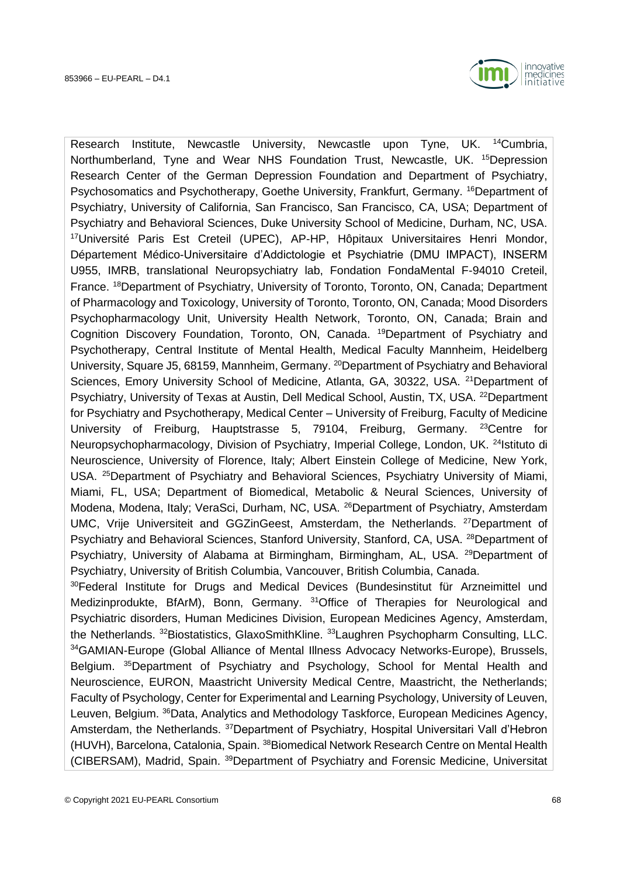

Research Institute, Newcastle University, Newcastle upon Tyne, UK. <sup>14</sup>Cumbria, Northumberland, Tyne and Wear NHS Foundation Trust, Newcastle, UK. <sup>15</sup>Depression Research Center of the German Depression Foundation and Department of Psychiatry, Psychosomatics and Psychotherapy, Goethe University, Frankfurt, Germany. <sup>16</sup>Department of Psychiatry, University of California, San Francisco, San Francisco, CA, USA; Department of Psychiatry and Behavioral Sciences, Duke University School of Medicine, Durham, NC, USA. <sup>17</sup>Université Paris Est Creteil (UPEC), AP-HP, Hôpitaux Universitaires Henri Mondor, Département Médico-Universitaire d'Addictologie et Psychiatrie (DMU IMPACT), INSERM U955, IMRB, translational Neuropsychiatry lab, Fondation FondaMental F-94010 Creteil, France. <sup>18</sup>Department of Psychiatry, University of Toronto, Toronto, ON, Canada; Department of Pharmacology and Toxicology, University of Toronto, Toronto, ON, Canada; Mood Disorders Psychopharmacology Unit, University Health Network, Toronto, ON, Canada; Brain and Cognition Discovery Foundation, Toronto, ON, Canada. <sup>19</sup>Department of Psychiatry and Psychotherapy, Central Institute of Mental Health, Medical Faculty Mannheim, Heidelberg University, Square J5, 68159, Mannheim, Germany. <sup>20</sup>Department of Psychiatry and Behavioral Sciences, Emory University School of Medicine, Atlanta, GA, 30322, USA. <sup>21</sup>Department of Psychiatry, University of Texas at Austin, Dell Medical School, Austin, TX, USA. <sup>22</sup>Department for Psychiatry and Psychotherapy, Medical Center – University of Freiburg, Faculty of Medicine University of Freiburg, Hauptstrasse 5, 79104, Freiburg, Germany. <sup>23</sup>Centre for Neuropsychopharmacology, Division of Psychiatry, Imperial College, London, UK. <sup>24</sup>Istituto di Neuroscience, University of Florence, Italy; Albert Einstein College of Medicine, New York, USA. <sup>25</sup>Department of Psychiatry and Behavioral Sciences, Psychiatry University of Miami, Miami, FL, USA; Department of Biomedical, Metabolic & Neural Sciences, University of Modena, Modena, Italy; VeraSci, Durham, NC, USA. <sup>26</sup>Department of Psychiatry, Amsterdam UMC, Vrije Universiteit and GGZinGeest, Amsterdam, the Netherlands. <sup>27</sup>Department of Psychiatry and Behavioral Sciences, Stanford University, Stanford, CA, USA. <sup>28</sup>Department of Psychiatry, University of Alabama at Birmingham, Birmingham, AL, USA. <sup>29</sup>Department of Psychiatry, University of British Columbia, Vancouver, British Columbia, Canada. <sup>30</sup>Federal Institute for Drugs and Medical Devices (Bundesinstitut für Arzneimittel und Medizinprodukte, BfArM), Bonn, Germany. <sup>31</sup>Office of Therapies for Neurological and Psychiatric disorders, Human Medicines Division, European Medicines Agency, Amsterdam, the Netherlands. <sup>32</sup>Biostatistics, GlaxoSmithKline. <sup>33</sup>Laughren Psychopharm Consulting, LLC. 34GAMIAN-Europe (Global Alliance of Mental Illness Advocacy Networks-Europe), Brussels, Belgium. 35Department of Psychiatry and Psychology, School for Mental Health and Neuroscience, EURON, Maastricht University Medical Centre, Maastricht, the Netherlands;

Faculty of Psychology, Center for Experimental and Learning Psychology, University of Leuven, Leuven, Belgium. <sup>36</sup>Data, Analytics and Methodology Taskforce, European Medicines Agency, Amsterdam, the Netherlands. <sup>37</sup>Department of Psychiatry, Hospital Universitari Vall d'Hebron (HUVH), Barcelona, Catalonia, Spain. <sup>38</sup> Biomedical Network Research Centre on Mental Health (CIBERSAM), Madrid, Spain. 39Department of Psychiatry and Forensic Medicine, Universitat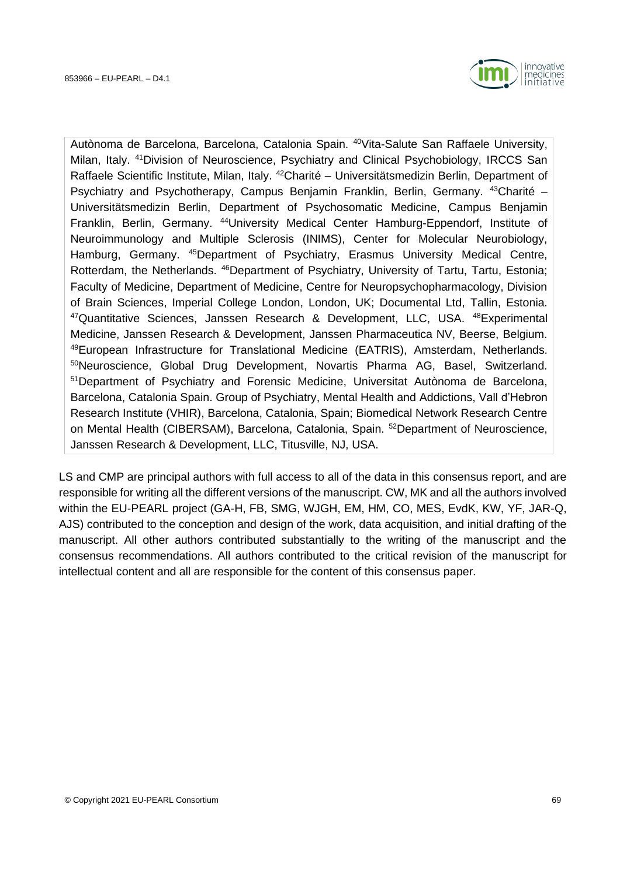

Autònoma de Barcelona, Barcelona, Catalonia Spain. <sup>40</sup>Vita-Salute San Raffaele University, Milan, Italy. <sup>41</sup>Division of Neuroscience, Psychiatry and Clinical Psychobiology, IRCCS San Raffaele Scientific Institute, Milan, Italy. <sup>42</sup>Charité – Universitätsmedizin Berlin, Department of Psychiatry and Psychotherapy, Campus Benjamin Franklin, Berlin, Germany. <sup>43</sup>Charité – Universitätsmedizin Berlin, Department of Psychosomatic Medicine, Campus Benjamin Franklin, Berlin, Germany. <sup>44</sup>University Medical Center Hamburg-Eppendorf, Institute of Neuroimmunology and Multiple Sclerosis (INIMS), Center for Molecular Neurobiology, Hamburg, Germany. <sup>45</sup>Department of Psychiatry, Erasmus University Medical Centre, Rotterdam, the Netherlands. <sup>46</sup>Department of Psychiatry, University of Tartu, Tartu, Estonia; Faculty of Medicine, Department of Medicine, Centre for Neuropsychopharmacology, Division of Brain Sciences, Imperial College London, London, UK; Documental Ltd, Tallin, Estonia. <sup>47</sup>Quantitative Sciences, Janssen Research & Development, LLC, USA. <sup>48</sup>Experimental Medicine, Janssen Research & Development, Janssen Pharmaceutica NV, Beerse, Belgium. <sup>49</sup>European Infrastructure for Translational Medicine (EATRIS), Amsterdam, Netherlands. <sup>50</sup>Neuroscience, Global Drug Development, Novartis Pharma AG, Basel, Switzerland. <sup>51</sup>Department of Psychiatry and Forensic Medicine, Universitat Autònoma de Barcelona, Barcelona, Catalonia Spain. Group of Psychiatry, Mental Health and Addictions, Vall d'Hebron Research Institute (VHIR), Barcelona, Catalonia, Spain; Biomedical Network Research Centre on Mental Health (CIBERSAM), Barcelona, Catalonia, Spain. <sup>52</sup>Department of Neuroscience, Janssen Research & Development, LLC, Titusville, NJ, USA.

LS and CMP are principal authors with full access to all of the data in this consensus report, and are responsible for writing all the different versions of the manuscript. CW, MK and all the authors involved within the EU-PEARL project (GA-H, FB, SMG, WJGH, EM, HM, CO, MES, EvdK, KW, YF, JAR-Q, AJS) contributed to the conception and design of the work, data acquisition, and initial drafting of the manuscript. All other authors contributed substantially to the writing of the manuscript and the consensus recommendations. All authors contributed to the critical revision of the manuscript for intellectual content and all are responsible for the content of this consensus paper.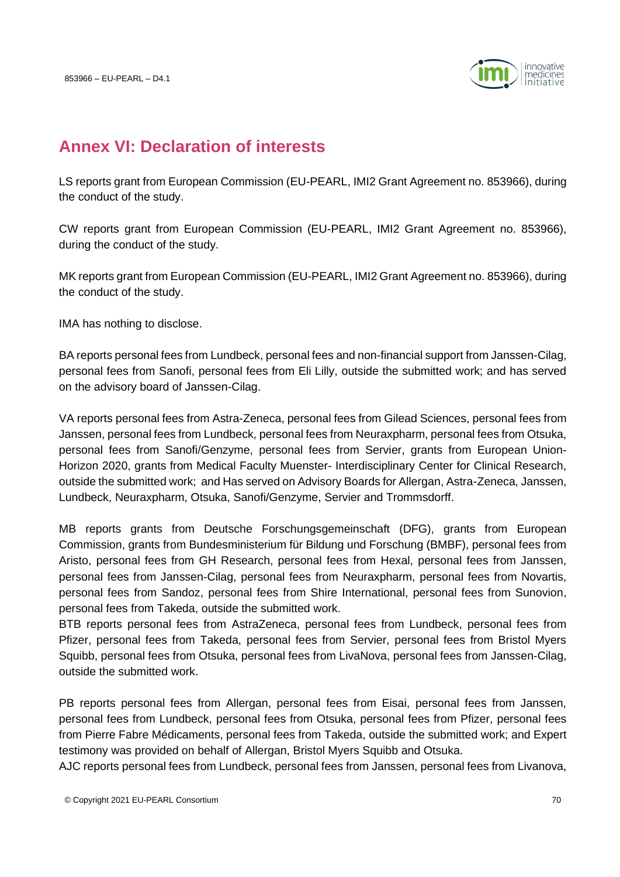

### **Annex VI: Declaration of interests**

LS reports grant from European Commission (EU-PEARL, IMI2 Grant Agreement no. 853966), during the conduct of the study.

CW reports grant from European Commission (EU-PEARL, IMI2 Grant Agreement no. 853966), during the conduct of the study.

MK reports grant from European Commission (EU-PEARL, IMI2 Grant Agreement no. 853966), during the conduct of the study.

IMA has nothing to disclose.

BA reports personal fees from Lundbeck, personal fees and non-financial support from Janssen-Cilag, personal fees from Sanofi, personal fees from Eli Lilly, outside the submitted work; and has served on the advisory board of Janssen-Cilag.

VA reports personal fees from Astra-Zeneca, personal fees from Gilead Sciences, personal fees from Janssen, personal fees from Lundbeck, personal fees from Neuraxpharm, personal fees from Otsuka, personal fees from Sanofi/Genzyme, personal fees from Servier, grants from European Union-Horizon 2020, grants from Medical Faculty Muenster- Interdisciplinary Center for Clinical Research, outside the submitted work; and Has served on Advisory Boards for Allergan, Astra-Zeneca, Janssen, Lundbeck, Neuraxpharm, Otsuka, Sanofi/Genzyme, Servier and Trommsdorff.

MB reports grants from Deutsche Forschungsgemeinschaft (DFG), grants from European Commission, grants from Bundesministerium für Bildung und Forschung (BMBF), personal fees from Aristo, personal fees from GH Research, personal fees from Hexal, personal fees from Janssen, personal fees from Janssen-Cilag, personal fees from Neuraxpharm, personal fees from Novartis, personal fees from Sandoz, personal fees from Shire International, personal fees from Sunovion, personal fees from Takeda, outside the submitted work.

BTB reports personal fees from AstraZeneca, personal fees from Lundbeck, personal fees from Pfizer, personal fees from Takeda, personal fees from Servier, personal fees from Bristol Myers Squibb, personal fees from Otsuka, personal fees from LivaNova, personal fees from Janssen-Cilag, outside the submitted work.

PB reports personal fees from Allergan, personal fees from Eisai, personal fees from Janssen, personal fees from Lundbeck, personal fees from Otsuka, personal fees from Pfizer, personal fees from Pierre Fabre Médicaments, personal fees from Takeda, outside the submitted work; and Expert testimony was provided on behalf of Allergan, Bristol Myers Squibb and Otsuka.

AJC reports personal fees from Lundbeck, personal fees from Janssen, personal fees from Livanova,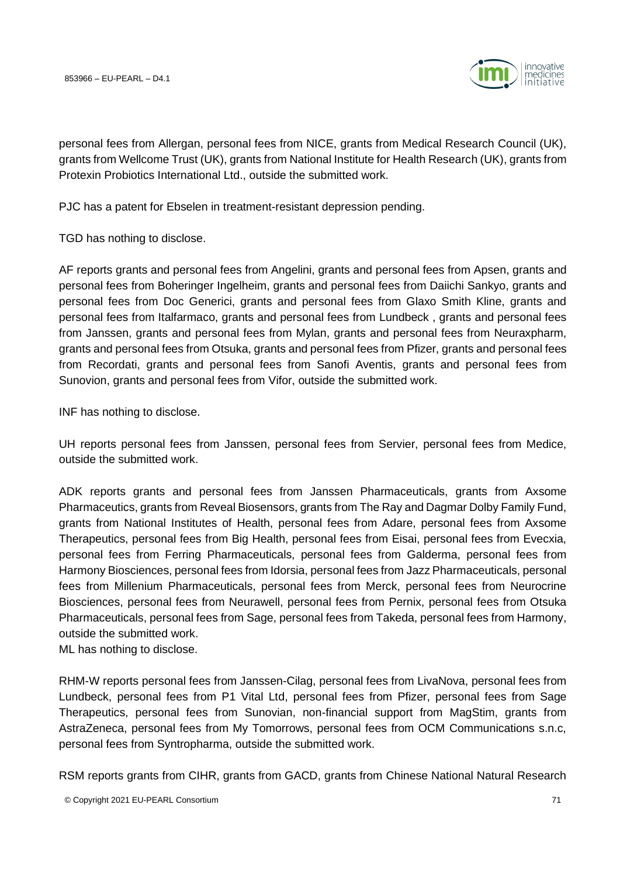

personal fees from Allergan, personal fees from NICE, grants from Medical Research Council (UK), grants from Wellcome Trust (UK), grants from National Institute for Health Research (UK), grants from Protexin Probiotics International Ltd., outside the submitted work.

PJC has a patent for Ebselen in treatment-resistant depression pending.

TGD has nothing to disclose.

AF reports grants and personal fees from Angelini, grants and personal fees from Apsen, grants and personal fees from Boheringer Ingelheim, grants and personal fees from Daiichi Sankyo, grants and personal fees from Doc Generici, grants and personal fees from Glaxo Smith Kline, grants and personal fees from Italfarmaco, grants and personal fees from Lundbeck , grants and personal fees from Janssen, grants and personal fees from Mylan, grants and personal fees from Neuraxpharm, grants and personal fees from Otsuka, grants and personal fees from Pfizer, grants and personal fees from Recordati, grants and personal fees from Sanofi Aventis, grants and personal fees from Sunovion, grants and personal fees from Vifor, outside the submitted work.

INF has nothing to disclose.

UH reports personal fees from Janssen, personal fees from Servier, personal fees from Medice, outside the submitted work.

ADK reports grants and personal fees from Janssen Pharmaceuticals, grants from Axsome Pharmaceutics, grants from Reveal Biosensors, grants from The Ray and Dagmar Dolby Family Fund, grants from National Institutes of Health, personal fees from Adare, personal fees from Axsome Therapeutics, personal fees from Big Health, personal fees from Eisai, personal fees from Evecxia, personal fees from Ferring Pharmaceuticals, personal fees from Galderma, personal fees from Harmony Biosciences, personal fees from Idorsia, personal fees from Jazz Pharmaceuticals, personal fees from Millenium Pharmaceuticals, personal fees from Merck, personal fees from Neurocrine Biosciences, personal fees from Neurawell, personal fees from Pernix, personal fees from Otsuka Pharmaceuticals, personal fees from Sage, personal fees from Takeda, personal fees from Harmony, outside the submitted work.

ML has nothing to disclose.

RHM-W reports personal fees from Janssen-Cilag, personal fees from LivaNova, personal fees from Lundbeck, personal fees from P1 Vital Ltd, personal fees from Pfizer, personal fees from Sage Therapeutics, personal fees from Sunovian, non-financial support from MagStim, grants from AstraZeneca, personal fees from My Tomorrows, personal fees from OCM Communications s.n.c, personal fees from Syntropharma, outside the submitted work.

RSM reports grants from CIHR, grants from GACD, grants from Chinese National Natural Research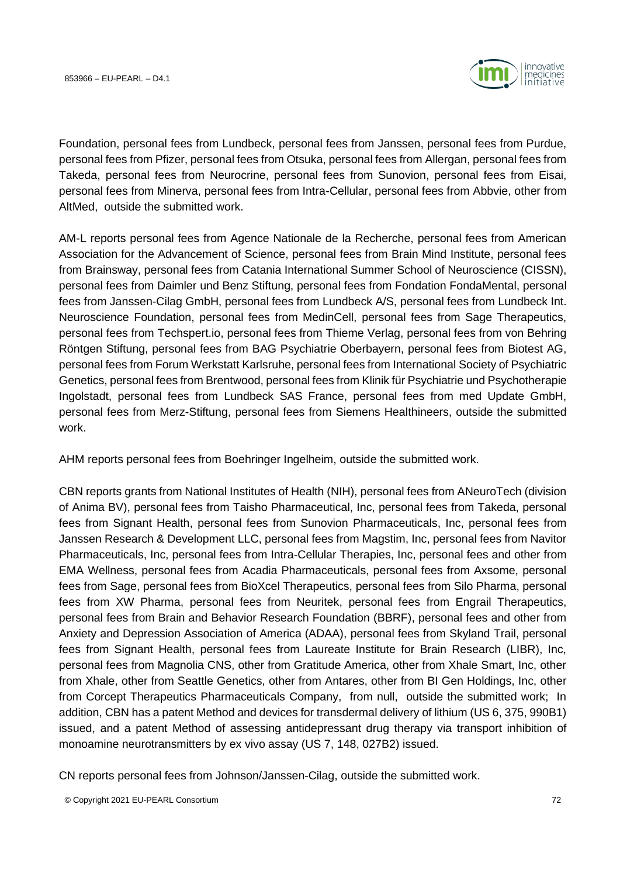

Foundation, personal fees from Lundbeck, personal fees from Janssen, personal fees from Purdue, personal fees from Pfizer, personal fees from Otsuka, personal fees from Allergan, personal fees from Takeda, personal fees from Neurocrine, personal fees from Sunovion, personal fees from Eisai, personal fees from Minerva, personal fees from Intra-Cellular, personal fees from Abbvie, other from AltMed, outside the submitted work.

AM-L reports personal fees from Agence Nationale de la Recherche, personal fees from American Association for the Advancement of Science, personal fees from Brain Mind Institute, personal fees from Brainsway, personal fees from Catania International Summer School of Neuroscience (CISSN), personal fees from Daimler und Benz Stiftung, personal fees from Fondation FondaMental, personal fees from Janssen-Cilag GmbH, personal fees from Lundbeck A/S, personal fees from Lundbeck Int. Neuroscience Foundation, personal fees from MedinCell, personal fees from Sage Therapeutics, personal fees from Techspert.io, personal fees from Thieme Verlag, personal fees from von Behring Röntgen Stiftung, personal fees from BAG Psychiatrie Oberbayern, personal fees from Biotest AG, personal fees from Forum Werkstatt Karlsruhe, personal fees from International Society of Psychiatric Genetics, personal fees from Brentwood, personal fees from Klinik für Psychiatrie und Psychotherapie Ingolstadt, personal fees from Lundbeck SAS France, personal fees from med Update GmbH, personal fees from Merz-Stiftung, personal fees from Siemens Healthineers, outside the submitted work.

AHM reports personal fees from Boehringer Ingelheim, outside the submitted work.

CBN reports grants from National Institutes of Health (NIH), personal fees from ANeuroTech (division of Anima BV), personal fees from Taisho Pharmaceutical, Inc, personal fees from Takeda, personal fees from Signant Health, personal fees from Sunovion Pharmaceuticals, Inc, personal fees from Janssen Research & Development LLC, personal fees from Magstim, Inc, personal fees from Navitor Pharmaceuticals, Inc, personal fees from Intra-Cellular Therapies, Inc, personal fees and other from EMA Wellness, personal fees from Acadia Pharmaceuticals, personal fees from Axsome, personal fees from Sage, personal fees from BioXcel Therapeutics, personal fees from Silo Pharma, personal fees from XW Pharma, personal fees from Neuritek, personal fees from Engrail Therapeutics, personal fees from Brain and Behavior Research Foundation (BBRF), personal fees and other from Anxiety and Depression Association of America (ADAA), personal fees from Skyland Trail, personal fees from Signant Health, personal fees from Laureate Institute for Brain Research (LIBR), Inc, personal fees from Magnolia CNS, other from Gratitude America, other from Xhale Smart, Inc, other from Xhale, other from Seattle Genetics, other from Antares, other from BI Gen Holdings, Inc, other from Corcept Therapeutics Pharmaceuticals Company, from null, outside the submitted work; In addition, CBN has a patent Method and devices for transdermal delivery of lithium (US 6, 375, 990B1) issued, and a patent Method of assessing antidepressant drug therapy via transport inhibition of monoamine neurotransmitters by ex vivo assay (US 7, 148, 027B2) issued.

CN reports personal fees from Johnson/Janssen-Cilag, outside the submitted work.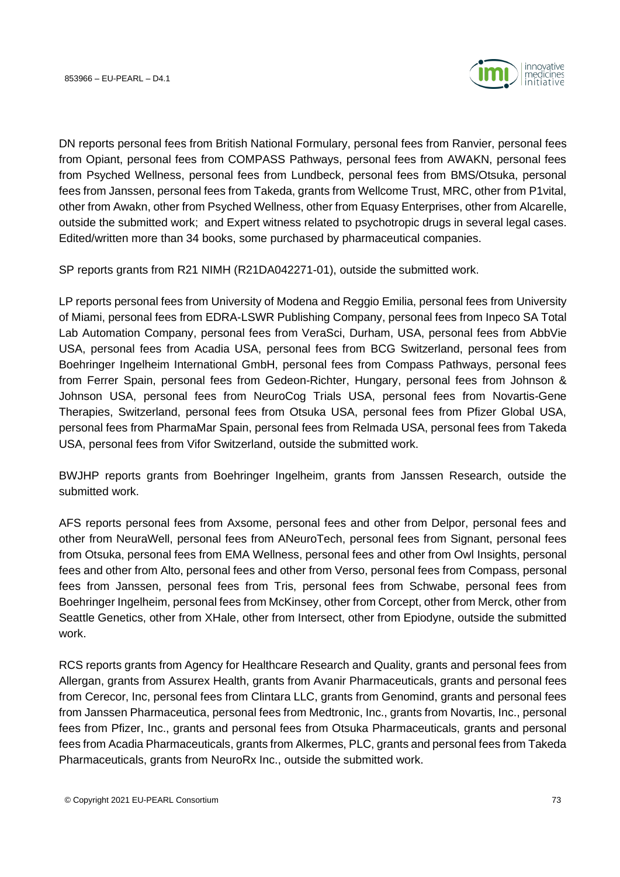

DN reports personal fees from British National Formulary, personal fees from Ranvier, personal fees from Opiant, personal fees from COMPASS Pathways, personal fees from AWAKN, personal fees from Psyched Wellness, personal fees from Lundbeck, personal fees from BMS/Otsuka, personal fees from Janssen, personal fees from Takeda, grants from Wellcome Trust, MRC, other from P1vital, other from Awakn, other from Psyched Wellness, other from Equasy Enterprises, other from Alcarelle, outside the submitted work; and Expert witness related to psychotropic drugs in several legal cases. Edited/written more than 34 books, some purchased by pharmaceutical companies.

SP reports grants from R21 NIMH (R21DA042271-01), outside the submitted work.

LP reports personal fees from University of Modena and Reggio Emilia, personal fees from University of Miami, personal fees from EDRA-LSWR Publishing Company, personal fees from Inpeco SA Total Lab Automation Company, personal fees from VeraSci, Durham, USA, personal fees from AbbVie USA, personal fees from Acadia USA, personal fees from BCG Switzerland, personal fees from Boehringer Ingelheim International GmbH, personal fees from Compass Pathways, personal fees from Ferrer Spain, personal fees from Gedeon-Richter, Hungary, personal fees from Johnson & Johnson USA, personal fees from NeuroCog Trials USA, personal fees from Novartis-Gene Therapies, Switzerland, personal fees from Otsuka USA, personal fees from Pfizer Global USA, personal fees from PharmaMar Spain, personal fees from Relmada USA, personal fees from Takeda USA, personal fees from Vifor Switzerland, outside the submitted work.

BWJHP reports grants from Boehringer Ingelheim, grants from Janssen Research, outside the submitted work.

AFS reports personal fees from Axsome, personal fees and other from Delpor, personal fees and other from NeuraWell, personal fees from ANeuroTech, personal fees from Signant, personal fees from Otsuka, personal fees from EMA Wellness, personal fees and other from Owl Insights, personal fees and other from Alto, personal fees and other from Verso, personal fees from Compass, personal fees from Janssen, personal fees from Tris, personal fees from Schwabe, personal fees from Boehringer Ingelheim, personal fees from McKinsey, other from Corcept, other from Merck, other from Seattle Genetics, other from XHale, other from Intersect, other from Epiodyne, outside the submitted work.

RCS reports grants from Agency for Healthcare Research and Quality, grants and personal fees from Allergan, grants from Assurex Health, grants from Avanir Pharmaceuticals, grants and personal fees from Cerecor, Inc, personal fees from Clintara LLC, grants from Genomind, grants and personal fees from Janssen Pharmaceutica, personal fees from Medtronic, Inc., grants from Novartis, Inc., personal fees from Pfizer, Inc., grants and personal fees from Otsuka Pharmaceuticals, grants and personal fees from Acadia Pharmaceuticals, grants from Alkermes, PLC, grants and personal fees from Takeda Pharmaceuticals, grants from NeuroRx Inc., outside the submitted work.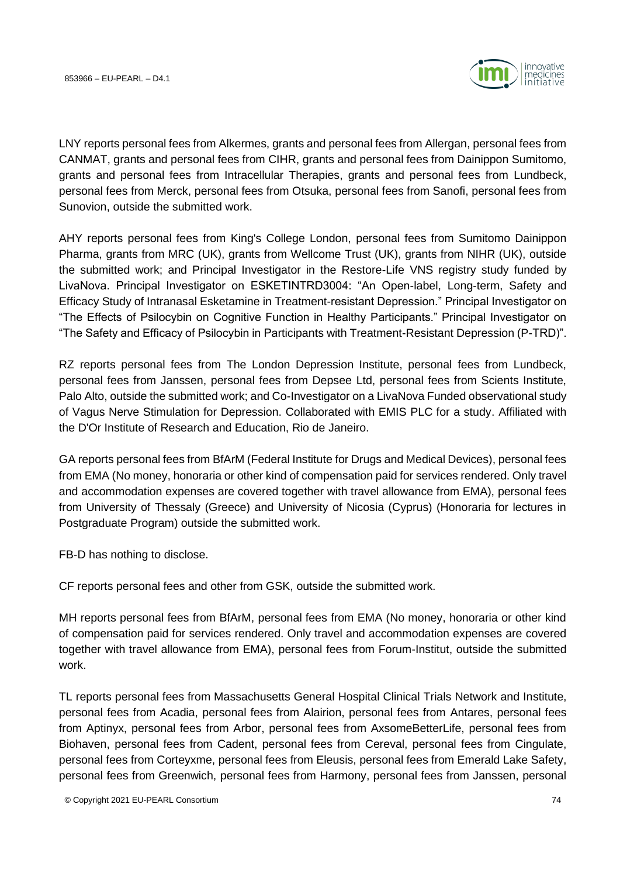

LNY reports personal fees from Alkermes, grants and personal fees from Allergan, personal fees from CANMAT, grants and personal fees from CIHR, grants and personal fees from Dainippon Sumitomo, grants and personal fees from Intracellular Therapies, grants and personal fees from Lundbeck, personal fees from Merck, personal fees from Otsuka, personal fees from Sanofi, personal fees from Sunovion, outside the submitted work.

AHY reports personal fees from King's College London, personal fees from Sumitomo Dainippon Pharma, grants from MRC (UK), grants from Wellcome Trust (UK), grants from NIHR (UK), outside the submitted work; and Principal Investigator in the Restore-Life VNS registry study funded by LivaNova. Principal Investigator on ESKETINTRD3004: "An Open-label, Long-term, Safety and Efficacy Study of Intranasal Esketamine in Treatment-resistant Depression." Principal Investigator on "The Effects of Psilocybin on Cognitive Function in Healthy Participants." Principal Investigator on "The Safety and Efficacy of Psilocybin in Participants with Treatment-Resistant Depression (P-TRD)".

RZ reports personal fees from The London Depression Institute, personal fees from Lundbeck, personal fees from Janssen, personal fees from Depsee Ltd, personal fees from Scients Institute, Palo Alto, outside the submitted work; and Co-Investigator on a LivaNova Funded observational study of Vagus Nerve Stimulation for Depression. Collaborated with EMIS PLC for a study. Affiliated with the D'Or Institute of Research and Education, Rio de Janeiro.

GA reports personal fees from BfArM (Federal Institute for Drugs and Medical Devices), personal fees from EMA (No money, honoraria or other kind of compensation paid for services rendered. Only travel and accommodation expenses are covered together with travel allowance from EMA), personal fees from University of Thessaly (Greece) and University of Nicosia (Cyprus) (Honoraria for lectures in Postgraduate Program) outside the submitted work.

FB-D has nothing to disclose.

CF reports personal fees and other from GSK, outside the submitted work.

MH reports personal fees from BfArM, personal fees from EMA (No money, honoraria or other kind of compensation paid for services rendered. Only travel and accommodation expenses are covered together with travel allowance from EMA), personal fees from Forum-Institut, outside the submitted work.

TL reports personal fees from Massachusetts General Hospital Clinical Trials Network and Institute, personal fees from Acadia, personal fees from Alairion, personal fees from Antares, personal fees from Aptinyx, personal fees from Arbor, personal fees from AxsomeBetterLife, personal fees from Biohaven, personal fees from Cadent, personal fees from Cereval, personal fees from Cingulate, personal fees from Corteyxme, personal fees from Eleusis, personal fees from Emerald Lake Safety, personal fees from Greenwich, personal fees from Harmony, personal fees from Janssen, personal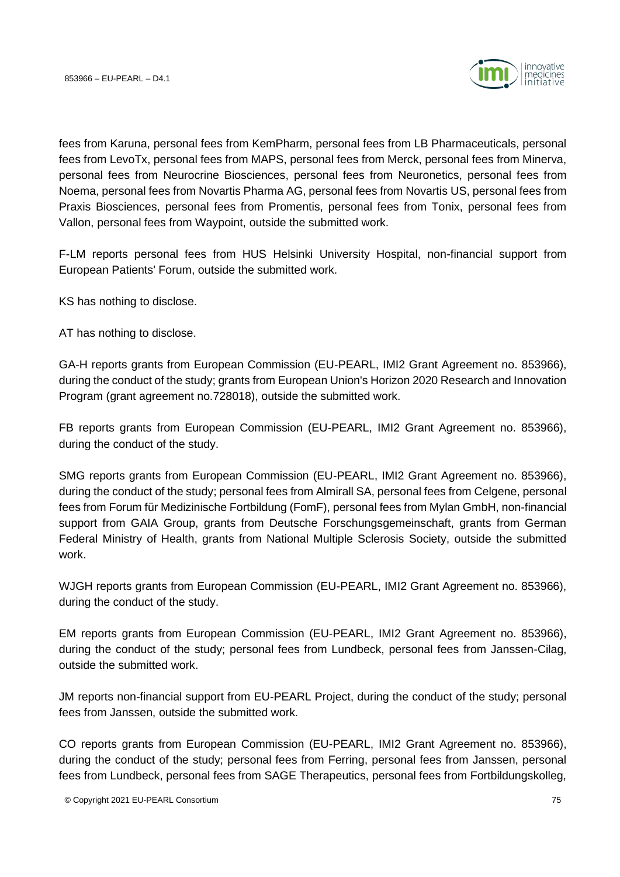

fees from Karuna, personal fees from KemPharm, personal fees from LB Pharmaceuticals, personal fees from LevoTx, personal fees from MAPS, personal fees from Merck, personal fees from Minerva, personal fees from Neurocrine Biosciences, personal fees from Neuronetics, personal fees from Noema, personal fees from Novartis Pharma AG, personal fees from Novartis US, personal fees from Praxis Biosciences, personal fees from Promentis, personal fees from Tonix, personal fees from Vallon, personal fees from Waypoint, outside the submitted work.

F-LM reports personal fees from HUS Helsinki University Hospital, non-financial support from European Patients' Forum, outside the submitted work.

KS has nothing to disclose.

AT has nothing to disclose.

GA-H reports grants from European Commission (EU-PEARL, IMI2 Grant Agreement no. 853966), during the conduct of the study; grants from European Union's Horizon 2020 Research and Innovation Program (grant agreement no.728018), outside the submitted work.

FB reports grants from European Commission (EU-PEARL, IMI2 Grant Agreement no. 853966), during the conduct of the study.

SMG reports grants from European Commission (EU-PEARL, IMI2 Grant Agreement no. 853966), during the conduct of the study; personal fees from Almirall SA, personal fees from Celgene, personal fees from Forum für Medizinische Fortbildung (FomF), personal fees from Mylan GmbH, non-financial support from GAIA Group, grants from Deutsche Forschungsgemeinschaft, grants from German Federal Ministry of Health, grants from National Multiple Sclerosis Society, outside the submitted work.

WJGH reports grants from European Commission (EU-PEARL, IMI2 Grant Agreement no. 853966), during the conduct of the study.

EM reports grants from European Commission (EU-PEARL, IMI2 Grant Agreement no. 853966), during the conduct of the study; personal fees from Lundbeck, personal fees from Janssen-Cilag, outside the submitted work.

JM reports non-financial support from EU-PEARL Project, during the conduct of the study; personal fees from Janssen, outside the submitted work.

CO reports grants from European Commission (EU-PEARL, IMI2 Grant Agreement no. 853966), during the conduct of the study; personal fees from Ferring, personal fees from Janssen, personal fees from Lundbeck, personal fees from SAGE Therapeutics, personal fees from Fortbildungskolleg,